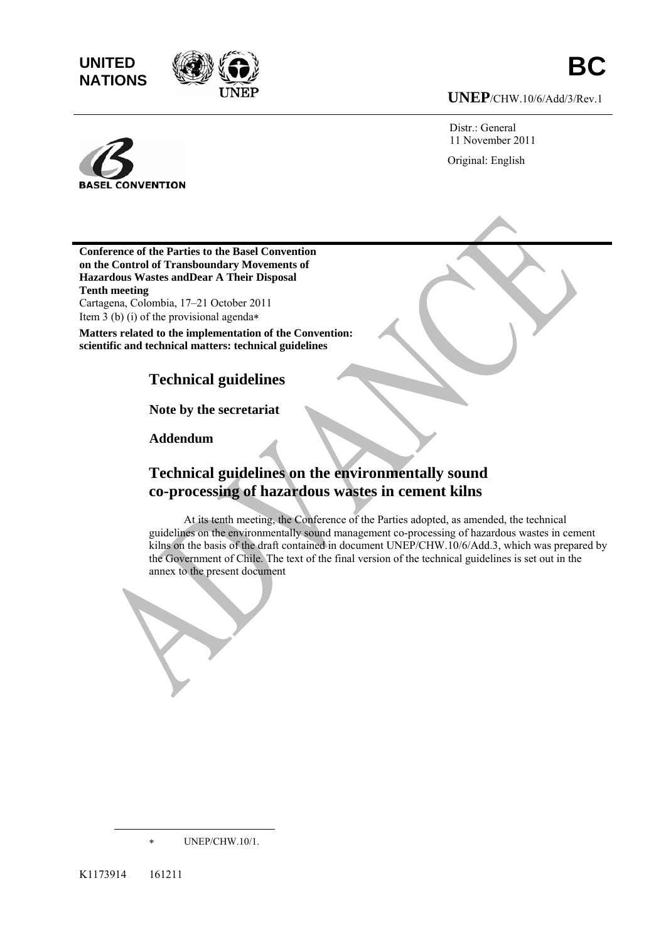

**UNEP**/CHW.10/6/Add/3/Rev.1

**CONVENTION** 

Distr.: General 11 November 2011 Original: English

**Conference of the Parties to the Basel Convention on the Control of Transboundary Movements of Hazardous Wastes andDear A Their Disposal Tenth meeting** 

Cartagena, Colombia, 17–21 October 2011 Item 3 (b) (i) of the provisional agenda∗

**Matters related to the implementation of the Convention: scientific and technical matters: technical guidelines** 

## **Technical guidelines**

**Note by the secretariat** 

**Addendum** 

## **Technical guidelines on the environmentally sound co-processing of hazardous wastes in cement kilns**

At its tenth meeting, the Conference of the Parties adopted, as amended, the technical guidelines on the environmentally sound management co-processing of hazardous wastes in cement kilns on the basis of the draft contained in document UNEP/CHW.10/6/Add.3, which was prepared by the Government of Chile. The text of the final version of the technical guidelines is set out in the annex to the present document

∗ UNEP/CHW.10/1.

 $\overline{a}$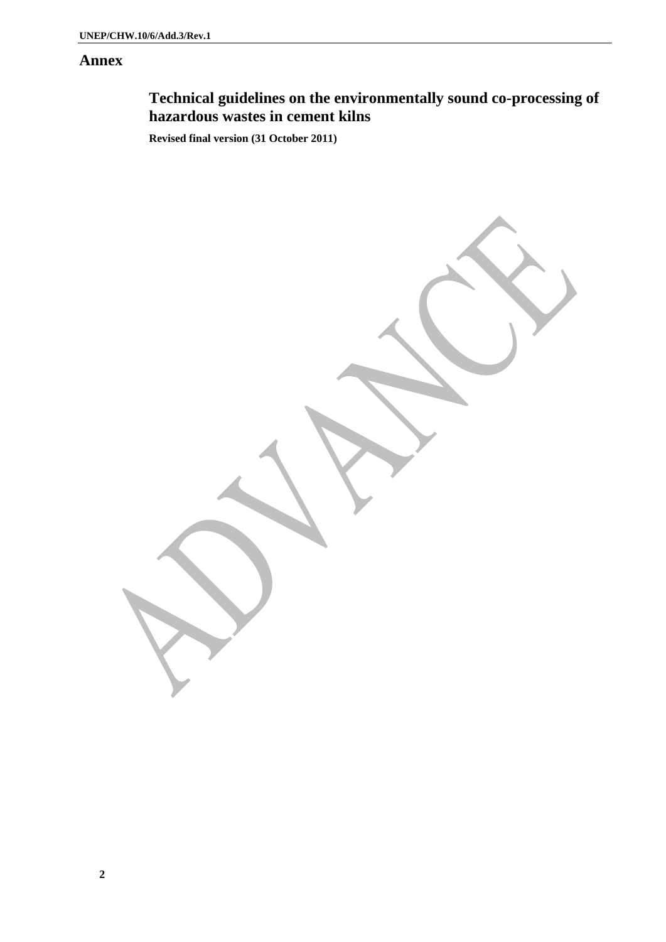## **Annex**

## **Technical guidelines on the environmentally sound co-processing of hazardous wastes in cement kilns**

 **Revised final version (31 October 2011)**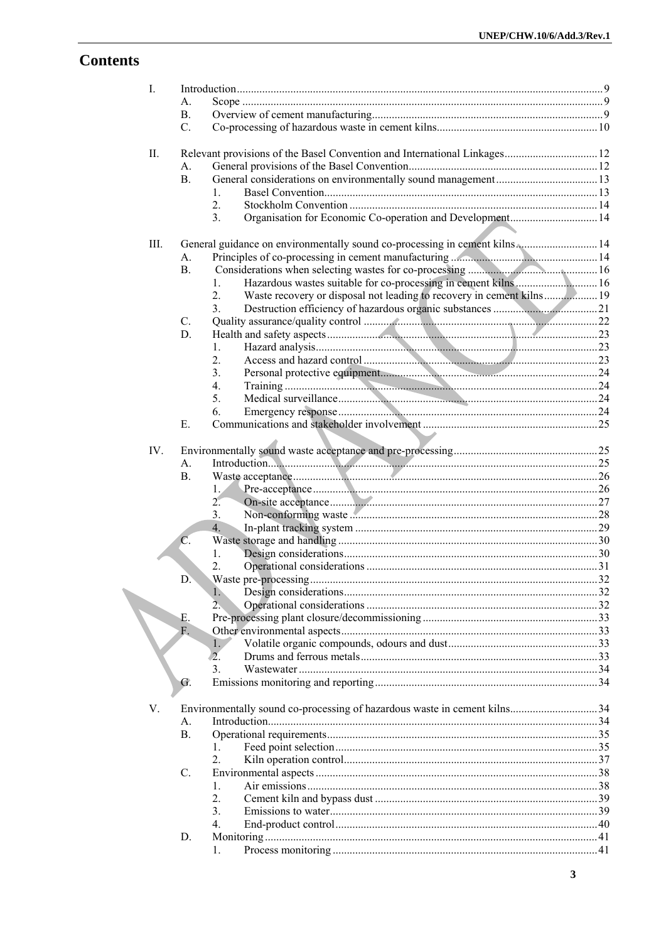## **Contents**

| $\mathbf{I}$ . |                  |                                                                             |  |
|----------------|------------------|-----------------------------------------------------------------------------|--|
|                | А.               |                                                                             |  |
|                | <b>B.</b>        |                                                                             |  |
|                | C.               |                                                                             |  |
| П.             |                  | Relevant provisions of the Basel Convention and International Linkages 12   |  |
|                | A.               |                                                                             |  |
|                | B <sub>1</sub>   |                                                                             |  |
|                |                  | $\mathbf{1}$                                                                |  |
|                |                  | 2 <sub>1</sub>                                                              |  |
|                |                  | Organisation for Economic Co-operation and Development 14<br>3 <sub>1</sub> |  |
| Ш.             |                  | General guidance on environmentally sound co-processing in cement kilns 14  |  |
|                | A.               |                                                                             |  |
|                | B.               |                                                                             |  |
|                |                  | $\mathbf{1}$                                                                |  |
|                |                  | 2.<br>Waste recovery or disposal not leading to recovery in cement kilns19  |  |
|                |                  | 3 <sub>1</sub>                                                              |  |
|                | C.               |                                                                             |  |
|                | D.               |                                                                             |  |
|                |                  | $\mathbf{1}$                                                                |  |
|                |                  | 2.                                                                          |  |
|                |                  |                                                                             |  |
|                |                  | 3.                                                                          |  |
|                |                  | $\overline{4}$ .                                                            |  |
|                |                  | 5 <sub>1</sub>                                                              |  |
|                |                  | 6.                                                                          |  |
|                | Е.               |                                                                             |  |
| IV.            |                  |                                                                             |  |
|                | A.               |                                                                             |  |
|                | <b>B.</b>        |                                                                             |  |
|                |                  | 1.7                                                                         |  |
|                |                  | $2^{2}$                                                                     |  |
|                |                  | 3.                                                                          |  |
|                |                  | 4.                                                                          |  |
|                | $\overline{C}$ . |                                                                             |  |
|                |                  | $\mathbf{1}$                                                                |  |
|                |                  | 2.                                                                          |  |
|                | D.               |                                                                             |  |
|                |                  | $\mathbf{1}$ .                                                              |  |
|                |                  | $2\sqrt{ }$                                                                 |  |
|                | Е.               |                                                                             |  |
|                | F.               |                                                                             |  |
|                |                  | 1.                                                                          |  |
|                |                  | $\overline{2}$ .                                                            |  |
|                |                  | 3 <sub>1</sub>                                                              |  |
|                | G.               |                                                                             |  |
| V.             |                  | Environmentally sound co-processing of hazardous waste in cement kilns34    |  |
|                | $A_{\cdot}$      |                                                                             |  |
|                |                  |                                                                             |  |
|                | В.               |                                                                             |  |
|                |                  | $\mathbf{1}$                                                                |  |
|                |                  | $\overline{2}$                                                              |  |
|                | C.               |                                                                             |  |
|                |                  | 1.                                                                          |  |
|                |                  | 2.                                                                          |  |
|                |                  | 3.                                                                          |  |
|                |                  | 4.                                                                          |  |
|                | D.               |                                                                             |  |
|                |                  | 1.                                                                          |  |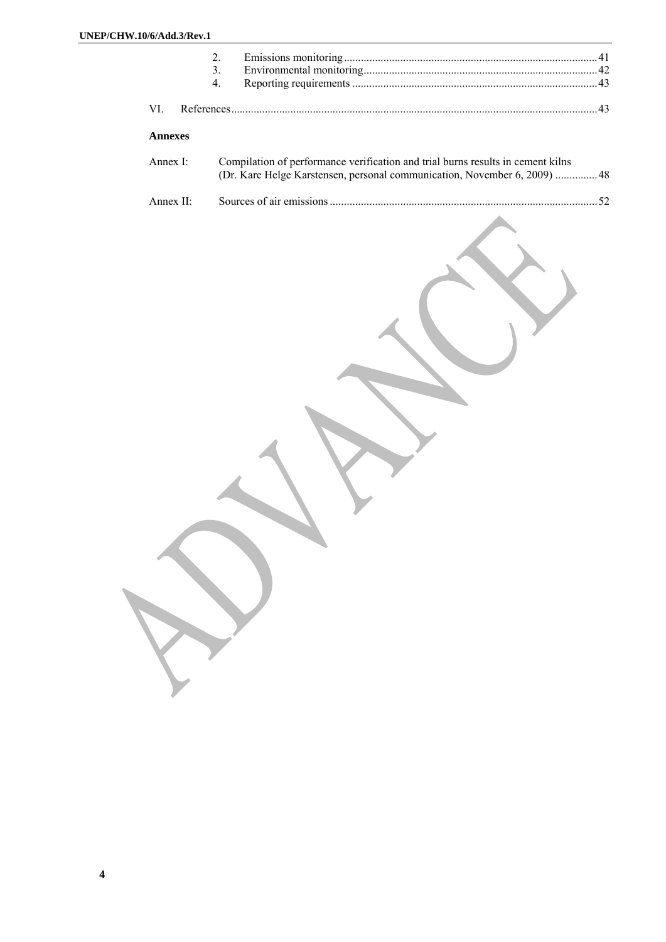|     |                | 2.             |                                                                                                                                                              |  |
|-----|----------------|----------------|--------------------------------------------------------------------------------------------------------------------------------------------------------------|--|
|     |                | 3 <sub>1</sub> |                                                                                                                                                              |  |
|     |                | 4.             |                                                                                                                                                              |  |
|     |                |                |                                                                                                                                                              |  |
| VI. |                |                |                                                                                                                                                              |  |
|     | <b>Annexes</b> |                |                                                                                                                                                              |  |
|     | Annex I:       |                | Compilation of performance verification and trial burns results in cement kilns<br>(Dr. Kare Helge Karstensen, personal communication, November 6, 2009)  48 |  |
|     | Annex II:      |                |                                                                                                                                                              |  |
|     |                |                |                                                                                                                                                              |  |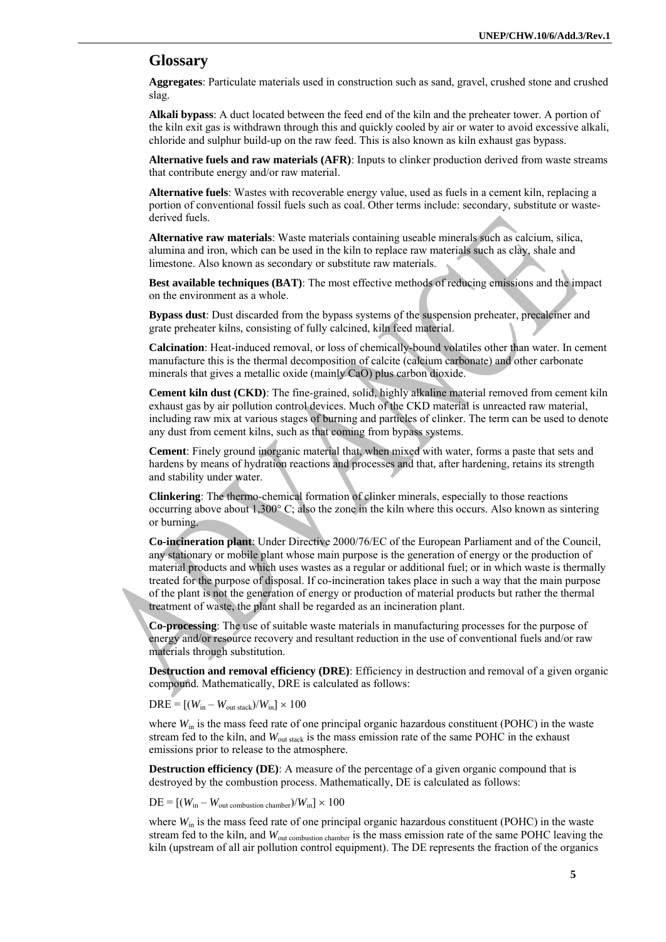## **Glossary**

**Aggregates**: Particulate materials used in construction such as sand, gravel, crushed stone and crushed slag.

**Alkali bypass**: A duct located between the feed end of the kiln and the preheater tower. A portion of the kiln exit gas is withdrawn through this and quickly cooled by air or water to avoid excessive alkali, chloride and sulphur build-up on the raw feed. This is also known as kiln exhaust gas bypass.

**Alternative fuels and raw materials (AFR)**: Inputs to clinker production derived from waste streams that contribute energy and/or raw material.

**Alternative fuels**: Wastes with recoverable energy value, used as fuels in a cement kiln, replacing a portion of conventional fossil fuels such as coal. Other terms include: secondary, substitute or wastederived fuels.

**Alternative raw materials**: Waste materials containing useable minerals such as calcium, silica, alumina and iron, which can be used in the kiln to replace raw materials such as clay, shale and limestone. Also known as secondary or substitute raw materials.

**Best available techniques (BAT)**: The most effective methods of reducing emissions and the impact on the environment as a whole.

**Bypass dust**: Dust discarded from the bypass systems of the suspension preheater, precalciner and grate preheater kilns, consisting of fully calcined, kiln feed material.

**Calcination**: Heat-induced removal, or loss of chemically-bound volatiles other than water. In cement manufacture this is the thermal decomposition of calcite (calcium carbonate) and other carbonate minerals that gives a metallic oxide (mainly CaO) plus carbon dioxide.

**Cement kiln dust (CKD)**: The fine-grained, solid, highly alkaline material removed from cement kiln exhaust gas by air pollution control devices. Much of the CKD material is unreacted raw material, including raw mix at various stages of burning and particles of clinker. The term can be used to denote any dust from cement kilns, such as that coming from bypass systems.

**Cement**: Finely ground inorganic material that, when mixed with water, forms a paste that sets and hardens by means of hydration reactions and processes and that, after hardening, retains its strength and stability under water.

**Clinkering**: The thermo-chemical formation of clinker minerals, especially to those reactions occurring above about  $1,300^{\circ}$  C; also the zone in the kiln where this occurs. Also known as sintering or burning.

**Co-incineration plant**: Under Directive 2000/76/EC of the European Parliament and of the Council, any stationary or mobile plant whose main purpose is the generation of energy or the production of material products and which uses wastes as a regular or additional fuel; or in which waste is thermally treated for the purpose of disposal. If co-incineration takes place in such a way that the main purpose of the plant is not the generation of energy or production of material products but rather the thermal treatment of waste, the plant shall be regarded as an incineration plant.

**Co-processing**: The use of suitable waste materials in manufacturing processes for the purpose of energy and/or resource recovery and resultant reduction in the use of conventional fuels and/or raw materials through substitution.

**Destruction and removal efficiency (DRE)**: Efficiency in destruction and removal of a given organic compound. Mathematically, DRE is calculated as follows:

 $DRE = [(W_{in} - W_{out stack})/W_{in}] \times 100$ 

where *W*<sub>in</sub> is the mass feed rate of one principal organic hazardous constituent (POHC) in the waste stream fed to the kiln, and *W*out stack is the mass emission rate of the same POHC in the exhaust emissions prior to release to the atmosphere.

**Destruction efficiency (DE)**: A measure of the percentage of a given organic compound that is destroyed by the combustion process. Mathematically, DE is calculated as follows:

 $DE = [(W_{in} - W_{out}$  combustion chamber)/ $W_{in}]\times 100$ 

where *W*<sub>in</sub> is the mass feed rate of one principal organic hazardous constituent (POHC) in the waste stream fed to the kiln, and *W*out combustion chamber is the mass emission rate of the same POHC leaving the kiln (upstream of all air pollution control equipment). The DE represents the fraction of the organics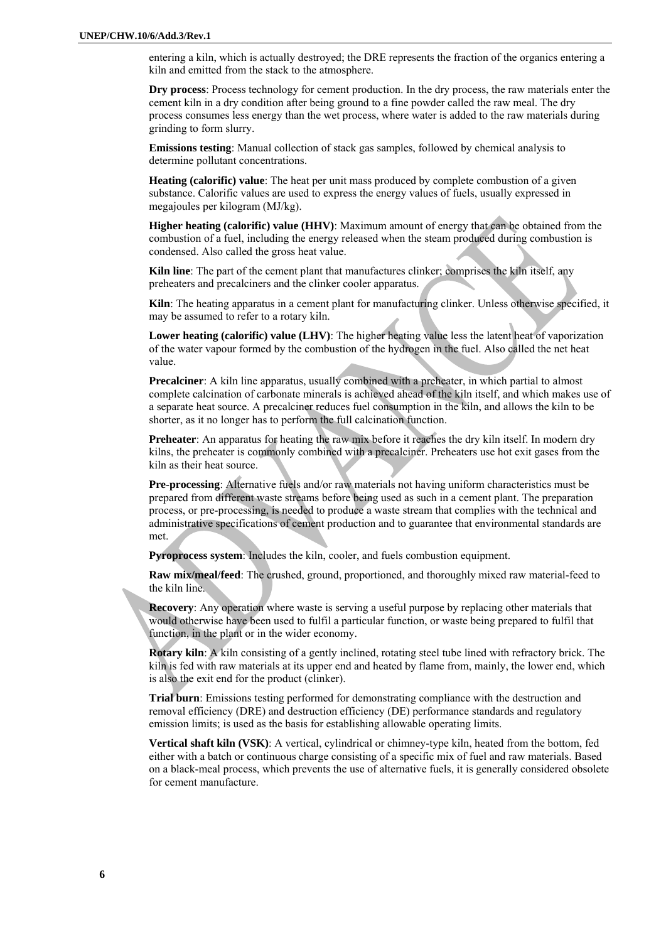entering a kiln, which is actually destroyed; the DRE represents the fraction of the organics entering a kiln and emitted from the stack to the atmosphere.

**Dry process**: Process technology for cement production. In the dry process, the raw materials enter the cement kiln in a dry condition after being ground to a fine powder called the raw meal. The dry process consumes less energy than the wet process, where water is added to the raw materials during grinding to form slurry.

**Emissions testing**: Manual collection of stack gas samples, followed by chemical analysis to determine pollutant concentrations.

**Heating (calorific) value**: The heat per unit mass produced by complete combustion of a given substance. Calorific values are used to express the energy values of fuels, usually expressed in megajoules per kilogram (MJ/kg).

**Higher heating (calorific) value (HHV)**: Maximum amount of energy that can be obtained from the combustion of a fuel, including the energy released when the steam produced during combustion is condensed. Also called the gross heat value.

**Kiln line**: The part of the cement plant that manufactures clinker; comprises the kiln itself, any preheaters and precalciners and the clinker cooler apparatus.

**Kiln**: The heating apparatus in a cement plant for manufacturing clinker. Unless otherwise specified, it may be assumed to refer to a rotary kiln.

**Lower heating (calorific) value (LHV)**: The higher heating value less the latent heat of vaporization of the water vapour formed by the combustion of the hydrogen in the fuel. Also called the net heat value.

**Precalciner**: A kiln line apparatus, usually combined with a preheater, in which partial to almost complete calcination of carbonate minerals is achieved ahead of the kiln itself, and which makes use of a separate heat source. A precalciner reduces fuel consumption in the kiln, and allows the kiln to be shorter, as it no longer has to perform the full calcination function.

**Preheater**: An apparatus for heating the raw mix before it reaches the dry kiln itself. In modern dry kilns, the preheater is commonly combined with a precalciner. Preheaters use hot exit gases from the kiln as their heat source.

**Pre-processing**: Alternative fuels and/or raw materials not having uniform characteristics must be prepared from different waste streams before being used as such in a cement plant. The preparation process, or pre-processing, is needed to produce a waste stream that complies with the technical and administrative specifications of cement production and to guarantee that environmental standards are met.

**Pyroprocess system**: Includes the kiln, cooler, and fuels combustion equipment.

**Raw mix/meal/feed**: The crushed, ground, proportioned, and thoroughly mixed raw material-feed to the kiln line.

**Recovery**: Any operation where waste is serving a useful purpose by replacing other materials that would otherwise have been used to fulfil a particular function, or waste being prepared to fulfil that function, in the plant or in the wider economy.

**Rotary kiln**: A kiln consisting of a gently inclined, rotating steel tube lined with refractory brick. The kiln is fed with raw materials at its upper end and heated by flame from, mainly, the lower end, which is also the exit end for the product (clinker).

**Trial burn**: Emissions testing performed for demonstrating compliance with the destruction and removal efficiency (DRE) and destruction efficiency (DE) performance standards and regulatory emission limits; is used as the basis for establishing allowable operating limits.

**Vertical shaft kiln (VSK)**: A vertical, cylindrical or chimney-type kiln, heated from the bottom, fed either with a batch or continuous charge consisting of a specific mix of fuel and raw materials. Based on a black-meal process, which prevents the use of alternative fuels, it is generally considered obsolete for cement manufacture.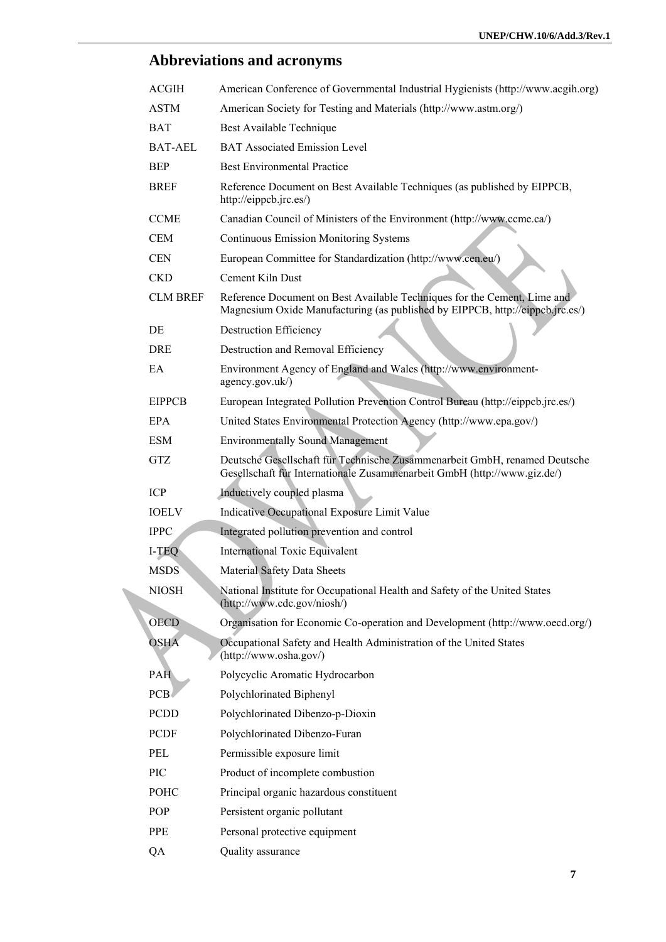# **Abbreviations and acronyms**

| <b>ACGIH</b>    | American Conference of Governmental Industrial Hygienists (http://www.acgih.org)                                                                          |
|-----------------|-----------------------------------------------------------------------------------------------------------------------------------------------------------|
| <b>ASTM</b>     | American Society for Testing and Materials (http://www.astm.org/)                                                                                         |
| <b>BAT</b>      | Best Available Technique                                                                                                                                  |
| <b>BAT-AEL</b>  | <b>BAT Associated Emission Level</b>                                                                                                                      |
| <b>BEP</b>      | <b>Best Environmental Practice</b>                                                                                                                        |
| <b>BREF</b>     | Reference Document on Best Available Techniques (as published by EIPPCB,<br>http://eippcb.jrc.es/)                                                        |
| <b>CCME</b>     | Canadian Council of Ministers of the Environment (http://www.ccme.ca/)                                                                                    |
| <b>CEM</b>      | <b>Continuous Emission Monitoring Systems</b>                                                                                                             |
| <b>CEN</b>      | European Committee for Standardization (http://www.cen.eu/)                                                                                               |
| <b>CKD</b>      | Cement Kiln Dust                                                                                                                                          |
| <b>CLM BREF</b> | Reference Document on Best Available Techniques for the Cement, Lime and<br>Magnesium Oxide Manufacturing (as published by EIPPCB, http://eippcb.jrc.es/) |
| DE              | <b>Destruction Efficiency</b>                                                                                                                             |
| <b>DRE</b>      | Destruction and Removal Efficiency                                                                                                                        |
| EA              | Environment Agency of England and Wales (http://www.environment-<br>agency.gov.uk/)                                                                       |
| <b>EIPPCB</b>   | European Integrated Pollution Prevention Control Bureau (http://eippcb.jrc.es/)                                                                           |
| EPA             | United States Environmental Protection Agency (http://www.epa.gov/)                                                                                       |
| <b>ESM</b>      | <b>Environmentally Sound Management</b>                                                                                                                   |
| <b>GTZ</b>      | Deutsche Gesellschaft für Technische Zusammenarbeit GmbH, renamed Deutsche<br>Gesellschaft für Internationale Zusammenarbeit GmbH (http://www.giz.de/)    |
| ICP             | Inductively coupled plasma                                                                                                                                |
| <b>IOELV</b>    | Indicative Occupational Exposure Limit Value                                                                                                              |
| <b>IPPC</b>     | Integrated pollution prevention and control                                                                                                               |
| I-TEQ           | International Toxic Equivalent                                                                                                                            |
| <b>MSDS</b>     | Material Safety Data Sheets                                                                                                                               |
| <b>NIOSH</b>    | National Institute for Occupational Health and Safety of the United States<br>(http://www.cdc.gov/niosh/)                                                 |
| <b>OECD</b>     | Organisation for Economic Co-operation and Development (http://www.oecd.org/)                                                                             |
| <b>OSHA</b>     | Occupational Safety and Health Administration of the United States<br>(http://www.osha.gov/)                                                              |
| PAH             | Polycyclic Aromatic Hydrocarbon                                                                                                                           |
| PCB             | Polychlorinated Biphenyl                                                                                                                                  |
| <b>PCDD</b>     | Polychlorinated Dibenzo-p-Dioxin                                                                                                                          |
| <b>PCDF</b>     | Polychlorinated Dibenzo-Furan                                                                                                                             |
| PEL             | Permissible exposure limit                                                                                                                                |
| PIC             | Product of incomplete combustion                                                                                                                          |
| POHC            | Principal organic hazardous constituent                                                                                                                   |
| POP             | Persistent organic pollutant                                                                                                                              |
| <b>PPE</b>      | Personal protective equipment                                                                                                                             |
| QA              | Quality assurance                                                                                                                                         |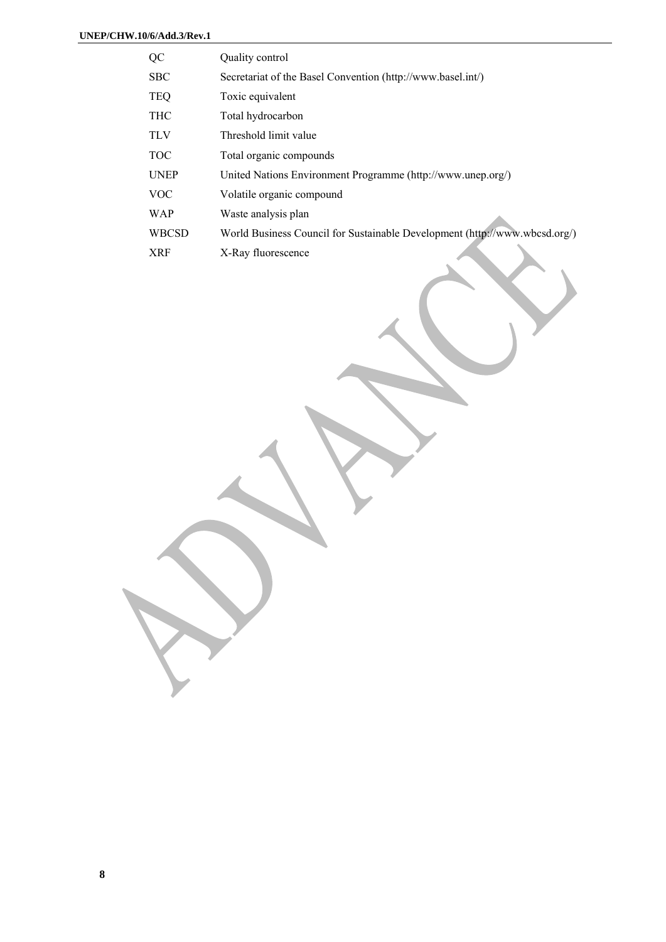| QC           | Quality control                                                            |
|--------------|----------------------------------------------------------------------------|
| <b>SBC</b>   | Secretariat of the Basel Convention (http://www.basel.int/)                |
| <b>TEQ</b>   | Toxic equivalent                                                           |
| <b>THC</b>   | Total hydrocarbon                                                          |
| TLV          | Threshold limit value                                                      |
| <b>TOC</b>   | Total organic compounds                                                    |
| <b>UNEP</b>  | United Nations Environment Programme (http://www.unep.org/)                |
| <b>VOC</b>   | Volatile organic compound                                                  |
| WAP          | Waste analysis plan                                                        |
| <b>WBCSD</b> | World Business Council for Sustainable Development (http://www.wbcsd.org/) |
| <b>XRF</b>   | X-Ray fluorescence                                                         |
|              |                                                                            |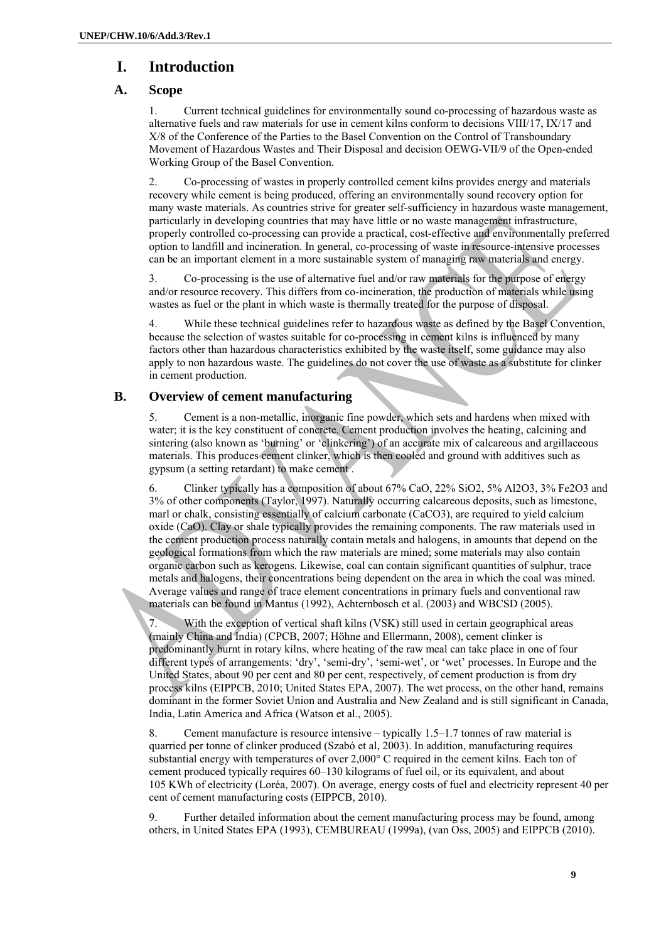## **I. Introduction**

## **A. Scope**

1. Current technical guidelines for environmentally sound co-processing of hazardous waste as alternative fuels and raw materials for use in cement kilns conform to decisions VIII/17, IX/17 and X/8 of the Conference of the Parties to the Basel Convention on the Control of Transboundary Movement of Hazardous Wastes and Their Disposal and decision OEWG-VII/9 of the Open-ended Working Group of the Basel Convention.

2. Co-processing of wastes in properly controlled cement kilns provides energy and materials recovery while cement is being produced, offering an environmentally sound recovery option for many waste materials. As countries strive for greater self-sufficiency in hazardous waste management, particularly in developing countries that may have little or no waste management infrastructure, properly controlled co-processing can provide a practical, cost-effective and environmentally preferred option to landfill and incineration. In general, co-processing of waste in resource-intensive processes can be an important element in a more sustainable system of managing raw materials and energy.

3. Co-processing is the use of alternative fuel and/or raw materials for the purpose of energy and/or resource recovery. This differs from co-incineration, the production of materials while using wastes as fuel or the plant in which waste is thermally treated for the purpose of disposal.

4. While these technical guidelines refer to hazardous waste as defined by the Basel Convention, because the selection of wastes suitable for co-processing in cement kilns is influenced by many factors other than hazardous characteristics exhibited by the waste itself, some guidance may also apply to non hazardous waste. The guidelines do not cover the use of waste as a substitute for clinker in cement production.

## **B. Overview of cement manufacturing**

5. Cement is a non-metallic, inorganic fine powder, which sets and hardens when mixed with water; it is the key constituent of concrete. Cement production involves the heating, calcining and sintering (also known as 'burning' or 'clinkering') of an accurate mix of calcareous and argillaceous materials. This produces cement clinker, which is then cooled and ground with additives such as gypsum (a setting retardant) to make cement .

6. Clinker typically has a composition of about 67% CaO, 22% SiO2, 5% Al2O3, 3% Fe2O3 and 3% of other components (Taylor, 1997). Naturally occurring calcareous deposits, such as limestone, marl or chalk, consisting essentially of calcium carbonate (CaCO3), are required to yield calcium oxide (CaO). Clay or shale typically provides the remaining components. The raw materials used in the cement production process naturally contain metals and halogens, in amounts that depend on the geological formations from which the raw materials are mined; some materials may also contain organic carbon such as kerogens. Likewise, coal can contain significant quantities of sulphur, trace metals and halogens, their concentrations being dependent on the area in which the coal was mined. Average values and range of trace element concentrations in primary fuels and conventional raw materials can be found in Mantus (1992), Achternbosch et al. (2003) and WBCSD (2005).

7. With the exception of vertical shaft kilns (VSK) still used in certain geographical areas (mainly China and India) (CPCB, 2007; Höhne and Ellermann, 2008), cement clinker is predominantly burnt in rotary kilns, where heating of the raw meal can take place in one of four different types of arrangements: 'dry', 'semi-dry', 'semi-wet', or 'wet' processes. In Europe and the United States, about 90 per cent and 80 per cent, respectively, of cement production is from dry process kilns (EIPPCB, 2010; United States EPA, 2007). The wet process, on the other hand, remains dominant in the former Soviet Union and Australia and New Zealand and is still significant in Canada, India, Latin America and Africa (Watson et al., 2005).

8. Cement manufacture is resource intensive – typically 1.5–1.7 tonnes of raw material is quarried per tonne of clinker produced (Szabó et al, 2003). In addition, manufacturing requires substantial energy with temperatures of over 2,000° C required in the cement kilns. Each ton of cement produced typically requires 60–130 kilograms of fuel oil, or its equivalent, and about 105 KWh of electricity (Loréa, 2007). On average, energy costs of fuel and electricity represent 40 per cent of cement manufacturing costs (EIPPCB, 2010).

9. Further detailed information about the cement manufacturing process may be found, among others, in United States EPA (1993), CEMBUREAU (1999a), (van Oss, 2005) and EIPPCB (2010).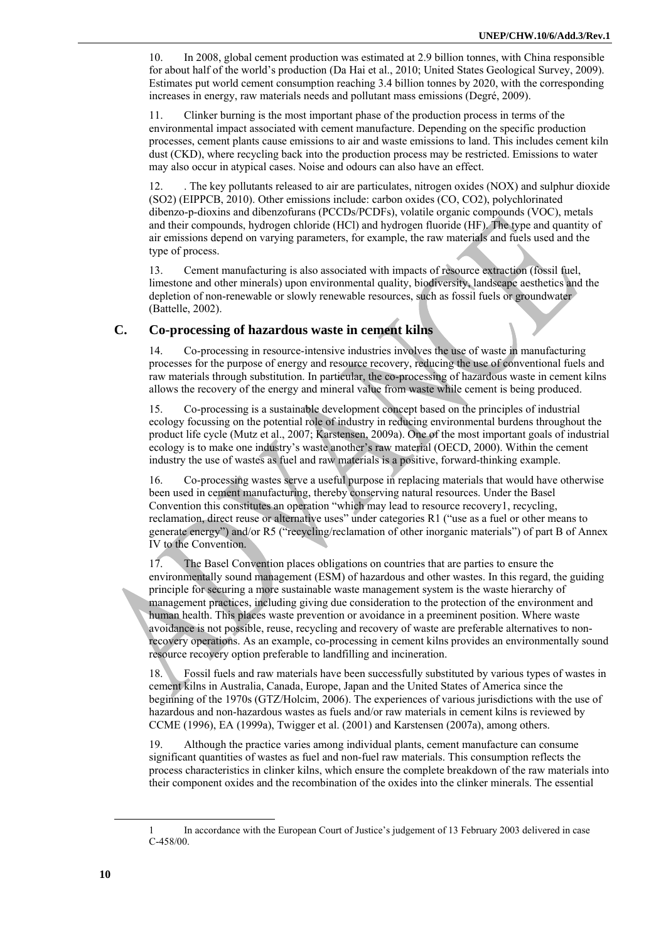10. In 2008, global cement production was estimated at 2.9 billion tonnes, with China responsible for about half of the world's production (Da Hai et al., 2010; United States Geological Survey, 2009). Estimates put world cement consumption reaching 3.4 billion tonnes by 2020, with the corresponding increases in energy, raw materials needs and pollutant mass emissions (Degré, 2009).

11. Clinker burning is the most important phase of the production process in terms of the environmental impact associated with cement manufacture. Depending on the specific production processes, cement plants cause emissions to air and waste emissions to land. This includes cement kiln dust (CKD), where recycling back into the production process may be restricted. Emissions to water may also occur in atypical cases. Noise and odours can also have an effect.

12. . The key pollutants released to air are particulates, nitrogen oxides (NOX) and sulphur dioxide (SO2) (EIPPCB, 2010). Other emissions include: carbon oxides (CO, CO2), polychlorinated dibenzo-p-dioxins and dibenzofurans (PCCDs/PCDFs), volatile organic compounds (VOC), metals and their compounds, hydrogen chloride (HCl) and hydrogen fluoride (HF). The type and quantity of air emissions depend on varying parameters, for example, the raw materials and fuels used and the type of process.

13. Cement manufacturing is also associated with impacts of resource extraction (fossil fuel, limestone and other minerals) upon environmental quality, biodiversity, landscape aesthetics and the depletion of non-renewable or slowly renewable resources, such as fossil fuels or groundwater (Battelle, 2002).

### **C. Co-processing of hazardous waste in cement kilns**

14. Co-processing in resource-intensive industries involves the use of waste in manufacturing processes for the purpose of energy and resource recovery, reducing the use of conventional fuels and raw materials through substitution. In particular, the co-processing of hazardous waste in cement kilns allows the recovery of the energy and mineral value from waste while cement is being produced.

15. Co-processing is a sustainable development concept based on the principles of industrial ecology focussing on the potential role of industry in reducing environmental burdens throughout the product life cycle (Mutz et al., 2007; Karstensen, 2009a). One of the most important goals of industrial ecology is to make one industry's waste another's raw material (OECD, 2000). Within the cement industry the use of wastes as fuel and raw materials is a positive, forward-thinking example.

16. Co-processing wastes serve a useful purpose in replacing materials that would have otherwise been used in cement manufacturing, thereby conserving natural resources. Under the Basel Convention this constitutes an operation "which may lead to resource recovery1, recycling, reclamation, direct reuse or alternative uses" under categories R1 ("use as a fuel or other means to generate energy") and/or R5 ("recycling/reclamation of other inorganic materials") of part B of Annex IV to the Convention.

17. The Basel Convention places obligations on countries that are parties to ensure the environmentally sound management (ESM) of hazardous and other wastes. In this regard, the guiding principle for securing a more sustainable waste management system is the waste hierarchy of management practices, including giving due consideration to the protection of the environment and human health. This places waste prevention or avoidance in a preeminent position. Where waste avoidance is not possible, reuse, recycling and recovery of waste are preferable alternatives to nonrecovery operations. As an example, co-processing in cement kilns provides an environmentally sound resource recovery option preferable to landfilling and incineration.

18. Fossil fuels and raw materials have been successfully substituted by various types of wastes in cement kilns in Australia, Canada, Europe, Japan and the United States of America since the beginning of the 1970s (GTZ/Holcim, 2006). The experiences of various jurisdictions with the use of hazardous and non-hazardous wastes as fuels and/or raw materials in cement kilns is reviewed by CCME (1996), EA (1999a), Twigger et al. (2001) and Karstensen (2007a), among others.

19. Although the practice varies among individual plants, cement manufacture can consume significant quantities of wastes as fuel and non-fuel raw materials. This consumption reflects the process characteristics in clinker kilns, which ensure the complete breakdown of the raw materials into their component oxides and the recombination of the oxides into the clinker minerals. The essential

 $\overline{a}$ 

<sup>1</sup> In accordance with the European Court of Justice's judgement of 13 February 2003 delivered in case C-458/00.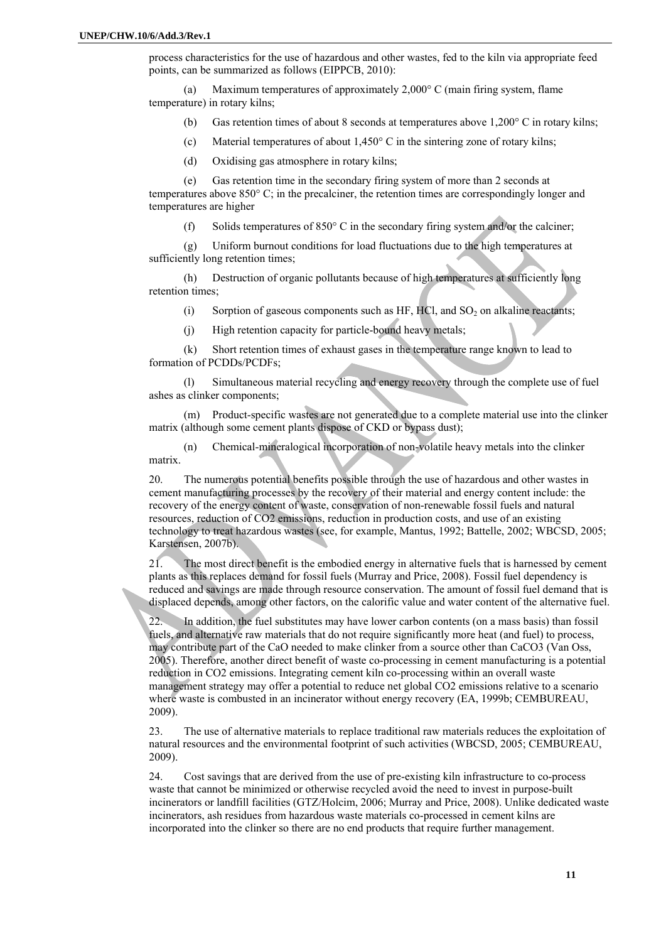process characteristics for the use of hazardous and other wastes, fed to the kiln via appropriate feed points, can be summarized as follows (EIPPCB, 2010):

(a) Maximum temperatures of approximately 2,000° C (main firing system, flame temperature) in rotary kilns;

- (b) Gas retention times of about 8 seconds at temperatures above  $1.200^{\circ}$  C in rotary kilns;
- (c) Material temperatures of about 1,450° C in the sintering zone of rotary kilns;
- (d) Oxidising gas atmosphere in rotary kilns;

(e) Gas retention time in the secondary firing system of more than 2 seconds at temperatures above 850° C; in the precalciner, the retention times are correspondingly longer and temperatures are higher

(f) Solids temperatures of 850° C in the secondary firing system and/or the calciner;

(g) Uniform burnout conditions for load fluctuations due to the high temperatures at sufficiently long retention times;

(h) Destruction of organic pollutants because of high temperatures at sufficiently long retention times;

(i) Sorption of gaseous components such as HF, HCl, and  $SO_2$  on alkaline reactants;

(j) High retention capacity for particle-bound heavy metals;

(k) Short retention times of exhaust gases in the temperature range known to lead to formation of PCDDs/PCDFs;

(l) Simultaneous material recycling and energy recovery through the complete use of fuel ashes as clinker components;

(m) Product-specific wastes are not generated due to a complete material use into the clinker matrix (although some cement plants dispose of CKD or bypass dust);

(n) Chemical-mineralogical incorporation of non-volatile heavy metals into the clinker matrix.

20. The numerous potential benefits possible through the use of hazardous and other wastes in cement manufacturing processes by the recovery of their material and energy content include: the recovery of the energy content of waste, conservation of non-renewable fossil fuels and natural resources, reduction of CO2 emissions, reduction in production costs, and use of an existing technology to treat hazardous wastes (see, for example, Mantus, 1992; Battelle, 2002; WBCSD, 2005; Karstensen, 2007b).

21. The most direct benefit is the embodied energy in alternative fuels that is harnessed by cement plants as this replaces demand for fossil fuels (Murray and Price, 2008). Fossil fuel dependency is reduced and savings are made through resource conservation. The amount of fossil fuel demand that is displaced depends, among other factors, on the calorific value and water content of the alternative fuel.

In addition, the fuel substitutes may have lower carbon contents (on a mass basis) than fossil fuels, and alternative raw materials that do not require significantly more heat (and fuel) to process, may contribute part of the CaO needed to make clinker from a source other than CaCO3 (Van Oss, 2005). Therefore, another direct benefit of waste co-processing in cement manufacturing is a potential reduction in CO2 emissions. Integrating cement kiln co-processing within an overall waste management strategy may offer a potential to reduce net global CO2 emissions relative to a scenario where waste is combusted in an incinerator without energy recovery (EA, 1999b; CEMBUREAU, 2009).

23. The use of alternative materials to replace traditional raw materials reduces the exploitation of natural resources and the environmental footprint of such activities (WBCSD, 2005; CEMBUREAU, 2009).

24. Cost savings that are derived from the use of pre-existing kiln infrastructure to co-process waste that cannot be minimized or otherwise recycled avoid the need to invest in purpose-built incinerators or landfill facilities (GTZ/Holcim, 2006; Murray and Price, 2008). Unlike dedicated waste incinerators, ash residues from hazardous waste materials co-processed in cement kilns are incorporated into the clinker so there are no end products that require further management.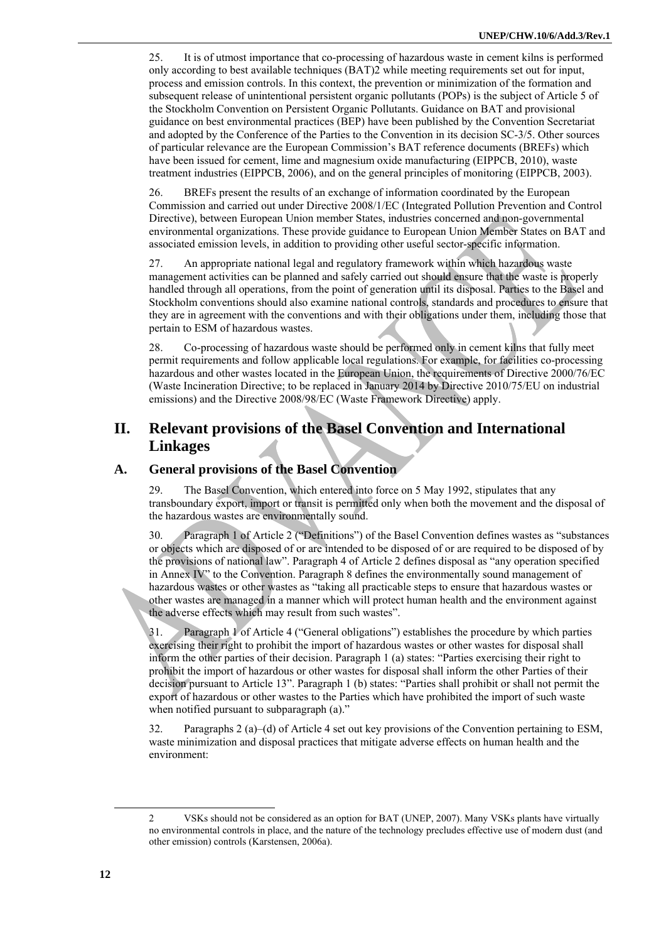25. It is of utmost importance that co-processing of hazardous waste in cement kilns is performed only according to best available techniques (BAT)2 while meeting requirements set out for input, process and emission controls. In this context, the prevention or minimization of the formation and subsequent release of unintentional persistent organic pollutants (POPs) is the subject of Article 5 of the Stockholm Convention on Persistent Organic Pollutants. Guidance on BAT and provisional guidance on best environmental practices (BEP) have been published by the Convention Secretariat and adopted by the Conference of the Parties to the Convention in its decision SC-3/5. Other sources of particular relevance are the European Commission's BAT reference documents (BREFs) which have been issued for cement, lime and magnesium oxide manufacturing (EIPPCB, 2010), waste treatment industries (EIPPCB, 2006), and on the general principles of monitoring (EIPPCB, 2003).

26. BREFs present the results of an exchange of information coordinated by the European Commission and carried out under Directive 2008/1/EC (Integrated Pollution Prevention and Control Directive), between European Union member States, industries concerned and non-governmental environmental organizations. These provide guidance to European Union Member States on BAT and associated emission levels, in addition to providing other useful sector-specific information.

27. An appropriate national legal and regulatory framework within which hazardous waste management activities can be planned and safely carried out should ensure that the waste is properly handled through all operations, from the point of generation until its disposal. Parties to the Basel and Stockholm conventions should also examine national controls, standards and procedures to ensure that they are in agreement with the conventions and with their obligations under them, including those that pertain to ESM of hazardous wastes.

28. Co-processing of hazardous waste should be performed only in cement kilns that fully meet permit requirements and follow applicable local regulations. For example, for facilities co-processing hazardous and other wastes located in the European Union, the requirements of Directive 2000/76/EC (Waste Incineration Directive; to be replaced in January 2014 by Directive 2010/75/EU on industrial emissions) and the Directive 2008/98/EC (Waste Framework Directive) apply.

## **II. Relevant provisions of the Basel Convention and International Linkages**

### **A. General provisions of the Basel Convention**

29. The Basel Convention, which entered into force on 5 May 1992, stipulates that any transboundary export, import or transit is permitted only when both the movement and the disposal of the hazardous wastes are environmentally sound.

30. Paragraph 1 of Article 2 ("Definitions") of the Basel Convention defines wastes as "substances or objects which are disposed of or are intended to be disposed of or are required to be disposed of by the provisions of national law". Paragraph 4 of Article 2 defines disposal as "any operation specified in Annex IV" to the Convention. Paragraph 8 defines the environmentally sound management of hazardous wastes or other wastes as "taking all practicable steps to ensure that hazardous wastes or other wastes are managed in a manner which will protect human health and the environment against the adverse effects which may result from such wastes".

31. Paragraph 1 of Article 4 ("General obligations") establishes the procedure by which parties exercising their right to prohibit the import of hazardous wastes or other wastes for disposal shall inform the other parties of their decision. Paragraph 1 (a) states: "Parties exercising their right to prohibit the import of hazardous or other wastes for disposal shall inform the other Parties of their decision pursuant to Article 13". Paragraph 1 (b) states: "Parties shall prohibit or shall not permit the export of hazardous or other wastes to the Parties which have prohibited the import of such waste when notified pursuant to subparagraph (a)."

32. Paragraphs 2 (a)–(d) of Article 4 set out key provisions of the Convention pertaining to ESM, waste minimization and disposal practices that mitigate adverse effects on human health and the environment:

 $\overline{a}$ 

<sup>2</sup> VSKs should not be considered as an option for BAT (UNEP, 2007). Many VSKs plants have virtually no environmental controls in place, and the nature of the technology precludes effective use of modern dust (and other emission) controls (Karstensen, 2006a).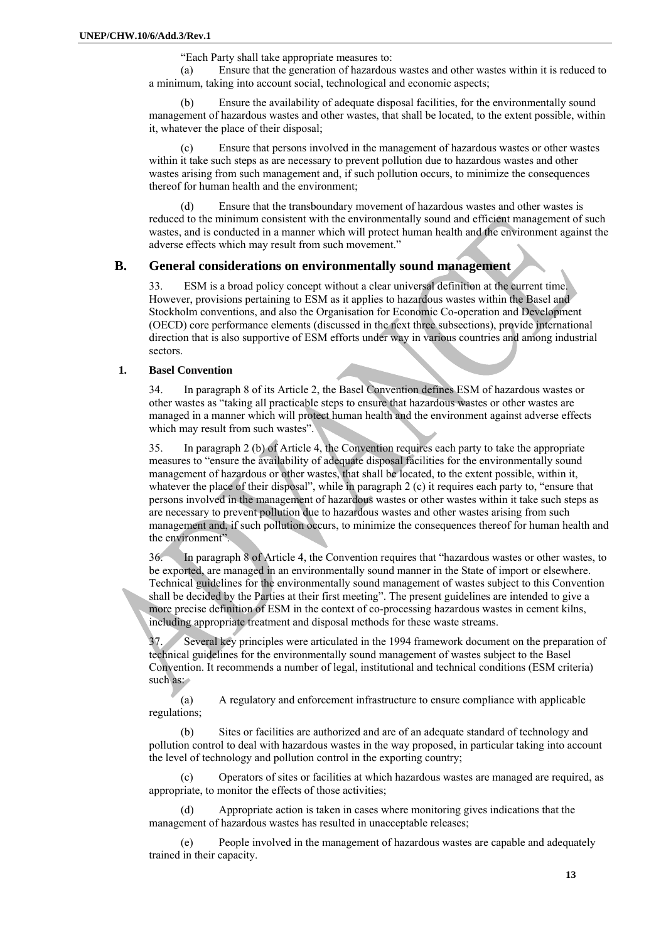"Each Party shall take appropriate measures to:

(a) Ensure that the generation of hazardous wastes and other wastes within it is reduced to a minimum, taking into account social, technological and economic aspects;

(b) Ensure the availability of adequate disposal facilities, for the environmentally sound management of hazardous wastes and other wastes, that shall be located, to the extent possible, within it, whatever the place of their disposal;

(c) Ensure that persons involved in the management of hazardous wastes or other wastes within it take such steps as are necessary to prevent pollution due to hazardous wastes and other wastes arising from such management and, if such pollution occurs, to minimize the consequences thereof for human health and the environment;

(d) Ensure that the transboundary movement of hazardous wastes and other wastes is reduced to the minimum consistent with the environmentally sound and efficient management of such wastes, and is conducted in a manner which will protect human health and the environment against the adverse effects which may result from such movement."

## **B. General considerations on environmentally sound management**

33. ESM is a broad policy concept without a clear universal definition at the current time. However, provisions pertaining to ESM as it applies to hazardous wastes within the Basel and Stockholm conventions, and also the Organisation for Economic Co-operation and Development (OECD) core performance elements (discussed in the next three subsections), provide international direction that is also supportive of ESM efforts under way in various countries and among industrial sectors.

#### **1. Basel Convention**

34. In paragraph 8 of its Article 2, the Basel Convention defines ESM of hazardous wastes or other wastes as "taking all practicable steps to ensure that hazardous wastes or other wastes are managed in a manner which will protect human health and the environment against adverse effects which may result from such wastes".

35. In paragraph 2 (b) of Article 4, the Convention requires each party to take the appropriate measures to "ensure the availability of adequate disposal facilities for the environmentally sound management of hazardous or other wastes, that shall be located, to the extent possible, within it, whatever the place of their disposal", while in paragraph 2 (c) it requires each party to, "ensure that persons involved in the management of hazardous wastes or other wastes within it take such steps as are necessary to prevent pollution due to hazardous wastes and other wastes arising from such management and, if such pollution occurs, to minimize the consequences thereof for human health and the environment".

36. In paragraph 8 of Article 4, the Convention requires that "hazardous wastes or other wastes, to be exported, are managed in an environmentally sound manner in the State of import or elsewhere. Technical guidelines for the environmentally sound management of wastes subject to this Convention shall be decided by the Parties at their first meeting". The present guidelines are intended to give a more precise definition of ESM in the context of co-processing hazardous wastes in cement kilns, including appropriate treatment and disposal methods for these waste streams.

37. Several key principles were articulated in the 1994 framework document on the preparation of technical guidelines for the environmentally sound management of wastes subject to the Basel Convention. It recommends a number of legal, institutional and technical conditions (ESM criteria) such as:

(a) A regulatory and enforcement infrastructure to ensure compliance with applicable regulations;

(b) Sites or facilities are authorized and are of an adequate standard of technology and pollution control to deal with hazardous wastes in the way proposed, in particular taking into account the level of technology and pollution control in the exporting country;

(c) Operators of sites or facilities at which hazardous wastes are managed are required, as appropriate, to monitor the effects of those activities;

Appropriate action is taken in cases where monitoring gives indications that the management of hazardous wastes has resulted in unacceptable releases;

(e) People involved in the management of hazardous wastes are capable and adequately trained in their capacity.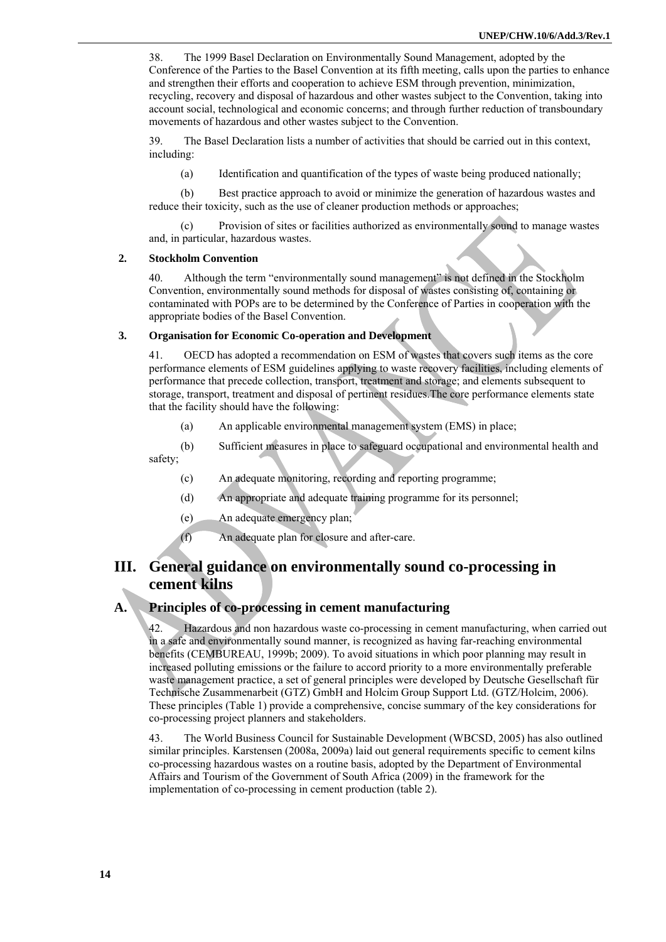38. The 1999 Basel Declaration on Environmentally Sound Management, adopted by the Conference of the Parties to the Basel Convention at its fifth meeting, calls upon the parties to enhance and strengthen their efforts and cooperation to achieve ESM through prevention, minimization, recycling, recovery and disposal of hazardous and other wastes subject to the Convention, taking into account social, technological and economic concerns; and through further reduction of transboundary movements of hazardous and other wastes subject to the Convention.

39. The Basel Declaration lists a number of activities that should be carried out in this context, including:

(a) Identification and quantification of the types of waste being produced nationally;

(b) Best practice approach to avoid or minimize the generation of hazardous wastes and reduce their toxicity, such as the use of cleaner production methods or approaches;

Provision of sites or facilities authorized as environmentally sound to manage wastes and, in particular, hazardous wastes.

#### **2. Stockholm Convention**

40. Although the term "environmentally sound management" is not defined in the Stockholm Convention, environmentally sound methods for disposal of wastes consisting of, containing or contaminated with POPs are to be determined by the Conference of Parties in cooperation with the appropriate bodies of the Basel Convention.

#### **3. Organisation for Economic Co-operation and Development**

41. OECD has adopted a recommendation on ESM of wastes that covers such items as the core performance elements of ESM guidelines applying to waste recovery facilities, including elements of performance that precede collection, transport, treatment and storage; and elements subsequent to storage, transport, treatment and disposal of pertinent residues.The core performance elements state that the facility should have the following:

- (a) An applicable environmental management system (EMS) in place;
- (b) Sufficient measures in place to safeguard occupational and environmental health and safety;
	- (c) An adequate monitoring, recording and reporting programme;
	- (d) An appropriate and adequate training programme for its personnel;
	- (e) An adequate emergency plan;
	- (f) An adequate plan for closure and after-care.

## **III. General guidance on environmentally sound co-processing in cement kilns**

## **A. Principles of co-processing in cement manufacturing**

42. Hazardous and non hazardous waste co-processing in cement manufacturing, when carried out in a safe and environmentally sound manner, is recognized as having far-reaching environmental benefits (CEMBUREAU, 1999b; 2009). To avoid situations in which poor planning may result in increased polluting emissions or the failure to accord priority to a more environmentally preferable waste management practice, a set of general principles were developed by Deutsche Gesellschaft für Technische Zusammenarbeit (GTZ) GmbH and Holcim Group Support Ltd. (GTZ/Holcim, 2006). These principles (Table 1) provide a comprehensive, concise summary of the key considerations for co-processing project planners and stakeholders.

43. The World Business Council for Sustainable Development (WBCSD, 2005) has also outlined similar principles. Karstensen (2008a, 2009a) laid out general requirements specific to cement kilns co-processing hazardous wastes on a routine basis, adopted by the Department of Environmental Affairs and Tourism of the Government of South Africa (2009) in the framework for the implementation of co-processing in cement production (table 2).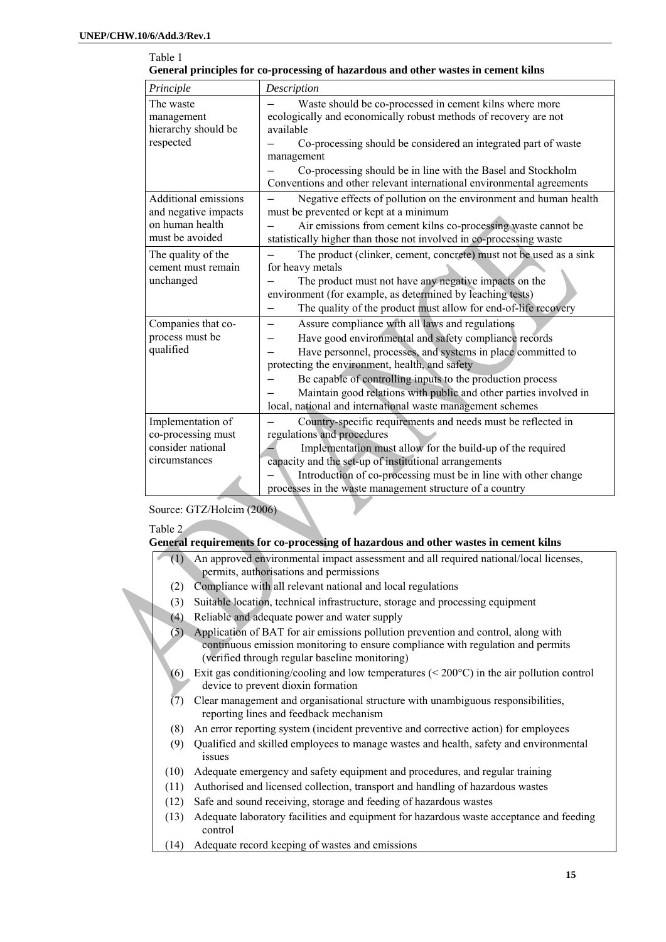|                             | General principles for co-processing of nazardous and other wastes in cement klins |  |  |  |
|-----------------------------|------------------------------------------------------------------------------------|--|--|--|
| Principle                   | Description                                                                        |  |  |  |
| The waste                   | Waste should be co-processed in cement kilns where more                            |  |  |  |
| management                  | ecologically and economically robust methods of recovery are not                   |  |  |  |
| hierarchy should be         | available                                                                          |  |  |  |
| respected                   | Co-processing should be considered an integrated part of waste<br>management       |  |  |  |
|                             | Co-processing should be in line with the Basel and Stockholm                       |  |  |  |
|                             | Conventions and other relevant international environmental agreements              |  |  |  |
| <b>Additional emissions</b> | Negative effects of pollution on the environment and human health                  |  |  |  |
| and negative impacts        | must be prevented or kept at a minimum                                             |  |  |  |
| on human health             | Air emissions from cement kilns co-processing waste cannot be                      |  |  |  |
| must be avoided             | statistically higher than those not involved in co-processing waste                |  |  |  |
| The quality of the          | The product (clinker, cement, concrete) must not be used as a sink                 |  |  |  |
| cement must remain          | for heavy metals                                                                   |  |  |  |
| unchanged                   | The product must not have any negative impacts on the                              |  |  |  |
|                             | environment (for example, as determined by leaching tests)                         |  |  |  |
|                             | The quality of the product must allow for end-of-life recovery                     |  |  |  |
| Companies that co-          | Assure compliance with all laws and regulations                                    |  |  |  |
| process must be             | Have good environmental and safety compliance records                              |  |  |  |
| qualified                   | Have personnel, processes, and systems in place committed to                       |  |  |  |
|                             | protecting the environment, health, and safety                                     |  |  |  |
|                             | Be capable of controlling inputs to the production process                         |  |  |  |
|                             | Maintain good relations with public and other parties involved in                  |  |  |  |
|                             | local, national and international waste management schemes                         |  |  |  |
| Implementation of           | Country-specific requirements and needs must be reflected in                       |  |  |  |
| co-processing must          | regulations and procedures                                                         |  |  |  |
| consider national           | Implementation must allow for the build-up of the required                         |  |  |  |
| circumstances               | capacity and the set-up of institutional arrangements                              |  |  |  |
|                             | Introduction of co-processing must be in line with other change                    |  |  |  |
|                             | processes in the waste management structure of a country                           |  |  |  |

| Table 1                                                                            |
|------------------------------------------------------------------------------------|
| General principles for co-processing of hazardous and other wastes in cement kilns |

Source: GTZ/Holcim (2006)

Table 2

#### **General requirements for co-processing of hazardous and other wastes in cement kilns**

| (1) An approved environmental impact assessment and all required national/local licenses, |  |  |
|-------------------------------------------------------------------------------------------|--|--|
| permits, authorisations and permissions                                                   |  |  |

- (2) Compliance with all relevant national and local regulations
- (3) Suitable location, technical infrastructure, storage and processing equipment
- (4) Reliable and adequate power and water supply
- (5) Application of BAT for air emissions pollution prevention and control, along with continuous emission monitoring to ensure compliance with regulation and permits (verified through regular baseline monitoring)
- (6) Exit gas conditioning/cooling and low temperatures ( $\leq 200^{\circ}$ C) in the air pollution control device to prevent dioxin formation
- (7) Clear management and organisational structure with unambiguous responsibilities, reporting lines and feedback mechanism
- (8) An error reporting system (incident preventive and corrective action) for employees
- (9) Qualified and skilled employees to manage wastes and health, safety and environmental issues
- (10) Adequate emergency and safety equipment and procedures, and regular training
- (11) Authorised and licensed collection, transport and handling of hazardous wastes
- (12) Safe and sound receiving, storage and feeding of hazardous wastes
- (13) Adequate laboratory facilities and equipment for hazardous waste acceptance and feeding control
- (14) Adequate record keeping of wastes and emissions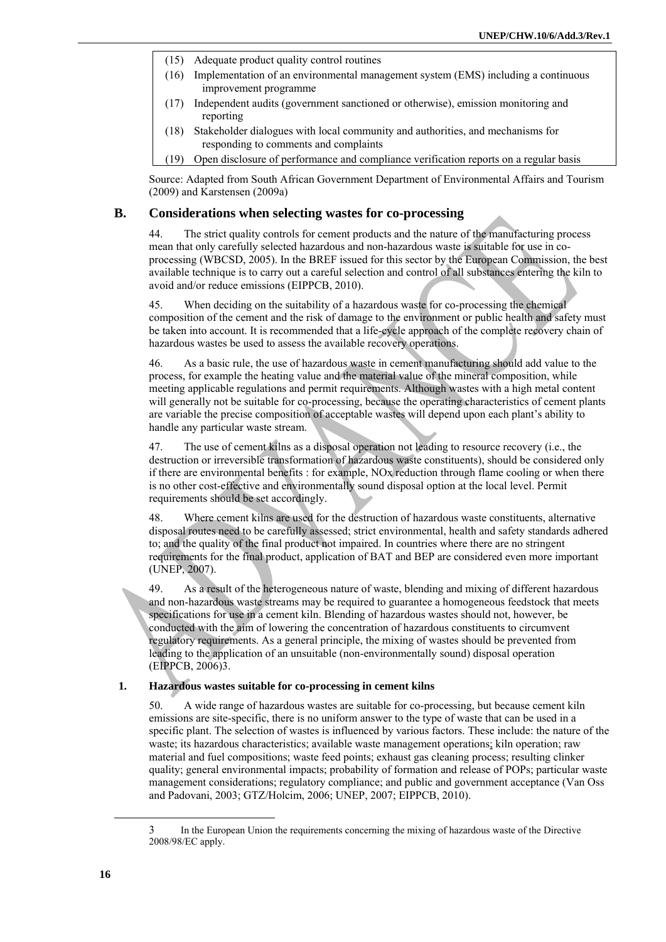- (15) Adequate product quality control routines
- (16) Implementation of an environmental management system (EMS) including a continuous improvement programme
- (17) Independent audits (government sanctioned or otherwise), emission monitoring and reporting
- (18) Stakeholder dialogues with local community and authorities, and mechanisms for responding to comments and complaints
- (19) Open disclosure of performance and compliance verification reports on a regular basis

Source: Adapted from South African Government Department of Environmental Affairs and Tourism (2009) and Karstensen (2009a)

### **B. Considerations when selecting wastes for co-processing**

44. The strict quality controls for cement products and the nature of the manufacturing process mean that only carefully selected hazardous and non-hazardous waste is suitable for use in coprocessing (WBCSD, 2005). In the BREF issued for this sector by the European Commission, the best available technique is to carry out a careful selection and control of all substances entering the kiln to avoid and/or reduce emissions (EIPPCB, 2010).

45. When deciding on the suitability of a hazardous waste for co-processing the chemical composition of the cement and the risk of damage to the environment or public health and safety must be taken into account. It is recommended that a life-cycle approach of the complete recovery chain of hazardous wastes be used to assess the available recovery operations.

46. As a basic rule, the use of hazardous waste in cement manufacturing should add value to the process, for example the heating value and the material value of the mineral composition, while meeting applicable regulations and permit requirements. Although wastes with a high metal content will generally not be suitable for co-processing, because the operating characteristics of cement plants are variable the precise composition of acceptable wastes will depend upon each plant's ability to handle any particular waste stream.

47. The use of cement kilns as a disposal operation not leading to resource recovery (i.e., the destruction or irreversible transformation of hazardous waste constituents), should be considered only if there are environmental benefits : for example, NOx reduction through flame cooling or when there is no other cost-effective and environmentally sound disposal option at the local level. Permit requirements should be set accordingly.

48. Where cement kilns are used for the destruction of hazardous waste constituents, alternative disposal routes need to be carefully assessed; strict environmental, health and safety standards adhered to; and the quality of the final product not impaired. In countries where there are no stringent requirements for the final product, application of BAT and BEP are considered even more important (UNEP, 2007).

49. As a result of the heterogeneous nature of waste, blending and mixing of different hazardous and non-hazardous waste streams may be required to guarantee a homogeneous feedstock that meets specifications for use in a cement kiln. Blending of hazardous wastes should not, however, be conducted with the aim of lowering the concentration of hazardous constituents to circumvent regulatory requirements. As a general principle, the mixing of wastes should be prevented from leading to the application of an unsuitable (non-environmentally sound) disposal operation (EIPPCB, 2006)3.

#### **1. Hazardous wastes suitable for co-processing in cement kilns**

50. A wide range of hazardous wastes are suitable for co-processing, but because cement kiln emissions are site-specific, there is no uniform answer to the type of waste that can be used in a specific plant. The selection of wastes is influenced by various factors. These include: the nature of the waste; its hazardous characteristics; available waste management operations; kiln operation; raw material and fuel compositions; waste feed points; exhaust gas cleaning process; resulting clinker quality; general environmental impacts; probability of formation and release of POPs; particular waste management considerations; regulatory compliance; and public and government acceptance (Van Oss and Padovani, 2003; GTZ/Holcim, 2006; UNEP, 2007; EIPPCB, 2010).

 $\overline{a}$ 

<sup>3</sup> In the European Union the requirements concerning the mixing of hazardous waste of the Directive 2008/98/EC apply.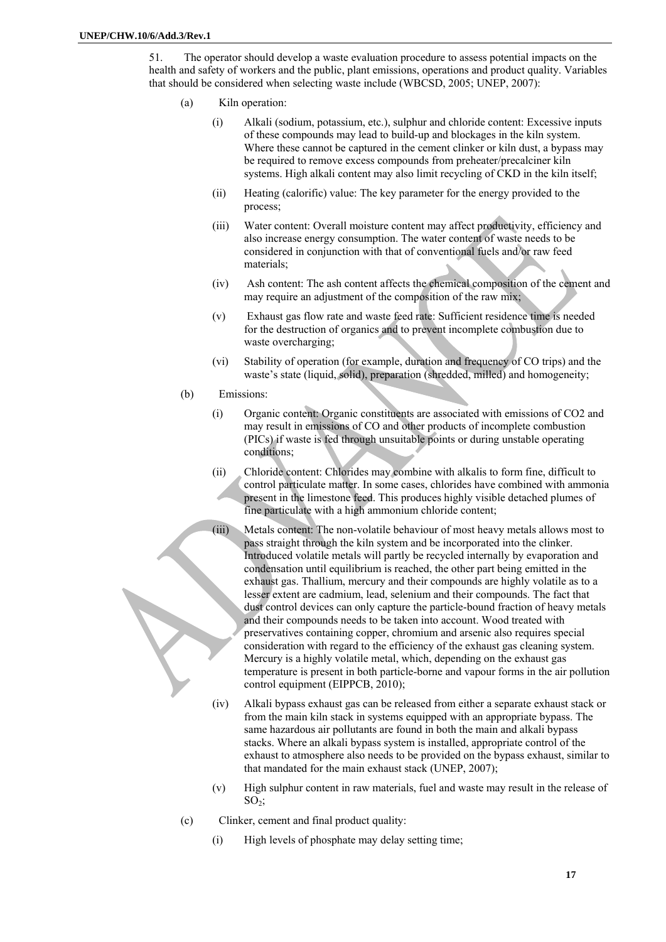51. The operator should develop a waste evaluation procedure to assess potential impacts on the health and safety of workers and the public, plant emissions, operations and product quality. Variables that should be considered when selecting waste include (WBCSD, 2005; UNEP, 2007):

- (a) Kiln operation:
	- (i) Alkali (sodium, potassium, etc.), sulphur and chloride content: Excessive inputs of these compounds may lead to build-up and blockages in the kiln system. Where these cannot be captured in the cement clinker or kiln dust, a bypass may be required to remove excess compounds from preheater/precalciner kiln systems. High alkali content may also limit recycling of CKD in the kiln itself;
	- (ii) Heating (calorific) value: The key parameter for the energy provided to the process;
	- (iii) Water content: Overall moisture content may affect productivity, efficiency and also increase energy consumption. The water content of waste needs to be considered in conjunction with that of conventional fuels and/or raw feed materials;
	- (iv) Ash content: The ash content affects the chemical composition of the cement and may require an adjustment of the composition of the raw mix;
	- (v) Exhaust gas flow rate and waste feed rate: Sufficient residence time is needed for the destruction of organics and to prevent incomplete combustion due to waste overcharging;
	- (vi) Stability of operation (for example, duration and frequency of CO trips) and the waste's state (liquid, solid), preparation (shredded, milled) and homogeneity;
- (b) Emissions:
	- (i) Organic content: Organic constituents are associated with emissions of CO2 and may result in emissions of CO and other products of incomplete combustion (PICs) if waste is fed through unsuitable points or during unstable operating conditions;
	- (ii) Chloride content: Chlorides may combine with alkalis to form fine, difficult to control particulate matter. In some cases, chlorides have combined with ammonia present in the limestone feed. This produces highly visible detached plumes of fine particulate with a high ammonium chloride content;
	- (iii) Metals content: The non-volatile behaviour of most heavy metals allows most to pass straight through the kiln system and be incorporated into the clinker. Introduced volatile metals will partly be recycled internally by evaporation and condensation until equilibrium is reached, the other part being emitted in the exhaust gas. Thallium, mercury and their compounds are highly volatile as to a lesser extent are cadmium, lead, selenium and their compounds. The fact that dust control devices can only capture the particle-bound fraction of heavy metals and their compounds needs to be taken into account. Wood treated with preservatives containing copper, chromium and arsenic also requires special consideration with regard to the efficiency of the exhaust gas cleaning system. Mercury is a highly volatile metal, which, depending on the exhaust gas temperature is present in both particle-borne and vapour forms in the air pollution control equipment (EIPPCB, 2010);
	- (iv) Alkali bypass exhaust gas can be released from either a separate exhaust stack or from the main kiln stack in systems equipped with an appropriate bypass. The same hazardous air pollutants are found in both the main and alkali bypass stacks. Where an alkali bypass system is installed, appropriate control of the exhaust to atmosphere also needs to be provided on the bypass exhaust, similar to that mandated for the main exhaust stack (UNEP, 2007);
	- (v) High sulphur content in raw materials, fuel and waste may result in the release of  $SO<sub>2</sub>$ ;
- (c) Clinker, cement and final product quality:
	- (i) High levels of phosphate may delay setting time;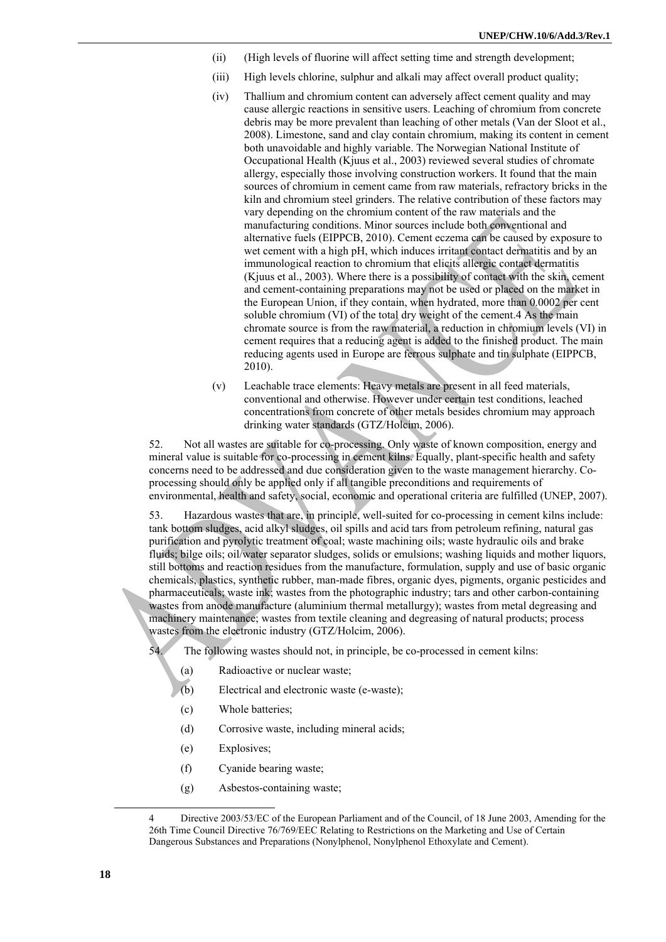- (ii) (High levels of fluorine will affect setting time and strength development;
- (iii) High levels chlorine, sulphur and alkali may affect overall product quality;
- (iv) Thallium and chromium content can adversely affect cement quality and may cause allergic reactions in sensitive users. Leaching of chromium from concrete debris may be more prevalent than leaching of other metals (Van der Sloot et al., 2008). Limestone, sand and clay contain chromium, making its content in cement both unavoidable and highly variable. The Norwegian National Institute of Occupational Health (Kjuus et al., 2003) reviewed several studies of chromate allergy, especially those involving construction workers. It found that the main sources of chromium in cement came from raw materials, refractory bricks in the kiln and chromium steel grinders. The relative contribution of these factors may vary depending on the chromium content of the raw materials and the manufacturing conditions. Minor sources include both conventional and alternative fuels (EIPPCB, 2010). Cement eczema can be caused by exposure to wet cement with a high pH, which induces irritant contact dermatitis and by an immunological reaction to chromium that elicits allergic contact dermatitis (Kjuus et al., 2003). Where there is a possibility of contact with the skin, cement and cement-containing preparations may not be used or placed on the market in the European Union, if they contain, when hydrated, more than 0.0002 per cent soluble chromium (VI) of the total dry weight of the cement.4 As the main chromate source is from the raw material, a reduction in chromium levels (VI) in cement requires that a reducing agent is added to the finished product. The main reducing agents used in Europe are ferrous sulphate and tin sulphate (EIPPCB, 2010).
- (v) Leachable trace elements: Heavy metals are present in all feed materials, conventional and otherwise. However under certain test conditions, leached concentrations from concrete of other metals besides chromium may approach drinking water standards (GTZ/Holcim, 2006).

52. Not all wastes are suitable for co-processing. Only waste of known composition, energy and mineral value is suitable for co-processing in cement kilns. Equally, plant-specific health and safety concerns need to be addressed and due consideration given to the waste management hierarchy. Coprocessing should only be applied only if all tangible preconditions and requirements of environmental, health and safety, social, economic and operational criteria are fulfilled (UNEP, 2007).

53. Hazardous wastes that are, in principle, well-suited for co-processing in cement kilns include: tank bottom sludges, acid alkyl sludges, oil spills and acid tars from petroleum refining, natural gas purification and pyrolytic treatment of coal; waste machining oils; waste hydraulic oils and brake fluids; bilge oils; oil/water separator sludges, solids or emulsions; washing liquids and mother liquors, still bottoms and reaction residues from the manufacture, formulation, supply and use of basic organic chemicals, plastics, synthetic rubber, man-made fibres, organic dyes, pigments, organic pesticides and pharmaceuticals; waste ink; wastes from the photographic industry; tars and other carbon-containing wastes from anode manufacture (aluminium thermal metallurgy); wastes from metal degreasing and machinery maintenance; wastes from textile cleaning and degreasing of natural products; process wastes from the electronic industry (GTZ/Holcim, 2006).

- The following wastes should not, in principle, be co-processed in cement kilns:
	- (a) Radioactive or nuclear waste;
	- (b) Electrical and electronic waste (e-waste);
	- (c) Whole batteries;
	- (d) Corrosive waste, including mineral acids;
	- (e) Explosives;
	- (f) Cyanide bearing waste;
	- (g) Asbestos-containing waste;

 $\overline{a}$ 

<sup>4</sup> Directive 2003/53/EC of the European Parliament and of the Council, of 18 June 2003, Amending for the 26th Time Council Directive 76/769/EEC Relating to Restrictions on the Marketing and Use of Certain Dangerous Substances and Preparations (Nonylphenol, Nonylphenol Ethoxylate and Cement).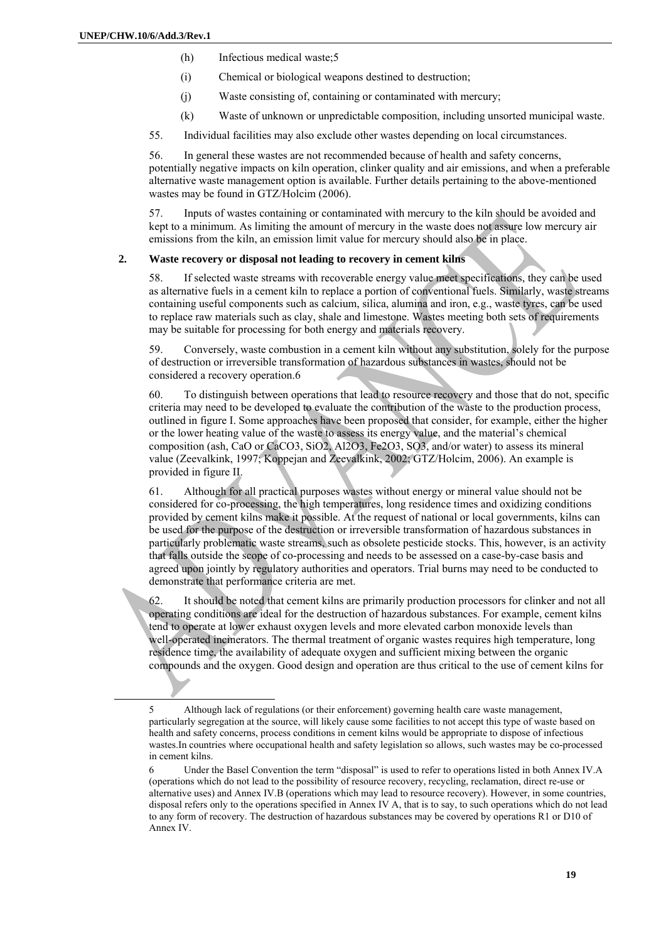$\overline{a}$ 

- (h) Infectious medical waste;5
- (i) Chemical or biological weapons destined to destruction;
- (j) Waste consisting of, containing or contaminated with mercury;
- (k) Waste of unknown or unpredictable composition, including unsorted municipal waste.
- 55. Individual facilities may also exclude other wastes depending on local circumstances.

56. In general these wastes are not recommended because of health and safety concerns, potentially negative impacts on kiln operation, clinker quality and air emissions, and when a preferable alternative waste management option is available. Further details pertaining to the above-mentioned wastes may be found in GTZ/Holcim (2006).

57. Inputs of wastes containing or contaminated with mercury to the kiln should be avoided and kept to a minimum. As limiting the amount of mercury in the waste does not assure low mercury air emissions from the kiln, an emission limit value for mercury should also be in place.

#### **2. Waste recovery or disposal not leading to recovery in cement kilns**

58. If selected waste streams with recoverable energy value meet specifications, they can be used as alternative fuels in a cement kiln to replace a portion of conventional fuels. Similarly, waste streams containing useful components such as calcium, silica, alumina and iron, e.g., waste tyres, can be used to replace raw materials such as clay, shale and limestone. Wastes meeting both sets of requirements may be suitable for processing for both energy and materials recovery.

59. Conversely, waste combustion in a cement kiln without any substitution, solely for the purpose of destruction or irreversible transformation of hazardous substances in wastes, should not be considered a recovery operation.6

60. To distinguish between operations that lead to resource recovery and those that do not, specific criteria may need to be developed to evaluate the contribution of the waste to the production process, outlined in figure I. Some approaches have been proposed that consider, for example, either the higher or the lower heating value of the waste to assess its energy value, and the material's chemical composition (ash, CaO or CaCO3, SiO2, Al2O3, Fe2O3, SO3, and/or water) to assess its mineral value (Zeevalkink, 1997; Koppejan and Zeevalkink, 2002; GTZ/Holcim, 2006). An example is provided in figure II.

61. Although for all practical purposes wastes without energy or mineral value should not be considered for co-processing, the high temperatures, long residence times and oxidizing conditions provided by cement kilns make it possible. At the request of national or local governments, kilns can be used for the purpose of the destruction or irreversible transformation of hazardous substances in particularly problematic waste streams, such as obsolete pesticide stocks. This, however, is an activity that falls outside the scope of co-processing and needs to be assessed on a case-by-case basis and agreed upon jointly by regulatory authorities and operators. Trial burns may need to be conducted to demonstrate that performance criteria are met.

62. It should be noted that cement kilns are primarily production processors for clinker and not all operating conditions are ideal for the destruction of hazardous substances. For example, cement kilns tend to operate at lower exhaust oxygen levels and more elevated carbon monoxide levels than well-operated incinerators. The thermal treatment of organic wastes requires high temperature, long residence time, the availability of adequate oxygen and sufficient mixing between the organic compounds and the oxygen. Good design and operation are thus critical to the use of cement kilns for

<sup>5</sup> Although lack of regulations (or their enforcement) governing health care waste management, particularly segregation at the source, will likely cause some facilities to not accept this type of waste based on health and safety concerns, process conditions in cement kilns would be appropriate to dispose of infectious wastes.In countries where occupational health and safety legislation so allows, such wastes may be co-processed in cement kilns.

<sup>6</sup> Under the Basel Convention the term "disposal" is used to refer to operations listed in both Annex IV.A (operations which do not lead to the possibility of resource recovery, recycling, reclamation, direct re-use or alternative uses) and Annex IV.B (operations which may lead to resource recovery). However, in some countries, disposal refers only to the operations specified in Annex IV A, that is to say, to such operations which do not lead to any form of recovery. The destruction of hazardous substances may be covered by operations R1 or D10 of Annex IV.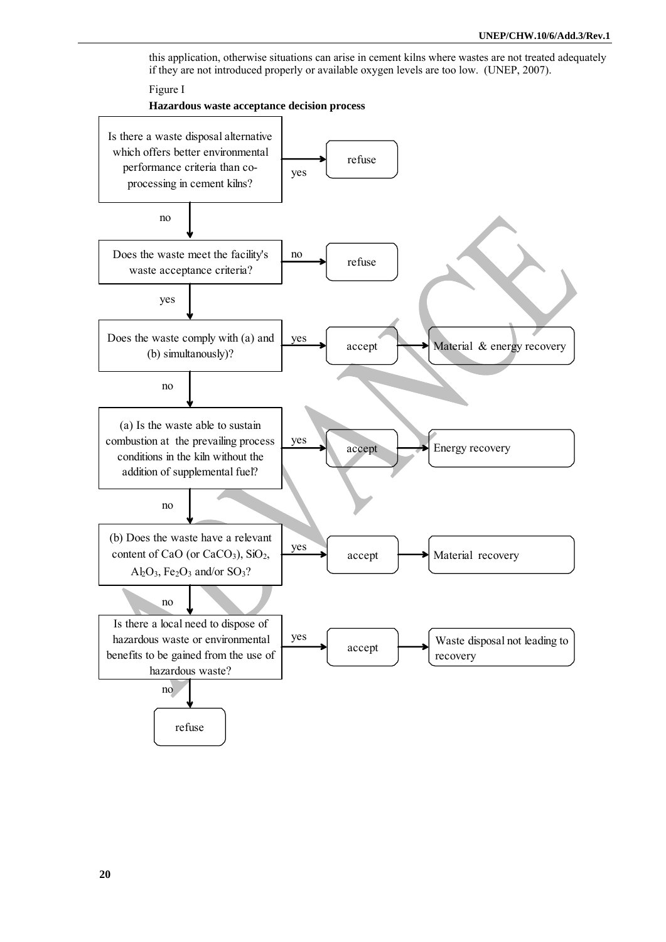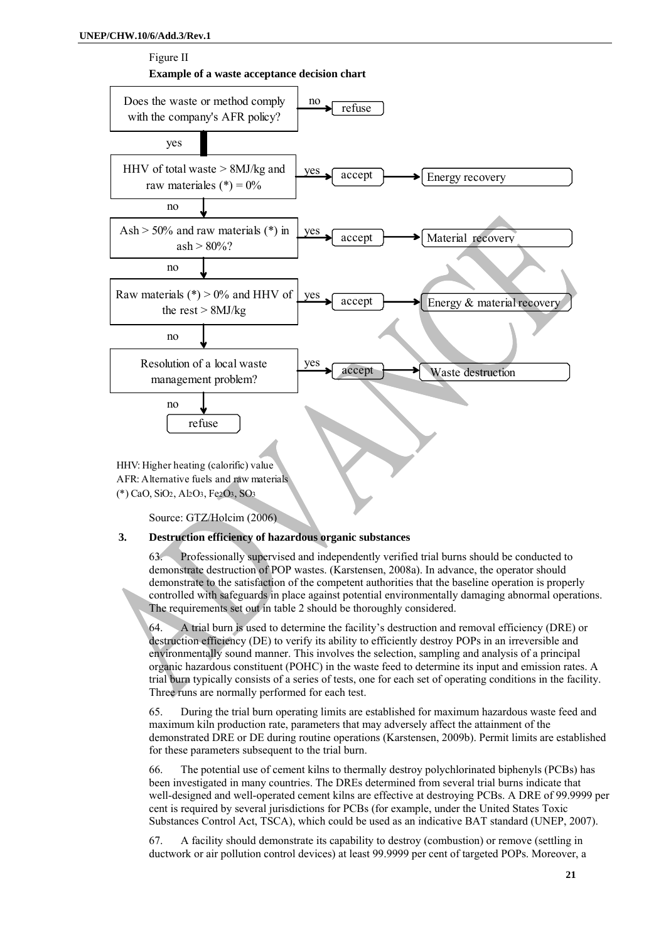

HHV: Higher heating (calorific) value AFR: Alternative fuels and raw materials (\*) CaO, SiO2, Al2O3, Fe2O3, SO3

Source: GTZ/Holcim (2006)

#### **3. Destruction efficiency of hazardous organic substances**

63. Professionally supervised and independently verified trial burns should be conducted to demonstrate destruction of POP wastes. (Karstensen, 2008a). In advance, the operator should demonstrate to the satisfaction of the competent authorities that the baseline operation is properly controlled with safeguards in place against potential environmentally damaging abnormal operations. The requirements set out in table 2 should be thoroughly considered.

64. A trial burn is used to determine the facility's destruction and removal efficiency (DRE) or destruction efficiency (DE) to verify its ability to efficiently destroy POPs in an irreversible and environmentally sound manner. This involves the selection, sampling and analysis of a principal organic hazardous constituent (POHC) in the waste feed to determine its input and emission rates. A trial burn typically consists of a series of tests, one for each set of operating conditions in the facility. Three runs are normally performed for each test.

65. During the trial burn operating limits are established for maximum hazardous waste feed and maximum kiln production rate, parameters that may adversely affect the attainment of the demonstrated DRE or DE during routine operations (Karstensen, 2009b). Permit limits are established for these parameters subsequent to the trial burn.

66. The potential use of cement kilns to thermally destroy polychlorinated biphenyls (PCBs) has been investigated in many countries. The DREs determined from several trial burns indicate that well-designed and well-operated cement kilns are effective at destroying PCBs. A DRE of 99.9999 per cent is required by several jurisdictions for PCBs (for example, under the United States Toxic Substances Control Act, TSCA), which could be used as an indicative BAT standard (UNEP, 2007).

67. A facility should demonstrate its capability to destroy (combustion) or remove (settling in ductwork or air pollution control devices) at least 99.9999 per cent of targeted POPs. Moreover, a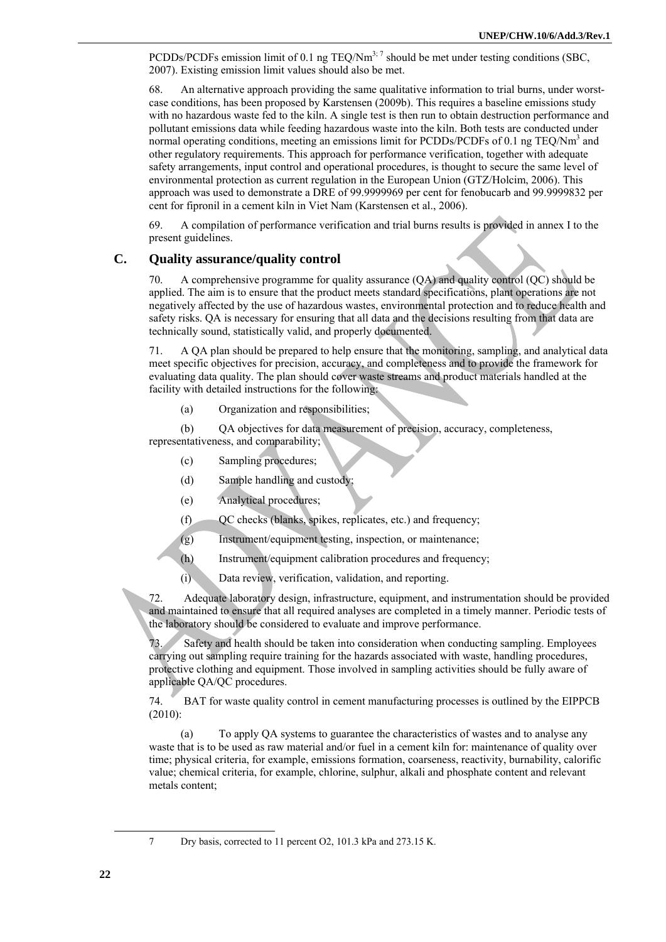PCDDs/PCDFs emission limit of 0.1 ng TEQ/Nm<sup>3; 7</sup> should be met under testing conditions (SBC, 2007). Existing emission limit values should also be met.

68. An alternative approach providing the same qualitative information to trial burns, under worstcase conditions, has been proposed by Karstensen (2009b). This requires a baseline emissions study with no hazardous waste fed to the kiln. A single test is then run to obtain destruction performance and pollutant emissions data while feeding hazardous waste into the kiln. Both tests are conducted under normal operating conditions, meeting an emissions limit for PCDDs/PCDFs of 0.1 ng TEQ/Nm<sup>3</sup> and other regulatory requirements. This approach for performance verification, together with adequate safety arrangements, input control and operational procedures, is thought to secure the same level of environmental protection as current regulation in the European Union (GTZ/Holcim, 2006). This approach was used to demonstrate a DRE of 99.9999969 per cent for fenobucarb and 99.9999832 per cent for fipronil in a cement kiln in Viet Nam (Karstensen et al., 2006).

69. A compilation of performance verification and trial burns results is provided in annex I to the present guidelines.

## **C. Quality assurance/quality control**

A comprehensive programme for quality assurance (QA) and quality control (OC) should be applied. The aim is to ensure that the product meets standard specifications, plant operations are not negatively affected by the use of hazardous wastes, environmental protection and to reduce health and safety risks. QA is necessary for ensuring that all data and the decisions resulting from that data are technically sound, statistically valid, and properly documented.

71. A QA plan should be prepared to help ensure that the monitoring, sampling, and analytical data meet specific objectives for precision, accuracy, and completeness and to provide the framework for evaluating data quality. The plan should cover waste streams and product materials handled at the facility with detailed instructions for the following:

(a) Organization and responsibilities;

(b) QA objectives for data measurement of precision, accuracy, completeness, representativeness, and comparability;

- (c) Sampling procedures;
	- (d) Sample handling and custody;
	- (e) Analytical procedures;
	- (f) QC checks (blanks, spikes, replicates, etc.) and frequency;
	- (g) Instrument/equipment testing, inspection, or maintenance;
- (h) Instrument/equipment calibration procedures and frequency;
- (i) Data review, verification, validation, and reporting.

72. Adequate laboratory design, infrastructure, equipment, and instrumentation should be provided and maintained to ensure that all required analyses are completed in a timely manner. Periodic tests of the laboratory should be considered to evaluate and improve performance.

73. Safety and health should be taken into consideration when conducting sampling. Employees carrying out sampling require training for the hazards associated with waste, handling procedures, protective clothing and equipment. Those involved in sampling activities should be fully aware of applicable QA/QC procedures.

74. BAT for waste quality control in cement manufacturing processes is outlined by the EIPPCB (2010):

(a) To apply QA systems to guarantee the characteristics of wastes and to analyse any waste that is to be used as raw material and/or fuel in a cement kiln for: maintenance of quality over time; physical criteria, for example, emissions formation, coarseness, reactivity, burnability, calorific value; chemical criteria, for example, chlorine, sulphur, alkali and phosphate content and relevant metals content;

 $\overline{a}$ 

<sup>7</sup> Dry basis, corrected to 11 percent O2, 101.3 kPa and 273.15 K.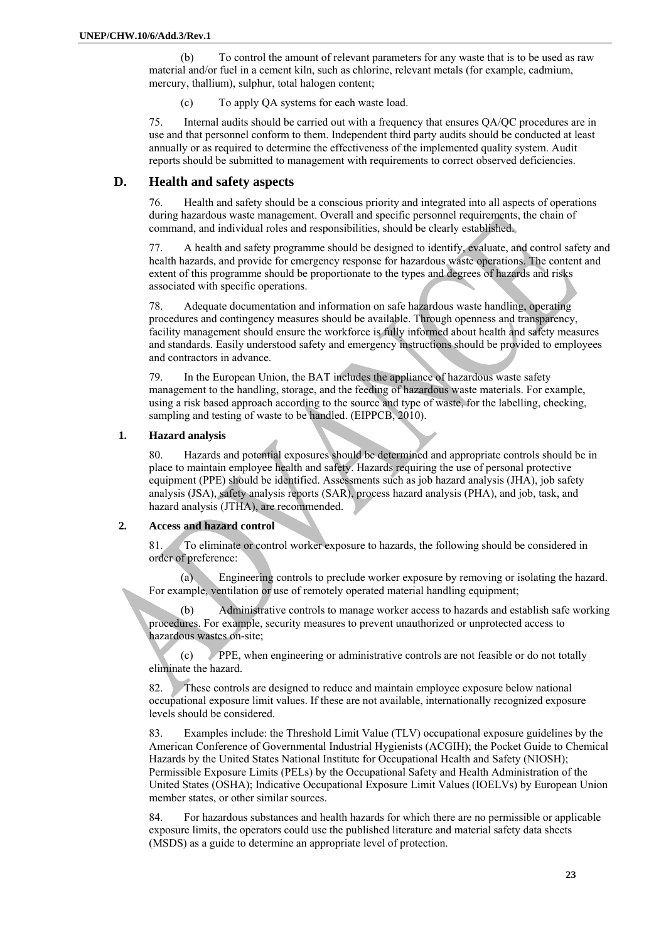(b) To control the amount of relevant parameters for any waste that is to be used as raw material and/or fuel in a cement kiln, such as chlorine, relevant metals (for example, cadmium, mercury, thallium), sulphur, total halogen content;

(c) To apply QA systems for each waste load.

75. Internal audits should be carried out with a frequency that ensures QA/QC procedures are in use and that personnel conform to them. Independent third party audits should be conducted at least annually or as required to determine the effectiveness of the implemented quality system. Audit reports should be submitted to management with requirements to correct observed deficiencies.

## **D. Health and safety aspects**

76. Health and safety should be a conscious priority and integrated into all aspects of operations during hazardous waste management. Overall and specific personnel requirements, the chain of command, and individual roles and responsibilities, should be clearly established.

77. A health and safety programme should be designed to identify, evaluate, and control safety and health hazards, and provide for emergency response for hazardous waste operations. The content and extent of this programme should be proportionate to the types and degrees of hazards and risks associated with specific operations.

78. Adequate documentation and information on safe hazardous waste handling, operating procedures and contingency measures should be available. Through openness and transparency, facility management should ensure the workforce is fully informed about health and safety measures and standards. Easily understood safety and emergency instructions should be provided to employees and contractors in advance.

79. In the European Union, the BAT includes the appliance of hazardous waste safety management to the handling, storage, and the feeding of hazardous waste materials. For example, using a risk based approach according to the source and type of waste, for the labelling, checking, sampling and testing of waste to be handled. (EIPPCB, 2010).

#### **1. Hazard analysis**

80. Hazards and potential exposures should be determined and appropriate controls should be in place to maintain employee health and safety. Hazards requiring the use of personal protective equipment (PPE) should be identified. Assessments such as job hazard analysis (JHA), job safety analysis (JSA), safety analysis reports (SAR), process hazard analysis (PHA), and job, task, and hazard analysis (JTHA), are recommended.

## **2. Access and hazard control**

81. To eliminate or control worker exposure to hazards, the following should be considered in order of preference:

(a) Engineering controls to preclude worker exposure by removing or isolating the hazard. For example, ventilation or use of remotely operated material handling equipment;

(b) Administrative controls to manage worker access to hazards and establish safe working procedures. For example, security measures to prevent unauthorized or unprotected access to hazardous wastes on-site;

(c) PPE, when engineering or administrative controls are not feasible or do not totally eliminate the hazard.

82. These controls are designed to reduce and maintain employee exposure below national occupational exposure limit values. If these are not available, internationally recognized exposure levels should be considered.

83. Examples include: the Threshold Limit Value (TLV) occupational exposure guidelines by the American Conference of Governmental Industrial Hygienists (ACGIH); the Pocket Guide to Chemical Hazards by the United States National Institute for Occupational Health and Safety (NIOSH); Permissible Exposure Limits (PELs) by the Occupational Safety and Health Administration of the United States (OSHA); Indicative Occupational Exposure Limit Values (IOELVs) by European Union member states, or other similar sources.

84. For hazardous substances and health hazards for which there are no permissible or applicable exposure limits, the operators could use the published literature and material safety data sheets (MSDS) as a guide to determine an appropriate level of protection.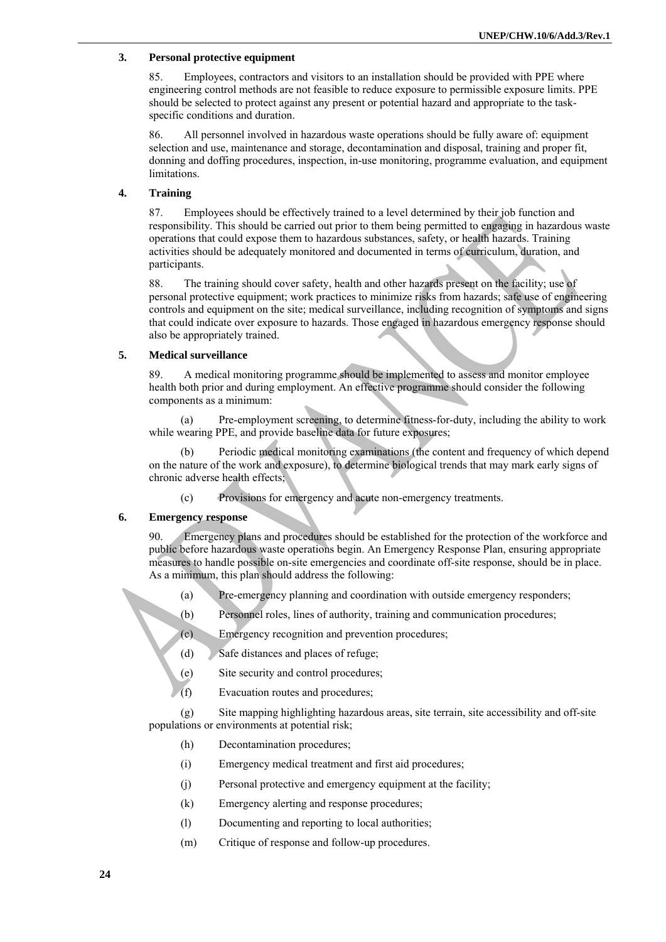#### **3. Personal protective equipment**

85. Employees, contractors and visitors to an installation should be provided with PPE where engineering control methods are not feasible to reduce exposure to permissible exposure limits. PPE should be selected to protect against any present or potential hazard and appropriate to the taskspecific conditions and duration.

86. All personnel involved in hazardous waste operations should be fully aware of: equipment selection and use, maintenance and storage, decontamination and disposal, training and proper fit, donning and doffing procedures, inspection, in-use monitoring, programme evaluation, and equipment limitations.

#### **4. Training**

87. Employees should be effectively trained to a level determined by their job function and responsibility. This should be carried out prior to them being permitted to engaging in hazardous waste operations that could expose them to hazardous substances, safety, or health hazards. Training activities should be adequately monitored and documented in terms of curriculum, duration, and participants.

88. The training should cover safety, health and other hazards present on the facility; use of personal protective equipment; work practices to minimize risks from hazards; safe use of engineering controls and equipment on the site; medical surveillance, including recognition of symptoms and signs that could indicate over exposure to hazards. Those engaged in hazardous emergency response should also be appropriately trained.

#### **5. Medical surveillance**

89. A medical monitoring programme should be implemented to assess and monitor employee health both prior and during employment. An effective programme should consider the following components as a minimum:

(a) Pre-employment screening, to determine fitness-for-duty, including the ability to work while wearing PPE, and provide baseline data for future exposures;

(b) Periodic medical monitoring examinations (the content and frequency of which depend on the nature of the work and exposure), to determine biological trends that may mark early signs of chronic adverse health effects;

(c) Provisions for emergency and acute non-emergency treatments.

### **6. Emergency response**

90. Emergency plans and procedures should be established for the protection of the workforce and public before hazardous waste operations begin. An Emergency Response Plan, ensuring appropriate measures to handle possible on-site emergencies and coordinate off-site response, should be in place. As a minimum, this plan should address the following:

- (a) Pre-emergency planning and coordination with outside emergency responders;
- (b) Personnel roles, lines of authority, training and communication procedures;
- (c) Emergency recognition and prevention procedures;
- (d) Safe distances and places of refuge;
- (e) Site security and control procedures;
- (f) Evacuation routes and procedures;

(g) Site mapping highlighting hazardous areas, site terrain, site accessibility and off-site populations or environments at potential risk;

- (h) Decontamination procedures;
- (i) Emergency medical treatment and first aid procedures;
- (j) Personal protective and emergency equipment at the facility;
- (k) Emergency alerting and response procedures;
- (l) Documenting and reporting to local authorities;
- (m) Critique of response and follow-up procedures.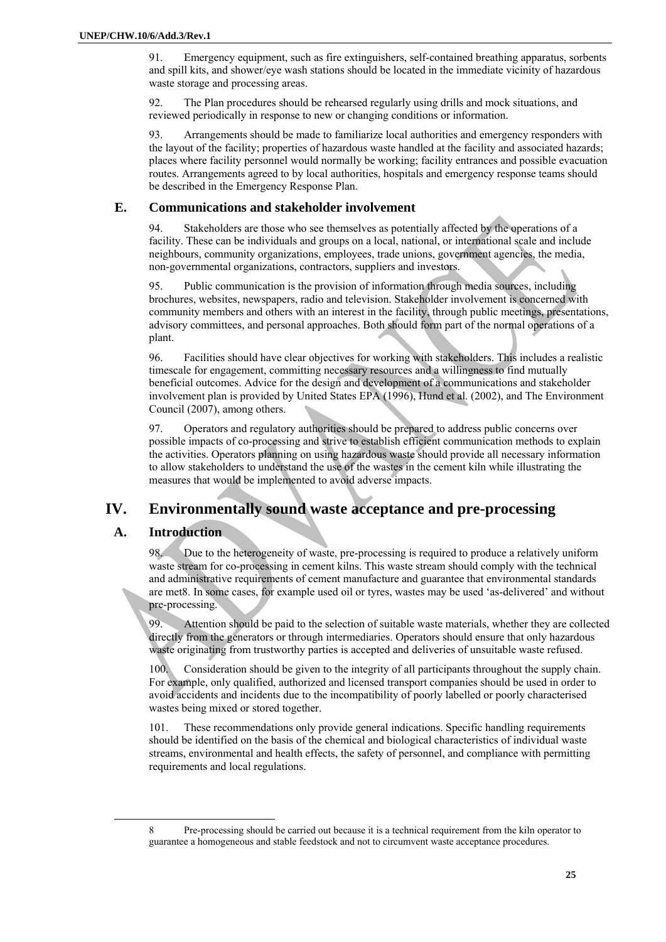91. Emergency equipment, such as fire extinguishers, self-contained breathing apparatus, sorbents and spill kits, and shower/eye wash stations should be located in the immediate vicinity of hazardous waste storage and processing areas.

92. The Plan procedures should be rehearsed regularly using drills and mock situations, and reviewed periodically in response to new or changing conditions or information.

93. Arrangements should be made to familiarize local authorities and emergency responders with the layout of the facility; properties of hazardous waste handled at the facility and associated hazards; places where facility personnel would normally be working; facility entrances and possible evacuation routes. Arrangements agreed to by local authorities, hospitals and emergency response teams should be described in the Emergency Response Plan.

## **E. Communications and stakeholder involvement**

94. Stakeholders are those who see themselves as potentially affected by the operations of a facility. These can be individuals and groups on a local, national, or international scale and include neighbours, community organizations, employees, trade unions, government agencies, the media, non-governmental organizations, contractors, suppliers and investors.

95. Public communication is the provision of information through media sources, including brochures, websites, newspapers, radio and television. Stakeholder involvement is concerned with community members and others with an interest in the facility, through public meetings, presentations, advisory committees, and personal approaches. Both should form part of the normal operations of a plant.

96. Facilities should have clear objectives for working with stakeholders. This includes a realistic timescale for engagement, committing necessary resources and a willingness to find mutually beneficial outcomes. Advice for the design and development of a communications and stakeholder involvement plan is provided by United States EPA (1996), Hund et al. (2002), and The Environment Council (2007), among others.

97. Operators and regulatory authorities should be prepared to address public concerns over possible impacts of co-processing and strive to establish efficient communication methods to explain the activities. Operators planning on using hazardous waste should provide all necessary information to allow stakeholders to understand the use of the wastes in the cement kiln while illustrating the measures that would be implemented to avoid adverse impacts.

## **IV. Environmentally sound waste acceptance and pre-processing**

## **A. Introduction**

 $\overline{a}$ 

98. Due to the heterogeneity of waste, pre-processing is required to produce a relatively uniform waste stream for co-processing in cement kilns. This waste stream should comply with the technical and administrative requirements of cement manufacture and guarantee that environmental standards are met8. In some cases, for example used oil or tyres, wastes may be used 'as-delivered' and without pre-processing.

99. Attention should be paid to the selection of suitable waste materials, whether they are collected directly from the generators or through intermediaries. Operators should ensure that only hazardous waste originating from trustworthy parties is accepted and deliveries of unsuitable waste refused.

100. Consideration should be given to the integrity of all participants throughout the supply chain. For example, only qualified, authorized and licensed transport companies should be used in order to avoid accidents and incidents due to the incompatibility of poorly labelled or poorly characterised wastes being mixed or stored together.

101. These recommendations only provide general indications. Specific handling requirements should be identified on the basis of the chemical and biological characteristics of individual waste streams, environmental and health effects, the safety of personnel, and compliance with permitting requirements and local regulations.

<sup>8</sup> Pre-processing should be carried out because it is a technical requirement from the kiln operator to guarantee a homogeneous and stable feedstock and not to circumvent waste acceptance procedures.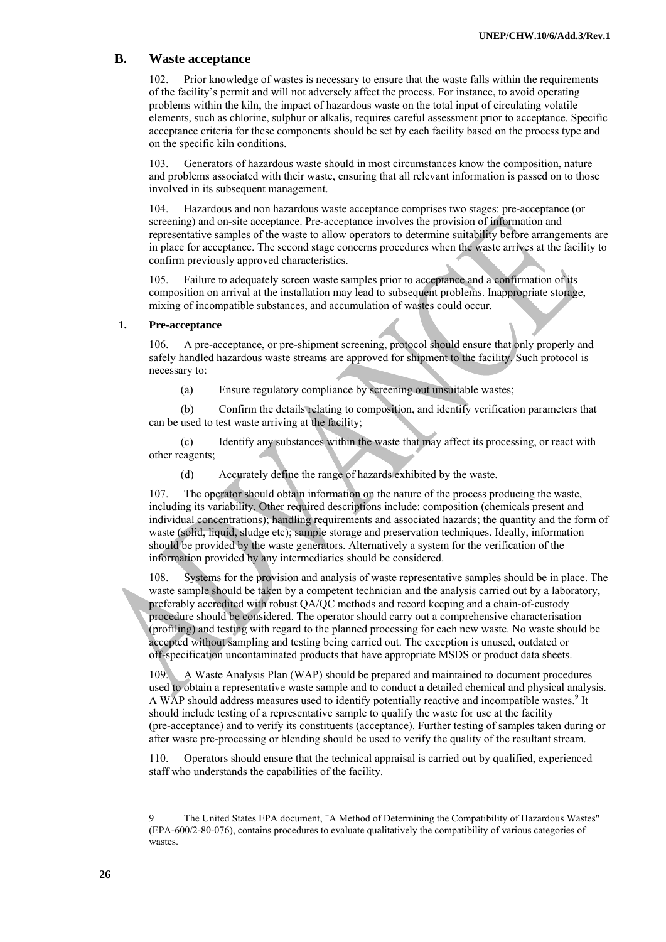## **B. Waste acceptance**

102. Prior knowledge of wastes is necessary to ensure that the waste falls within the requirements of the facility's permit and will not adversely affect the process. For instance, to avoid operating problems within the kiln, the impact of hazardous waste on the total input of circulating volatile elements, such as chlorine, sulphur or alkalis, requires careful assessment prior to acceptance. Specific acceptance criteria for these components should be set by each facility based on the process type and on the specific kiln conditions.

103. Generators of hazardous waste should in most circumstances know the composition, nature and problems associated with their waste, ensuring that all relevant information is passed on to those involved in its subsequent management.

104. Hazardous and non hazardous waste acceptance comprises two stages: pre-acceptance (or screening) and on-site acceptance. Pre-acceptance involves the provision of information and representative samples of the waste to allow operators to determine suitability before arrangements are in place for acceptance. The second stage concerns procedures when the waste arrives at the facility to confirm previously approved characteristics.

105. Failure to adequately screen waste samples prior to acceptance and a confirmation of its composition on arrival at the installation may lead to subsequent problems. Inappropriate storage, mixing of incompatible substances, and accumulation of wastes could occur.

#### **1. Pre-acceptance**

106. A pre-acceptance, or pre-shipment screening, protocol should ensure that only properly and safely handled hazardous waste streams are approved for shipment to the facility. Such protocol is necessary to:

(a) Ensure regulatory compliance by screening out unsuitable wastes;

(b) Confirm the details relating to composition, and identify verification parameters that can be used to test waste arriving at the facility;

(c) Identify any substances within the waste that may affect its processing, or react with other reagents;

(d) Accurately define the range of hazards exhibited by the waste.

107. The operator should obtain information on the nature of the process producing the waste, including its variability. Other required descriptions include: composition (chemicals present and individual concentrations); handling requirements and associated hazards; the quantity and the form of waste (solid, liquid, sludge etc); sample storage and preservation techniques. Ideally, information should be provided by the waste generators. Alternatively a system for the verification of the information provided by any intermediaries should be considered.

108. Systems for the provision and analysis of waste representative samples should be in place. The waste sample should be taken by a competent technician and the analysis carried out by a laboratory, preferably accredited with robust QA/QC methods and record keeping and a chain-of-custody procedure should be considered. The operator should carry out a comprehensive characterisation (profiling) and testing with regard to the planned processing for each new waste. No waste should be accepted without sampling and testing being carried out. The exception is unused, outdated or off-specification uncontaminated products that have appropriate MSDS or product data sheets.

109. A Waste Analysis Plan (WAP) should be prepared and maintained to document procedures used to obtain a representative waste sample and to conduct a detailed chemical and physical analysis. A WAP should address measures used to identify potentially reactive and incompatible wastes.<sup>9</sup> It should include testing of a representative sample to qualify the waste for use at the facility (pre-acceptance) and to verify its constituents (acceptance). Further testing of samples taken during or after waste pre-processing or blending should be used to verify the quality of the resultant stream.

110. Operators should ensure that the technical appraisal is carried out by qualified, experienced staff who understands the capabilities of the facility.

 $\overline{a}$ 

<sup>9</sup> The United States EPA document, "A Method of Determining the Compatibility of Hazardous Wastes" (EPA-600/2-80-076), contains procedures to evaluate qualitatively the compatibility of various categories of wastes.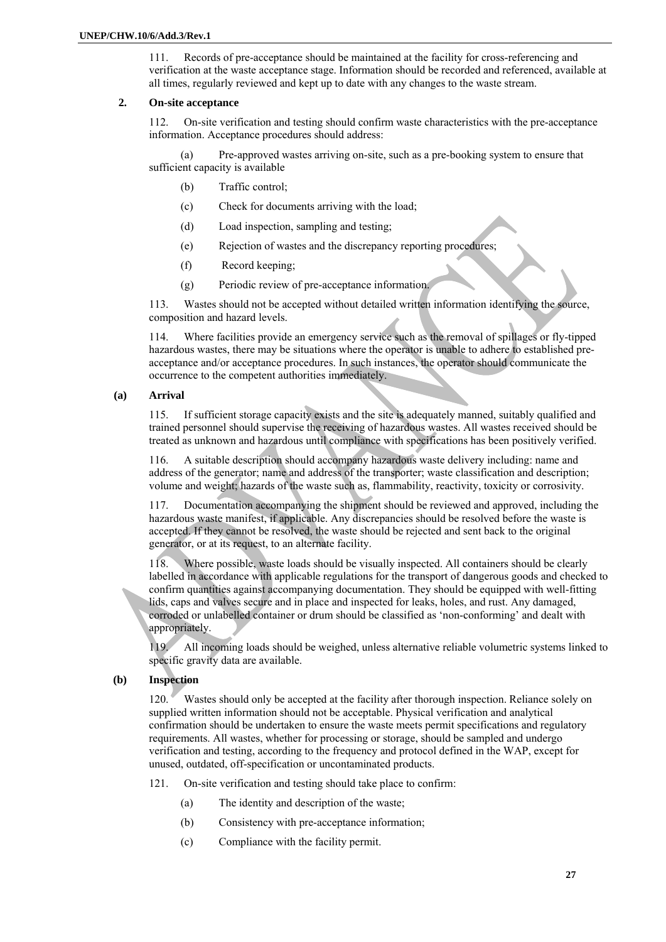111. Records of pre-acceptance should be maintained at the facility for cross-referencing and verification at the waste acceptance stage. Information should be recorded and referenced, available at all times, regularly reviewed and kept up to date with any changes to the waste stream.

#### **2. On-site acceptance**

112. On-site verification and testing should confirm waste characteristics with the pre-acceptance information. Acceptance procedures should address:

(a) Pre-approved wastes arriving on-site, such as a pre-booking system to ensure that sufficient capacity is available

- (b) Traffic control;
- (c) Check for documents arriving with the load;
- (d) Load inspection, sampling and testing;
- (e) Rejection of wastes and the discrepancy reporting procedures;
- (f) Record keeping;
- (g) Periodic review of pre-acceptance information.

113. Wastes should not be accepted without detailed written information identifying the source, composition and hazard levels.

114. Where facilities provide an emergency service such as the removal of spillages or fly-tipped hazardous wastes, there may be situations where the operator is unable to adhere to established preacceptance and/or acceptance procedures. In such instances, the operator should communicate the occurrence to the competent authorities immediately.

#### **(a) Arrival**

115. If sufficient storage capacity exists and the site is adequately manned, suitably qualified and trained personnel should supervise the receiving of hazardous wastes. All wastes received should be treated as unknown and hazardous until compliance with specifications has been positively verified.

116. A suitable description should accompany hazardous waste delivery including: name and address of the generator; name and address of the transporter; waste classification and description; volume and weight; hazards of the waste such as, flammability, reactivity, toxicity or corrosivity.

117. Documentation accompanying the shipment should be reviewed and approved, including the hazardous waste manifest, if applicable. Any discrepancies should be resolved before the waste is accepted. If they cannot be resolved, the waste should be rejected and sent back to the original generator, or at its request, to an alternate facility.

118. Where possible, waste loads should be visually inspected. All containers should be clearly labelled in accordance with applicable regulations for the transport of dangerous goods and checked to confirm quantities against accompanying documentation. They should be equipped with well-fitting lids, caps and valves secure and in place and inspected for leaks, holes, and rust. Any damaged, corroded or unlabelled container or drum should be classified as 'non-conforming' and dealt with appropriately.

119. All incoming loads should be weighed, unless alternative reliable volumetric systems linked to specific gravity data are available.

## **(b) Inspection**

120. Wastes should only be accepted at the facility after thorough inspection. Reliance solely on supplied written information should not be acceptable. Physical verification and analytical confirmation should be undertaken to ensure the waste meets permit specifications and regulatory requirements. All wastes, whether for processing or storage, should be sampled and undergo verification and testing, according to the frequency and protocol defined in the WAP, except for unused, outdated, off-specification or uncontaminated products.

- 121. On-site verification and testing should take place to confirm:
	- (a) The identity and description of the waste;
	- (b) Consistency with pre-acceptance information;
	- (c) Compliance with the facility permit.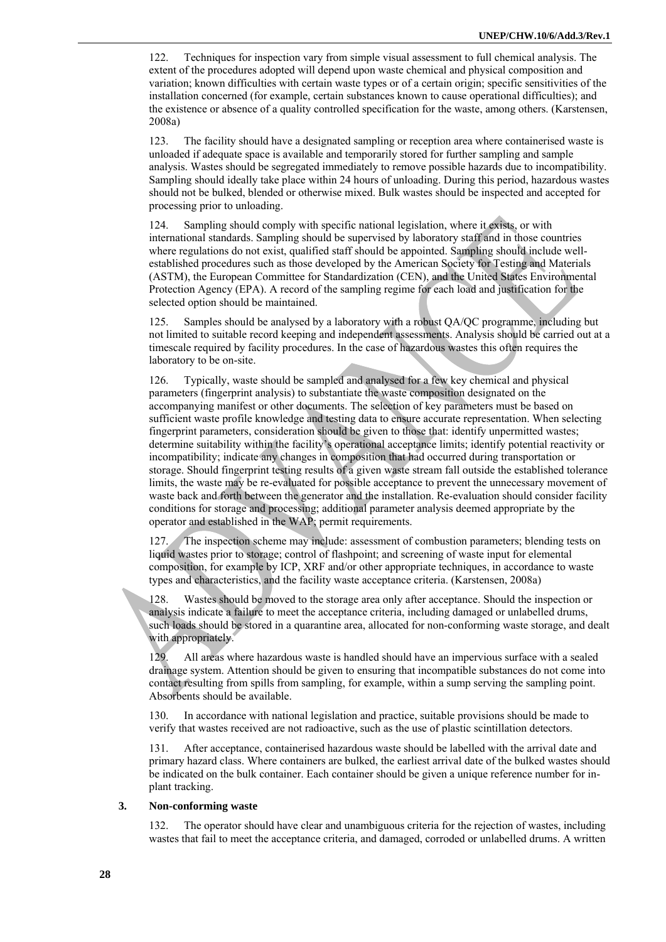122. Techniques for inspection vary from simple visual assessment to full chemical analysis. The extent of the procedures adopted will depend upon waste chemical and physical composition and variation; known difficulties with certain waste types or of a certain origin; specific sensitivities of the installation concerned (for example, certain substances known to cause operational difficulties); and the existence or absence of a quality controlled specification for the waste, among others. (Karstensen, 2008a)

123. The facility should have a designated sampling or reception area where containerised waste is unloaded if adequate space is available and temporarily stored for further sampling and sample analysis. Wastes should be segregated immediately to remove possible hazards due to incompatibility. Sampling should ideally take place within 24 hours of unloading. During this period, hazardous wastes should not be bulked, blended or otherwise mixed. Bulk wastes should be inspected and accepted for processing prior to unloading.

124. Sampling should comply with specific national legislation, where it exists, or with international standards. Sampling should be supervised by laboratory staff and in those countries where regulations do not exist, qualified staff should be appointed. Sampling should include wellestablished procedures such as those developed by the American Society for Testing and Materials (ASTM), the European Committee for Standardization (CEN), and the United States Environmental Protection Agency (EPA). A record of the sampling regime for each load and justification for the selected option should be maintained.

125. Samples should be analysed by a laboratory with a robust QA/QC programme, including but not limited to suitable record keeping and independent assessments. Analysis should be carried out at a timescale required by facility procedures. In the case of hazardous wastes this often requires the laboratory to be on-site.

126. Typically, waste should be sampled and analysed for a few key chemical and physical parameters (fingerprint analysis) to substantiate the waste composition designated on the accompanying manifest or other documents. The selection of key parameters must be based on sufficient waste profile knowledge and testing data to ensure accurate representation. When selecting fingerprint parameters, consideration should be given to those that: identify unpermitted wastes; determine suitability within the facility's operational acceptance limits; identify potential reactivity or incompatibility; indicate any changes in composition that had occurred during transportation or storage. Should fingerprint testing results of a given waste stream fall outside the established tolerance limits, the waste may be re-evaluated for possible acceptance to prevent the unnecessary movement of waste back and forth between the generator and the installation. Re-evaluation should consider facility conditions for storage and processing; additional parameter analysis deemed appropriate by the operator and established in the WAP; permit requirements.

127. The inspection scheme may include: assessment of combustion parameters; blending tests on liquid wastes prior to storage; control of flashpoint; and screening of waste input for elemental composition, for example by ICP, XRF and/or other appropriate techniques, in accordance to waste types and characteristics, and the facility waste acceptance criteria. (Karstensen, 2008a)

128. Wastes should be moved to the storage area only after acceptance. Should the inspection or analysis indicate a failure to meet the acceptance criteria, including damaged or unlabelled drums, such loads should be stored in a quarantine area, allocated for non-conforming waste storage, and dealt with appropriately.

129. All areas where hazardous waste is handled should have an impervious surface with a sealed drainage system. Attention should be given to ensuring that incompatible substances do not come into contact resulting from spills from sampling, for example, within a sump serving the sampling point. Absorbents should be available.

130. In accordance with national legislation and practice, suitable provisions should be made to verify that wastes received are not radioactive, such as the use of plastic scintillation detectors.

131. After acceptance, containerised hazardous waste should be labelled with the arrival date and primary hazard class. Where containers are bulked, the earliest arrival date of the bulked wastes should be indicated on the bulk container. Each container should be given a unique reference number for inplant tracking.

#### **3. Non-conforming waste**

132. The operator should have clear and unambiguous criteria for the rejection of wastes, including wastes that fail to meet the acceptance criteria, and damaged, corroded or unlabelled drums. A written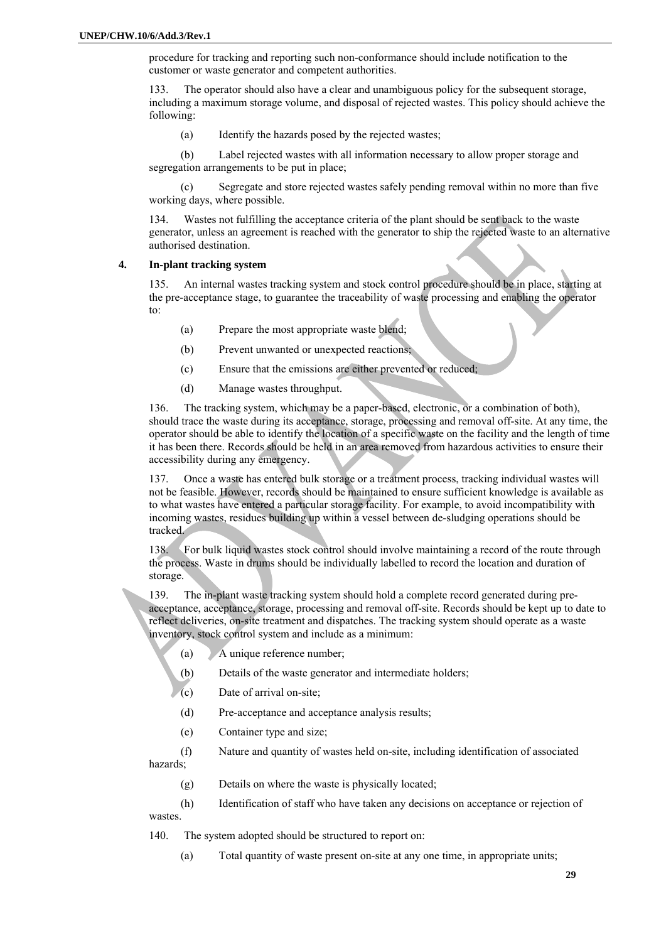procedure for tracking and reporting such non-conformance should include notification to the customer or waste generator and competent authorities.

133. The operator should also have a clear and unambiguous policy for the subsequent storage, including a maximum storage volume, and disposal of rejected wastes. This policy should achieve the following:

(a) Identify the hazards posed by the rejected wastes;

(b) Label rejected wastes with all information necessary to allow proper storage and segregation arrangements to be put in place;

(c) Segregate and store rejected wastes safely pending removal within no more than five working days, where possible.

134. Wastes not fulfilling the acceptance criteria of the plant should be sent back to the waste generator, unless an agreement is reached with the generator to ship the rejected waste to an alternative authorised destination.

#### **4. In-plant tracking system**

135. An internal wastes tracking system and stock control procedure should be in place, starting at the pre-acceptance stage, to guarantee the traceability of waste processing and enabling the operator to:

- (a) Prepare the most appropriate waste blend;
- (b) Prevent unwanted or unexpected reactions;
- (c) Ensure that the emissions are either prevented or reduced;
- (d) Manage wastes throughput.

136. The tracking system, which may be a paper-based, electronic, or a combination of both), should trace the waste during its acceptance, storage, processing and removal off-site. At any time, the operator should be able to identify the location of a specific waste on the facility and the length of time it has been there. Records should be held in an area removed from hazardous activities to ensure their accessibility during any emergency.

137. Once a waste has entered bulk storage or a treatment process, tracking individual wastes will not be feasible. However, records should be maintained to ensure sufficient knowledge is available as to what wastes have entered a particular storage facility. For example, to avoid incompatibility with incoming wastes, residues building up within a vessel between de-sludging operations should be tracked.

138. For bulk liquid wastes stock control should involve maintaining a record of the route through the process. Waste in drums should be individually labelled to record the location and duration of storage.

139. The in-plant waste tracking system should hold a complete record generated during preacceptance, acceptance, storage, processing and removal off-site. Records should be kept up to date to reflect deliveries, on-site treatment and dispatches. The tracking system should operate as a waste inventory, stock control system and include as a minimum:

- (a) A unique reference number;
- (b) Details of the waste generator and intermediate holders;
- (c) Date of arrival on-site;
- (d) Pre-acceptance and acceptance analysis results;
- (e) Container type and size;

(f) Nature and quantity of wastes held on-site, including identification of associated hazards;

(g) Details on where the waste is physically located;

(h) Identification of staff who have taken any decisions on acceptance or rejection of wastes.

140. The system adopted should be structured to report on:

(a) Total quantity of waste present on-site at any one time, in appropriate units;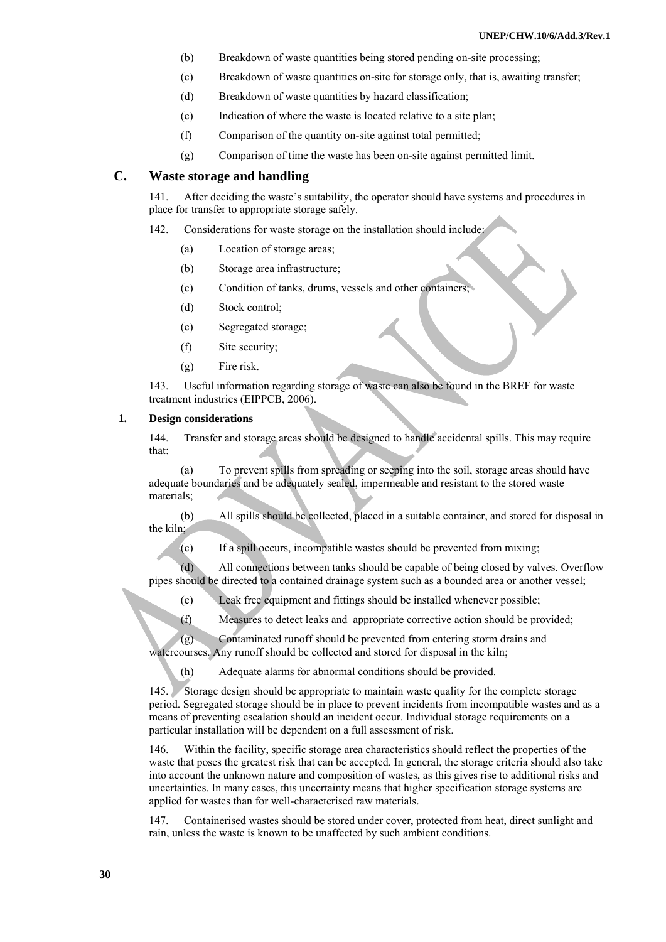- (b) Breakdown of waste quantities being stored pending on-site processing;
- (c) Breakdown of waste quantities on-site for storage only, that is, awaiting transfer;
- (d) Breakdown of waste quantities by hazard classification;
- (e) Indication of where the waste is located relative to a site plan;
- (f) Comparison of the quantity on-site against total permitted;
- (g) Comparison of time the waste has been on-site against permitted limit.

#### **C. Waste storage and handling**

141. After deciding the waste's suitability, the operator should have systems and procedures in place for transfer to appropriate storage safely.

142. Considerations for waste storage on the installation should include:

- (a) Location of storage areas;
- (b) Storage area infrastructure;
- (c) Condition of tanks, drums, vessels and other containers;
- (d) Stock control;
- (e) Segregated storage;
- (f) Site security;
- (g) Fire risk.

143. Useful information regarding storage of waste can also be found in the BREF for waste treatment industries (EIPPCB, 2006).

#### **1. Design considerations**

144. Transfer and storage areas should be designed to handle accidental spills. This may require that:

(a) To prevent spills from spreading or seeping into the soil, storage areas should have adequate boundaries and be adequately sealed, impermeable and resistant to the stored waste materials;

(b) All spills should be collected, placed in a suitable container, and stored for disposal in the kiln;

(c) If a spill occurs, incompatible wastes should be prevented from mixing;

(d) All connections between tanks should be capable of being closed by valves. Overflow pipes should be directed to a contained drainage system such as a bounded area or another vessel;

- (e) Leak free equipment and fittings should be installed whenever possible;
- (f) Measures to detect leaks and appropriate corrective action should be provided;

(g) Contaminated runoff should be prevented from entering storm drains and watercourses. Any runoff should be collected and stored for disposal in the kiln;

(h) Adequate alarms for abnormal conditions should be provided.

145. Storage design should be appropriate to maintain waste quality for the complete storage period. Segregated storage should be in place to prevent incidents from incompatible wastes and as a means of preventing escalation should an incident occur. Individual storage requirements on a particular installation will be dependent on a full assessment of risk.

146. Within the facility, specific storage area characteristics should reflect the properties of the waste that poses the greatest risk that can be accepted. In general, the storage criteria should also take into account the unknown nature and composition of wastes, as this gives rise to additional risks and uncertainties. In many cases, this uncertainty means that higher specification storage systems are applied for wastes than for well-characterised raw materials.

147. Containerised wastes should be stored under cover, protected from heat, direct sunlight and rain, unless the waste is known to be unaffected by such ambient conditions.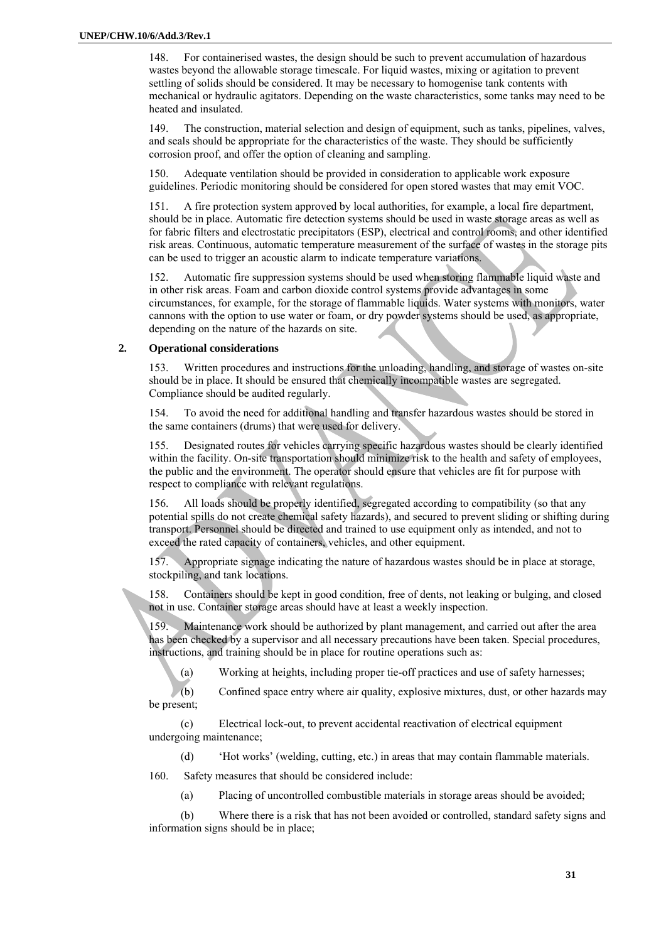148. For containerised wastes, the design should be such to prevent accumulation of hazardous wastes beyond the allowable storage timescale. For liquid wastes, mixing or agitation to prevent settling of solids should be considered. It may be necessary to homogenise tank contents with mechanical or hydraulic agitators. Depending on the waste characteristics, some tanks may need to be heated and insulated.

149. The construction, material selection and design of equipment, such as tanks, pipelines, valves, and seals should be appropriate for the characteristics of the waste. They should be sufficiently corrosion proof, and offer the option of cleaning and sampling.

150. Adequate ventilation should be provided in consideration to applicable work exposure guidelines. Periodic monitoring should be considered for open stored wastes that may emit VOC.

151. A fire protection system approved by local authorities, for example, a local fire department, should be in place. Automatic fire detection systems should be used in waste storage areas as well as for fabric filters and electrostatic precipitators (ESP), electrical and control rooms, and other identified risk areas. Continuous, automatic temperature measurement of the surface of wastes in the storage pits can be used to trigger an acoustic alarm to indicate temperature variations.

152. Automatic fire suppression systems should be used when storing flammable liquid waste and in other risk areas. Foam and carbon dioxide control systems provide advantages in some circumstances, for example, for the storage of flammable liquids. Water systems with monitors, water cannons with the option to use water or foam, or dry powder systems should be used, as appropriate, depending on the nature of the hazards on site.

#### **2. Operational considerations**

153. Written procedures and instructions for the unloading, handling, and storage of wastes on-site should be in place. It should be ensured that chemically incompatible wastes are segregated. Compliance should be audited regularly.

154. To avoid the need for additional handling and transfer hazardous wastes should be stored in the same containers (drums) that were used for delivery.

155. Designated routes for vehicles carrying specific hazardous wastes should be clearly identified within the facility. On-site transportation should minimize risk to the health and safety of employees, the public and the environment. The operator should ensure that vehicles are fit for purpose with respect to compliance with relevant regulations.

156. All loads should be properly identified, segregated according to compatibility (so that any potential spills do not create chemical safety hazards), and secured to prevent sliding or shifting during transport. Personnel should be directed and trained to use equipment only as intended, and not to exceed the rated capacity of containers, vehicles, and other equipment.

157. Appropriate signage indicating the nature of hazardous wastes should be in place at storage, stockpiling, and tank locations.

158. Containers should be kept in good condition, free of dents, not leaking or bulging, and closed not in use. Container storage areas should have at least a weekly inspection.

159. Maintenance work should be authorized by plant management, and carried out after the area has been checked by a supervisor and all necessary precautions have been taken. Special procedures, instructions, and training should be in place for routine operations such as:

(a) Working at heights, including proper tie-off practices and use of safety harnesses;

(b) Confined space entry where air quality, explosive mixtures, dust, or other hazards may be present;

(c) Electrical lock-out, to prevent accidental reactivation of electrical equipment undergoing maintenance;

(d) 'Hot works' (welding, cutting, etc.) in areas that may contain flammable materials.

160. Safety measures that should be considered include:

(a) Placing of uncontrolled combustible materials in storage areas should be avoided;

(b) Where there is a risk that has not been avoided or controlled, standard safety signs and information signs should be in place;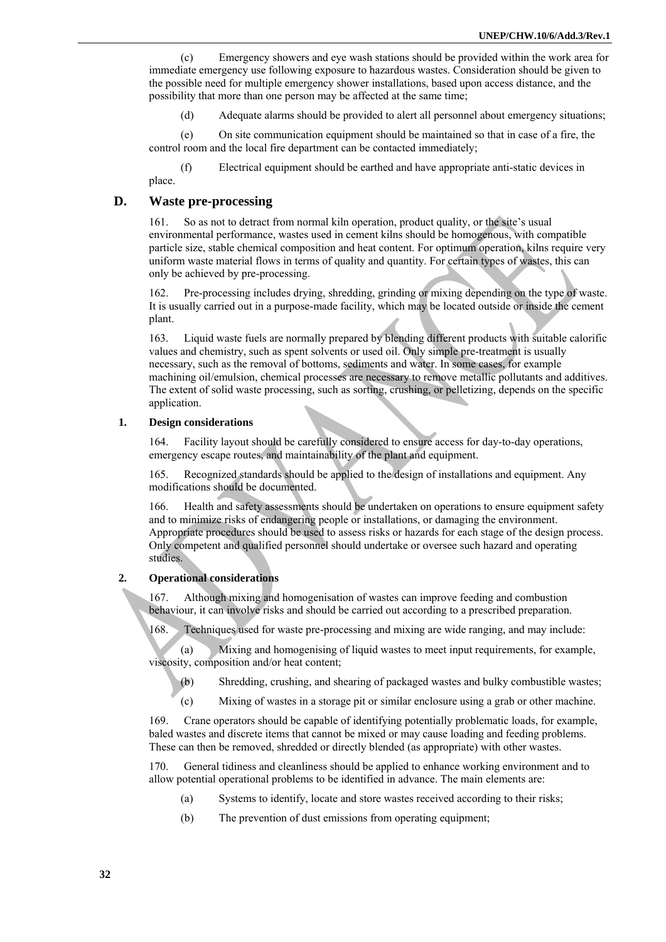(c) Emergency showers and eye wash stations should be provided within the work area for immediate emergency use following exposure to hazardous wastes. Consideration should be given to the possible need for multiple emergency shower installations, based upon access distance, and the possibility that more than one person may be affected at the same time;

(d) Adequate alarms should be provided to alert all personnel about emergency situations;

(e) On site communication equipment should be maintained so that in case of a fire, the control room and the local fire department can be contacted immediately;

(f) Electrical equipment should be earthed and have appropriate anti-static devices in place.

## **D. Waste pre-processing**

161. So as not to detract from normal kiln operation, product quality, or the site's usual environmental performance, wastes used in cement kilns should be homogenous, with compatible particle size, stable chemical composition and heat content. For optimum operation, kilns require very uniform waste material flows in terms of quality and quantity. For certain types of wastes, this can only be achieved by pre-processing.

162. Pre-processing includes drying, shredding, grinding or mixing depending on the type of waste. It is usually carried out in a purpose-made facility, which may be located outside or inside the cement plant.

163. Liquid waste fuels are normally prepared by blending different products with suitable calorific values and chemistry, such as spent solvents or used oil. Only simple pre-treatment is usually necessary, such as the removal of bottoms, sediments and water. In some cases, for example machining oil/emulsion, chemical processes are necessary to remove metallic pollutants and additives. The extent of solid waste processing, such as sorting, crushing, or pelletizing, depends on the specific application.

#### **1. Design considerations**

164. Facility layout should be carefully considered to ensure access for day-to-day operations, emergency escape routes, and maintainability of the plant and equipment.

165. Recognized standards should be applied to the design of installations and equipment. Any modifications should be documented.

166. Health and safety assessments should be undertaken on operations to ensure equipment safety and to minimize risks of endangering people or installations, or damaging the environment. Appropriate procedures should be used to assess risks or hazards for each stage of the design process. Only competent and qualified personnel should undertake or oversee such hazard and operating studies.

#### **2. Operational considerations**

167. Although mixing and homogenisation of wastes can improve feeding and combustion behaviour, it can involve risks and should be carried out according to a prescribed preparation.

168. Techniques used for waste pre-processing and mixing are wide ranging, and may include:

(a) Mixing and homogenising of liquid wastes to meet input requirements, for example, viscosity, composition and/or heat content;

- (b) Shredding, crushing, and shearing of packaged wastes and bulky combustible wastes;
- (c) Mixing of wastes in a storage pit or similar enclosure using a grab or other machine.

169. Crane operators should be capable of identifying potentially problematic loads, for example, baled wastes and discrete items that cannot be mixed or may cause loading and feeding problems. These can then be removed, shredded or directly blended (as appropriate) with other wastes.

170. General tidiness and cleanliness should be applied to enhance working environment and to allow potential operational problems to be identified in advance. The main elements are:

- (a) Systems to identify, locate and store wastes received according to their risks;
- (b) The prevention of dust emissions from operating equipment;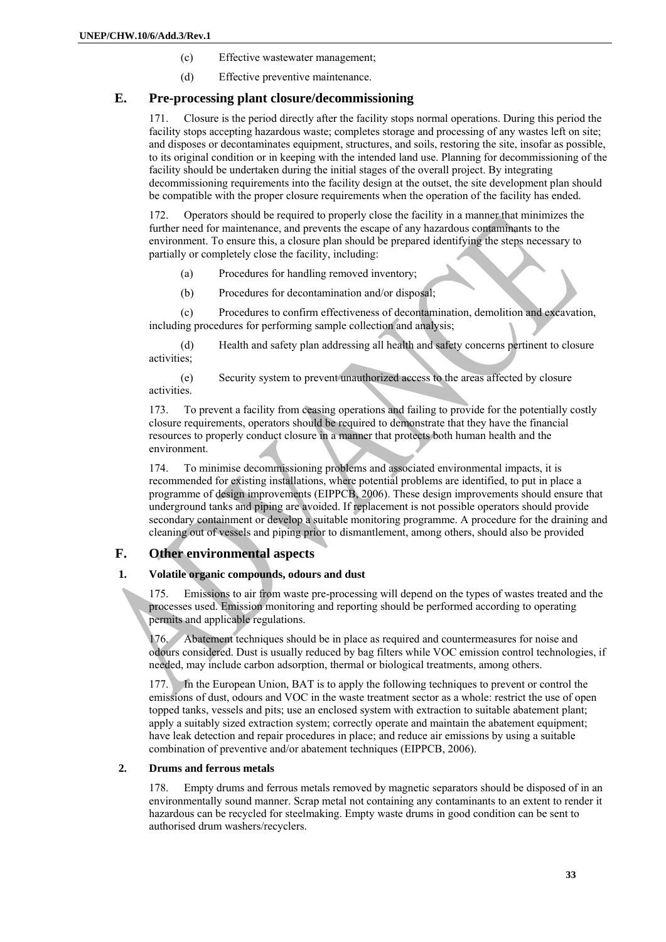- (c) Effective wastewater management;
- (d) Effective preventive maintenance.

#### **E. Pre-processing plant closure/decommissioning**

171. Closure is the period directly after the facility stops normal operations. During this period the facility stops accepting hazardous waste; completes storage and processing of any wastes left on site; and disposes or decontaminates equipment, structures, and soils, restoring the site, insofar as possible, to its original condition or in keeping with the intended land use. Planning for decommissioning of the facility should be undertaken during the initial stages of the overall project. By integrating decommissioning requirements into the facility design at the outset, the site development plan should be compatible with the proper closure requirements when the operation of the facility has ended.

172. Operators should be required to properly close the facility in a manner that minimizes the further need for maintenance, and prevents the escape of any hazardous contaminants to the environment. To ensure this, a closure plan should be prepared identifying the steps necessary to partially or completely close the facility, including:

- (a) Procedures for handling removed inventory;
- (b) Procedures for decontamination and/or disposal;

(c) Procedures to confirm effectiveness of decontamination, demolition and excavation, including procedures for performing sample collection and analysis;

(d) Health and safety plan addressing all health and safety concerns pertinent to closure activities;

(e) Security system to prevent unauthorized access to the areas affected by closure activities.

173. To prevent a facility from ceasing operations and failing to provide for the potentially costly closure requirements, operators should be required to demonstrate that they have the financial resources to properly conduct closure in a manner that protects both human health and the environment.

174. To minimise decommissioning problems and associated environmental impacts, it is recommended for existing installations, where potential problems are identified, to put in place a programme of design improvements (EIPPCB, 2006). These design improvements should ensure that underground tanks and piping are avoided. If replacement is not possible operators should provide secondary containment or develop a suitable monitoring programme. A procedure for the draining and cleaning out of vessels and piping prior to dismantlement, among others, should also be provided

## **F. Other environmental aspects**

#### **1. Volatile organic compounds, odours and dust**

175. Emissions to air from waste pre-processing will depend on the types of wastes treated and the processes used. Emission monitoring and reporting should be performed according to operating permits and applicable regulations.

176. Abatement techniques should be in place as required and countermeasures for noise and odours considered. Dust is usually reduced by bag filters while VOC emission control technologies, if needed, may include carbon adsorption, thermal or biological treatments, among others.

177. In the European Union, BAT is to apply the following techniques to prevent or control the emissions of dust, odours and VOC in the waste treatment sector as a whole: restrict the use of open topped tanks, vessels and pits; use an enclosed system with extraction to suitable abatement plant; apply a suitably sized extraction system; correctly operate and maintain the abatement equipment; have leak detection and repair procedures in place; and reduce air emissions by using a suitable combination of preventive and/or abatement techniques (EIPPCB, 2006).

#### **2. Drums and ferrous metals**

178. Empty drums and ferrous metals removed by magnetic separators should be disposed of in an environmentally sound manner. Scrap metal not containing any contaminants to an extent to render it hazardous can be recycled for steelmaking. Empty waste drums in good condition can be sent to authorised drum washers/recyclers.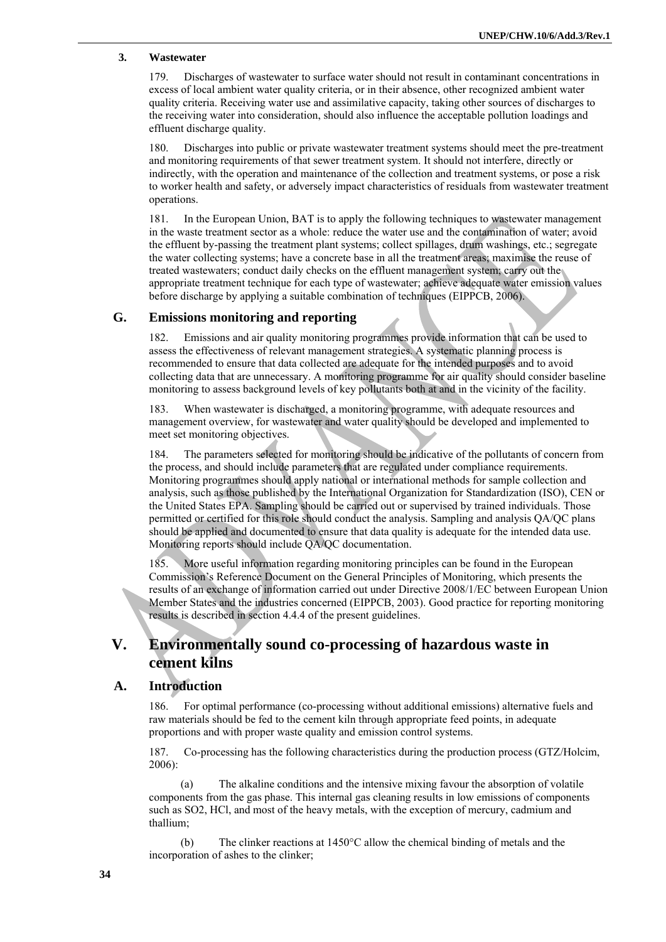#### **3. Wastewater**

179. Discharges of wastewater to surface water should not result in contaminant concentrations in excess of local ambient water quality criteria, or in their absence, other recognized ambient water quality criteria. Receiving water use and assimilative capacity, taking other sources of discharges to the receiving water into consideration, should also influence the acceptable pollution loadings and effluent discharge quality.

180. Discharges into public or private wastewater treatment systems should meet the pre-treatment and monitoring requirements of that sewer treatment system. It should not interfere, directly or indirectly, with the operation and maintenance of the collection and treatment systems, or pose a risk to worker health and safety, or adversely impact characteristics of residuals from wastewater treatment operations.

181. In the European Union, BAT is to apply the following techniques to wastewater management in the waste treatment sector as a whole: reduce the water use and the contamination of water; avoid the effluent by-passing the treatment plant systems; collect spillages, drum washings, etc.; segregate the water collecting systems; have a concrete base in all the treatment areas; maximise the reuse of treated wastewaters; conduct daily checks on the effluent management system; carry out the appropriate treatment technique for each type of wastewater; achieve adequate water emission values before discharge by applying a suitable combination of techniques (EIPPCB, 2006).

#### **G. Emissions monitoring and reporting**

182. Emissions and air quality monitoring programmes provide information that can be used to assess the effectiveness of relevant management strategies. A systematic planning process is recommended to ensure that data collected are adequate for the intended purposes and to avoid collecting data that are unnecessary. A monitoring programme for air quality should consider baseline monitoring to assess background levels of key pollutants both at and in the vicinity of the facility.

183. When wastewater is discharged, a monitoring programme, with adequate resources and management overview, for wastewater and water quality should be developed and implemented to meet set monitoring objectives.

184. The parameters selected for monitoring should be indicative of the pollutants of concern from the process, and should include parameters that are regulated under compliance requirements. Monitoring programmes should apply national or international methods for sample collection and analysis, such as those published by the International Organization for Standardization (ISO), CEN or the United States EPA. Sampling should be carried out or supervised by trained individuals. Those permitted or certified for this role should conduct the analysis. Sampling and analysis QA/QC plans should be applied and documented to ensure that data quality is adequate for the intended data use. Monitoring reports should include QA/QC documentation.

185. More useful information regarding monitoring principles can be found in the European Commission's Reference Document on the General Principles of Monitoring, which presents the results of an exchange of information carried out under Directive 2008/1/EC between European Union Member States and the industries concerned (EIPPCB, 2003). Good practice for reporting monitoring results is described in section 4.4.4 of the present guidelines.

## **V. Environmentally sound co-processing of hazardous waste in cement kilns**

### **A. Introduction**

186. For optimal performance (co-processing without additional emissions) alternative fuels and raw materials should be fed to the cement kiln through appropriate feed points, in adequate proportions and with proper waste quality and emission control systems.

187. Co-processing has the following characteristics during the production process (GTZ/Holcim, 2006):

(a) The alkaline conditions and the intensive mixing favour the absorption of volatile components from the gas phase. This internal gas cleaning results in low emissions of components such as SO2, HCl, and most of the heavy metals, with the exception of mercury, cadmium and thallium;

(b) The clinker reactions at 1450°C allow the chemical binding of metals and the incorporation of ashes to the clinker;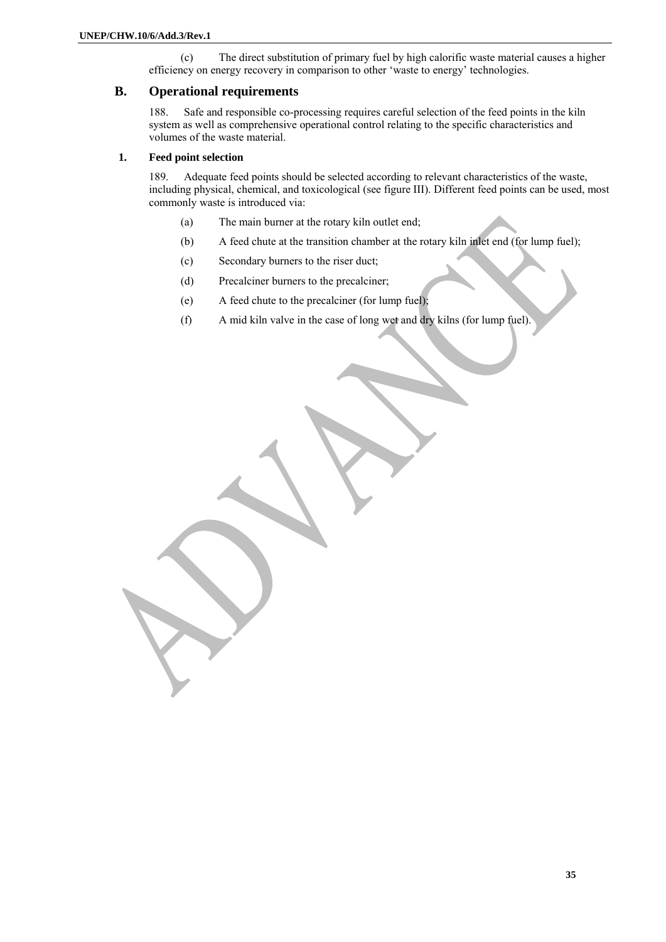(c) The direct substitution of primary fuel by high calorific waste material causes a higher efficiency on energy recovery in comparison to other 'waste to energy' technologies.

## **B. Operational requirements**

188. Safe and responsible co-processing requires careful selection of the feed points in the kiln system as well as comprehensive operational control relating to the specific characteristics and volumes of the waste material.

#### **1. Feed point selection**

189. Adequate feed points should be selected according to relevant characteristics of the waste, including physical, chemical, and toxicological (see figure III). Different feed points can be used, most commonly waste is introduced via:

- (a) The main burner at the rotary kiln outlet end;
- (b) A feed chute at the transition chamber at the rotary kiln inlet end (for lump fuel);
- (c) Secondary burners to the riser duct;
- (d) Precalciner burners to the precalciner;
- (e) A feed chute to the precalciner (for lump fuel);
- (f) A mid kiln valve in the case of long wet and dry kilns (for lump fuel).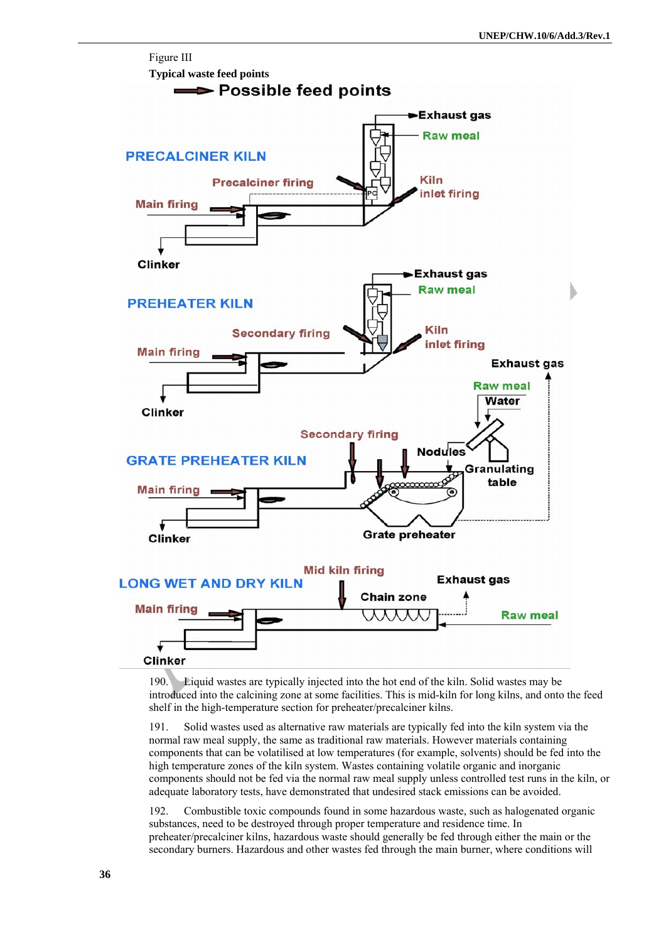

190. Liquid wastes are typically injected into the hot end of the kiln. Solid wastes may be introduced into the calcining zone at some facilities. This is mid-kiln for long kilns, and onto the feed shelf in the high-temperature section for preheater/precalciner kilns.

191. Solid wastes used as alternative raw materials are typically fed into the kiln system via the normal raw meal supply, the same as traditional raw materials. However materials containing components that can be volatilised at low temperatures (for example, solvents) should be fed into the high temperature zones of the kiln system. Wastes containing volatile organic and inorganic components should not be fed via the normal raw meal supply unless controlled test runs in the kiln, or adequate laboratory tests, have demonstrated that undesired stack emissions can be avoided.

192. Combustible toxic compounds found in some hazardous waste, such as halogenated organic substances, need to be destroyed through proper temperature and residence time. In preheater/precalciner kilns, hazardous waste should generally be fed through either the main or the secondary burners. Hazardous and other wastes fed through the main burner, where conditions will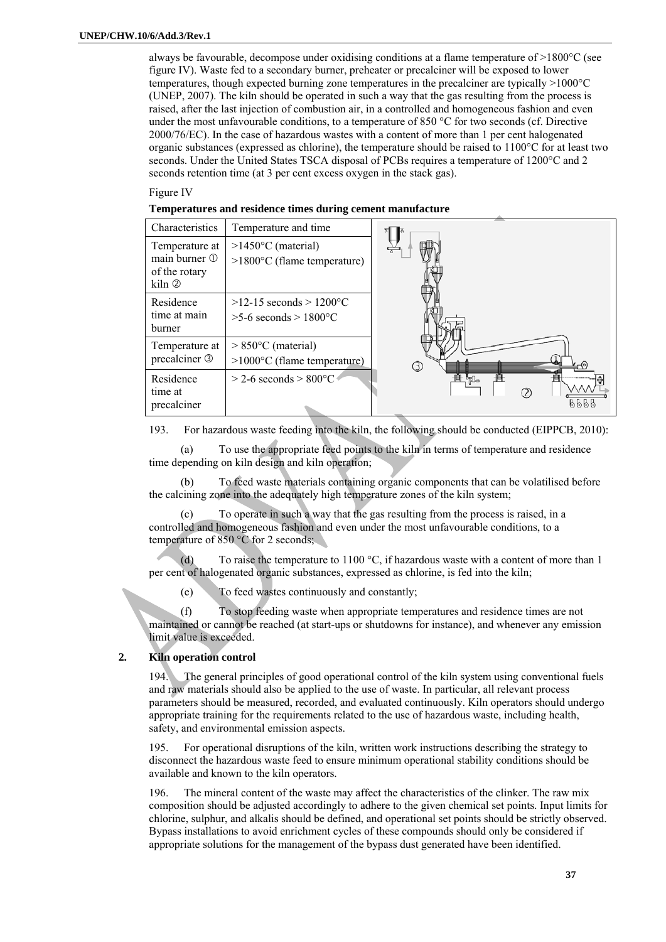always be favourable, decompose under oxidising conditions at a flame temperature of >1800°C (see figure IV). Waste fed to a secondary burner, preheater or precalciner will be exposed to lower temperatures, though expected burning zone temperatures in the precalciner are typically >1000°C (UNEP, 2007). The kiln should be operated in such a way that the gas resulting from the process is raised, after the last injection of combustion air, in a controlled and homogeneous fashion and even under the most unfavourable conditions, to a temperature of 850 °C for two seconds (cf. Directive 2000/76/EC). In the case of hazardous wastes with a content of more than 1 per cent halogenated organic substances (expressed as chlorine), the temperature should be raised to  $1100^{\circ}$ C for at least two seconds. Under the United States TSCA disposal of PCBs requires a temperature of 1200°C and 2 seconds retention time (at 3 per cent excess oxygen in the stack gas).

### Figure IV

|  |  |  |  |  |  |  |  | Temperatures and residence times during cement manufacture |
|--|--|--|--|--|--|--|--|------------------------------------------------------------|
|--|--|--|--|--|--|--|--|------------------------------------------------------------|

| Characteristics                                            | Temperature and time                                                  |           |
|------------------------------------------------------------|-----------------------------------------------------------------------|-----------|
| Temperature at<br>main burner 1<br>of the rotary<br>kiln ② | $>1450^{\circ}$ C (material)<br>$>1800^{\circ}$ C (flame temperature) |           |
| Residence<br>time at main<br>burner                        | $>12-15$ seconds $> 1200$ °C<br>$>5-6$ seconds $>1800$ °C             |           |
| Temperature at<br>precalciner <b>3</b>                     | $> 850^{\circ}$ C (material)<br>$>1000$ °C (flame temperature)        | (3)       |
| Residence<br>time at<br>precalciner                        | $>$ 2-6 seconds $>$ 800 $^{\circ}$ C $\rightarrow$                    | 舟<br>6666 |

193. For hazardous waste feeding into the kiln, the following should be conducted (EIPPCB, 2010):

(a) To use the appropriate feed points to the kiln in terms of temperature and residence time depending on kiln design and kiln operation;

(b) To feed waste materials containing organic components that can be volatilised before the calcining zone into the adequately high temperature zones of the kiln system;

(c) To operate in such a way that the gas resulting from the process is raised, in a controlled and homogeneous fashion and even under the most unfavourable conditions, to a temperature of 850 °C for 2 seconds;

(d) To raise the temperature to 1100 °C, if hazardous waste with a content of more than 1 per cent of halogenated organic substances, expressed as chlorine, is fed into the kiln;

(e) To feed wastes continuously and constantly;

(f) To stop feeding waste when appropriate temperatures and residence times are not maintained or cannot be reached (at start-ups or shutdowns for instance), and whenever any emission limit value is exceeded.

#### **2. Kiln operation control**

194. The general principles of good operational control of the kiln system using conventional fuels and raw materials should also be applied to the use of waste. In particular, all relevant process parameters should be measured, recorded, and evaluated continuously. Kiln operators should undergo appropriate training for the requirements related to the use of hazardous waste, including health, safety, and environmental emission aspects.

195. For operational disruptions of the kiln, written work instructions describing the strategy to disconnect the hazardous waste feed to ensure minimum operational stability conditions should be available and known to the kiln operators.

196. The mineral content of the waste may affect the characteristics of the clinker. The raw mix composition should be adjusted accordingly to adhere to the given chemical set points. Input limits for chlorine, sulphur, and alkalis should be defined, and operational set points should be strictly observed. Bypass installations to avoid enrichment cycles of these compounds should only be considered if appropriate solutions for the management of the bypass dust generated have been identified.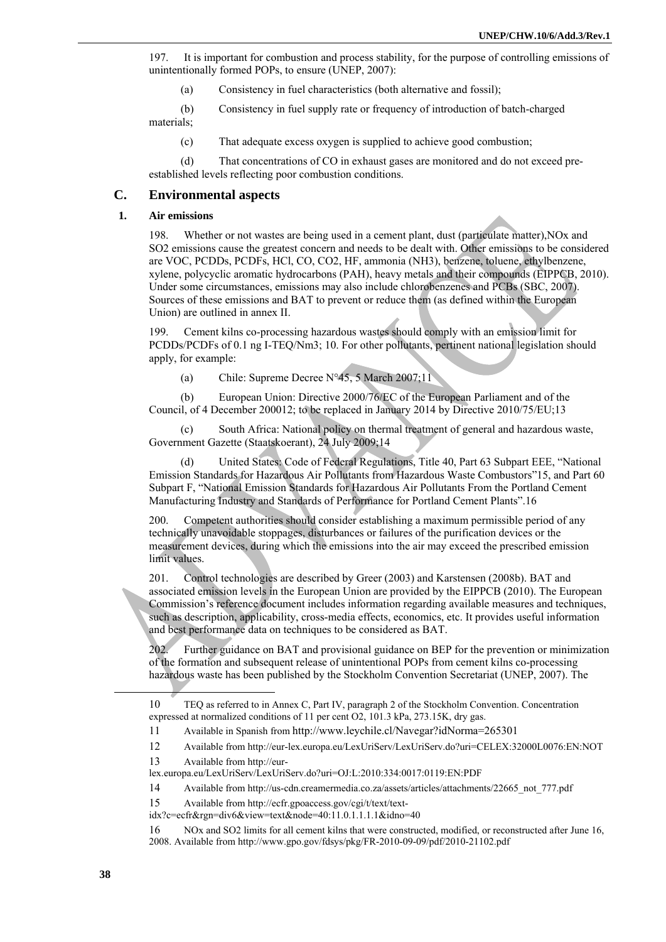197. It is important for combustion and process stability, for the purpose of controlling emissions of unintentionally formed POPs, to ensure (UNEP, 2007):

(a) Consistency in fuel characteristics (both alternative and fossil);

(b) Consistency in fuel supply rate or frequency of introduction of batch-charged materials;

(c) That adequate excess oxygen is supplied to achieve good combustion;

(d) That concentrations of CO in exhaust gases are monitored and do not exceed preestablished levels reflecting poor combustion conditions.

## **C. Environmental aspects**

### **1. Air emissions**

198. Whether or not wastes are being used in a cement plant, dust (particulate matter),NOx and SO2 emissions cause the greatest concern and needs to be dealt with. Other emissions to be considered are VOC, PCDDs, PCDFs, HCl, CO, CO2, HF, ammonia (NH3), benzene, toluene, ethylbenzene, xylene, polycyclic aromatic hydrocarbons (PAH), heavy metals and their compounds (EIPPCB, 2010). Under some circumstances, emissions may also include chlorobenzenes and PCBs (SBC, 2007). Sources of these emissions and BAT to prevent or reduce them (as defined within the European Union) are outlined in annex II.

199. Cement kilns co-processing hazardous wastes should comply with an emission limit for PCDDs/PCDFs of 0.1 ng I-TEQ/Nm3; 10. For other pollutants, pertinent national legislation should apply, for example:

(a) Chile: Supreme Decree N°45, 5 March 2007;11

(b) European Union: Directive 2000/76/EC of the European Parliament and of the Council, of 4 December 200012; to be replaced in January 2014 by Directive 2010/75/EU;13

(c) South Africa: National policy on thermal treatment of general and hazardous waste, Government Gazette (Staatskoerant), 24 July 2009;14

(d) United States: Code of Federal Regulations, Title 40, Part 63 Subpart EEE, "National Emission Standards for Hazardous Air Pollutants from Hazardous Waste Combustors"15, and Part 60 Subpart F, "National Emission Standards for Hazardous Air Pollutants From the Portland Cement Manufacturing Industry and Standards of Performance for Portland Cement Plants".16

200. Competent authorities should consider establishing a maximum permissible period of any technically unavoidable stoppages, disturbances or failures of the purification devices or the measurement devices, during which the emissions into the air may exceed the prescribed emission limit values.

201. Control technologies are described by Greer (2003) and Karstensen (2008b). BAT and associated emission levels in the European Union are provided by the EIPPCB (2010). The European Commission's reference document includes information regarding available measures and techniques, such as description, applicability, cross-media effects, economics, etc. It provides useful information and best performance data on techniques to be considered as BAT.

202. Further guidance on BAT and provisional guidance on BEP for the prevention or minimization of the formation and subsequent release of unintentional POPs from cement kilns co-processing hazardous waste has been published by the Stockholm Convention Secretariat (UNEP, 2007). The

13 Available from http://eur-

15 Available from http://ecfr.gpoaccess.gov/cgi/t/text/text-

idx?c=ecfr&rgn=div6&view=text&node=40:11.0.1.1.1.1&idno=40

16 NOx and SO2 limits for all cement kilns that were constructed, modified, or reconstructed after June 16, 2008. Available from http://www.gpo.gov/fdsys/pkg/FR-2010-09-09/pdf/2010-21102.pdf

 $\overline{a}$ 

<sup>10</sup> TEQ as referred to in Annex C, Part IV, paragraph 2 of the Stockholm Convention. Concentration expressed at normalized conditions of 11 per cent O2, 101.3 kPa, 273.15K, dry gas.

<sup>11</sup> Available in Spanish from http://www.leychile.cl/Navegar?idNorma=265301

<sup>12</sup> Available from http://eur-lex.europa.eu/LexUriServ/LexUriServ.do?uri=CELEX:32000L0076:EN:NOT

lex.europa.eu/LexUriServ/LexUriServ.do?uri=OJ:L:2010:334:0017:0119:EN:PDF

<sup>14</sup> Available from http://us-cdn.creamermedia.co.za/assets/articles/attachments/22665\_not\_777.pdf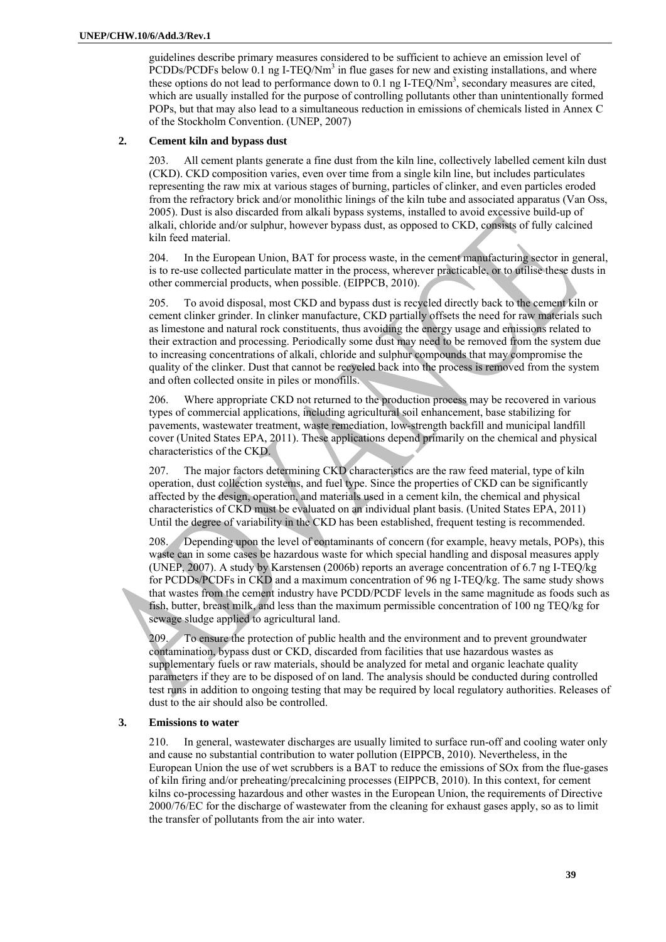guidelines describe primary measures considered to be sufficient to achieve an emission level of  $PCDDs/PCDFs$  below 0.1 ng I-TEQ/Nm<sup>3</sup> in flue gases for new and existing installations, and where these options do not lead to performance down to  $0.1$  ng I-TEQ/Nm<sup>3</sup>, secondary measures are cited, which are usually installed for the purpose of controlling pollutants other than unintentionally formed POPs, but that may also lead to a simultaneous reduction in emissions of chemicals listed in Annex C of the Stockholm Convention. (UNEP, 2007)

#### **2. Cement kiln and bypass dust**

203. All cement plants generate a fine dust from the kiln line, collectively labelled cement kiln dust (CKD). CKD composition varies, even over time from a single kiln line, but includes particulates representing the raw mix at various stages of burning, particles of clinker, and even particles eroded from the refractory brick and/or monolithic linings of the kiln tube and associated apparatus (Van Oss, 2005). Dust is also discarded from alkali bypass systems, installed to avoid excessive build-up of alkali, chloride and/or sulphur, however bypass dust, as opposed to CKD, consists of fully calcined kiln feed material.

204. In the European Union, BAT for process waste, in the cement manufacturing sector in general, is to re-use collected particulate matter in the process, wherever practicable, or to utilise these dusts in other commercial products, when possible. (EIPPCB, 2010).

205. To avoid disposal, most CKD and bypass dust is recycled directly back to the cement kiln or cement clinker grinder. In clinker manufacture, CKD partially offsets the need for raw materials such as limestone and natural rock constituents, thus avoiding the energy usage and emissions related to their extraction and processing. Periodically some dust may need to be removed from the system due to increasing concentrations of alkali, chloride and sulphur compounds that may compromise the quality of the clinker. Dust that cannot be recycled back into the process is removed from the system and often collected onsite in piles or monofills.

206. Where appropriate CKD not returned to the production process may be recovered in various types of commercial applications, including agricultural soil enhancement, base stabilizing for pavements, wastewater treatment, waste remediation, low-strength backfill and municipal landfill cover (United States EPA, 2011). These applications depend primarily on the chemical and physical characteristics of the CKD.

207. The major factors determining CKD characteristics are the raw feed material, type of kiln operation, dust collection systems, and fuel type. Since the properties of CKD can be significantly affected by the design, operation, and materials used in a cement kiln, the chemical and physical characteristics of CKD must be evaluated on an individual plant basis. (United States EPA, 2011) Until the degree of variability in the CKD has been established, frequent testing is recommended.

208. Depending upon the level of contaminants of concern (for example, heavy metals, POPs), this waste can in some cases be hazardous waste for which special handling and disposal measures apply (UNEP, 2007). A study by Karstensen (2006b) reports an average concentration of 6.7 ng I-TEQ/kg for PCDDs/PCDFs in CKD and a maximum concentration of 96 ng I-TEQ/kg. The same study shows that wastes from the cement industry have PCDD/PCDF levels in the same magnitude as foods such as fish, butter, breast milk, and less than the maximum permissible concentration of 100 ng TEQ/kg for sewage sludge applied to agricultural land.

209. To ensure the protection of public health and the environment and to prevent groundwater contamination, bypass dust or CKD, discarded from facilities that use hazardous wastes as supplementary fuels or raw materials, should be analyzed for metal and organic leachate quality parameters if they are to be disposed of on land. The analysis should be conducted during controlled test runs in addition to ongoing testing that may be required by local regulatory authorities. Releases of dust to the air should also be controlled.

#### **3. Emissions to water**

210. In general, wastewater discharges are usually limited to surface run-off and cooling water only and cause no substantial contribution to water pollution (EIPPCB, 2010). Nevertheless, in the European Union the use of wet scrubbers is a BAT to reduce the emissions of SOx from the flue-gases of kiln firing and/or preheating/precalcining processes (EIPPCB, 2010). In this context, for cement kilns co-processing hazardous and other wastes in the European Union, the requirements of Directive 2000/76/EC for the discharge of wastewater from the cleaning for exhaust gases apply, so as to limit the transfer of pollutants from the air into water.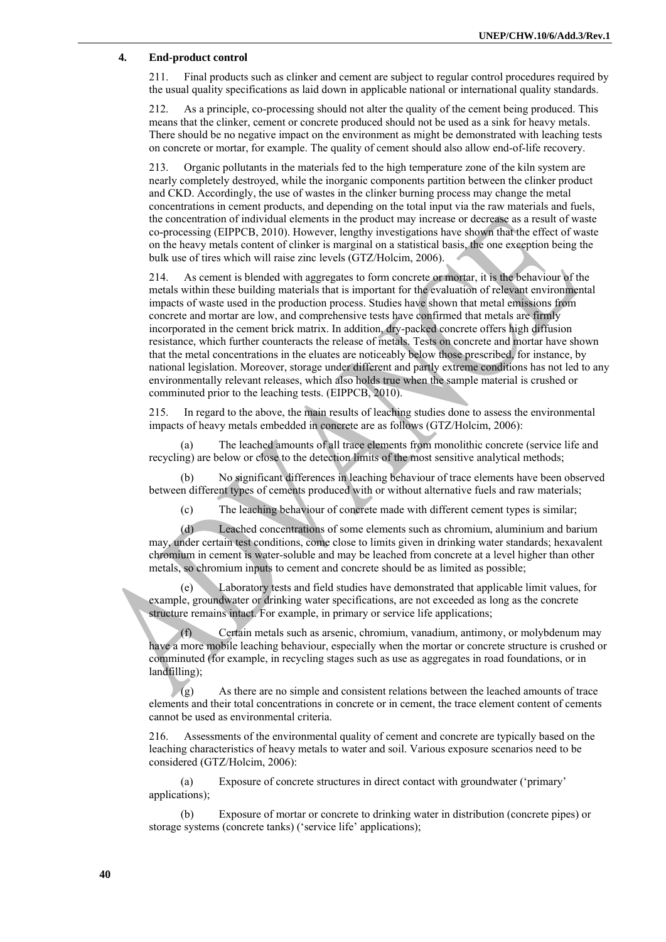#### **4. End-product control**

211. Final products such as clinker and cement are subject to regular control procedures required by the usual quality specifications as laid down in applicable national or international quality standards.

212. As a principle, co-processing should not alter the quality of the cement being produced. This means that the clinker, cement or concrete produced should not be used as a sink for heavy metals. There should be no negative impact on the environment as might be demonstrated with leaching tests on concrete or mortar, for example. The quality of cement should also allow end-of-life recovery.

213. Organic pollutants in the materials fed to the high temperature zone of the kiln system are nearly completely destroyed, while the inorganic components partition between the clinker product and CKD. Accordingly, the use of wastes in the clinker burning process may change the metal concentrations in cement products, and depending on the total input via the raw materials and fuels, the concentration of individual elements in the product may increase or decrease as a result of waste co-processing (EIPPCB, 2010). However, lengthy investigations have shown that the effect of waste on the heavy metals content of clinker is marginal on a statistical basis, the one exception being the bulk use of tires which will raise zinc levels (GTZ/Holcim, 2006).

214. As cement is blended with aggregates to form concrete or mortar, it is the behaviour of the metals within these building materials that is important for the evaluation of relevant environmental impacts of waste used in the production process. Studies have shown that metal emissions from concrete and mortar are low, and comprehensive tests have confirmed that metals are firmly incorporated in the cement brick matrix. In addition, dry-packed concrete offers high diffusion resistance, which further counteracts the release of metals. Tests on concrete and mortar have shown that the metal concentrations in the eluates are noticeably below those prescribed, for instance, by national legislation. Moreover, storage under different and partly extreme conditions has not led to any environmentally relevant releases, which also holds true when the sample material is crushed or comminuted prior to the leaching tests. (EIPPCB, 2010).

215. In regard to the above, the main results of leaching studies done to assess the environmental impacts of heavy metals embedded in concrete are as follows (GTZ/Holcim, 2006):

(a) The leached amounts of all trace elements from monolithic concrete (service life and recycling) are below or close to the detection limits of the most sensitive analytical methods;

(b) No significant differences in leaching behaviour of trace elements have been observed between different types of cements produced with or without alternative fuels and raw materials;

(c) The leaching behaviour of concrete made with different cement types is similar;

(d) Leached concentrations of some elements such as chromium, aluminium and barium may, under certain test conditions, come close to limits given in drinking water standards; hexavalent chromium in cement is water-soluble and may be leached from concrete at a level higher than other metals, so chromium inputs to cement and concrete should be as limited as possible;

(e) Laboratory tests and field studies have demonstrated that applicable limit values, for example, groundwater or drinking water specifications, are not exceeded as long as the concrete structure remains intact. For example, in primary or service life applications;

(f) Certain metals such as arsenic, chromium, vanadium, antimony, or molybdenum may have a more mobile leaching behaviour, especially when the mortar or concrete structure is crushed or comminuted (for example, in recycling stages such as use as aggregates in road foundations, or in landfilling);

(g) As there are no simple and consistent relations between the leached amounts of trace elements and their total concentrations in concrete or in cement, the trace element content of cements cannot be used as environmental criteria.

216. Assessments of the environmental quality of cement and concrete are typically based on the leaching characteristics of heavy metals to water and soil. Various exposure scenarios need to be considered (GTZ/Holcim, 2006):

(a) Exposure of concrete structures in direct contact with groundwater ('primary' applications);

(b) Exposure of mortar or concrete to drinking water in distribution (concrete pipes) or storage systems (concrete tanks) ('service life' applications);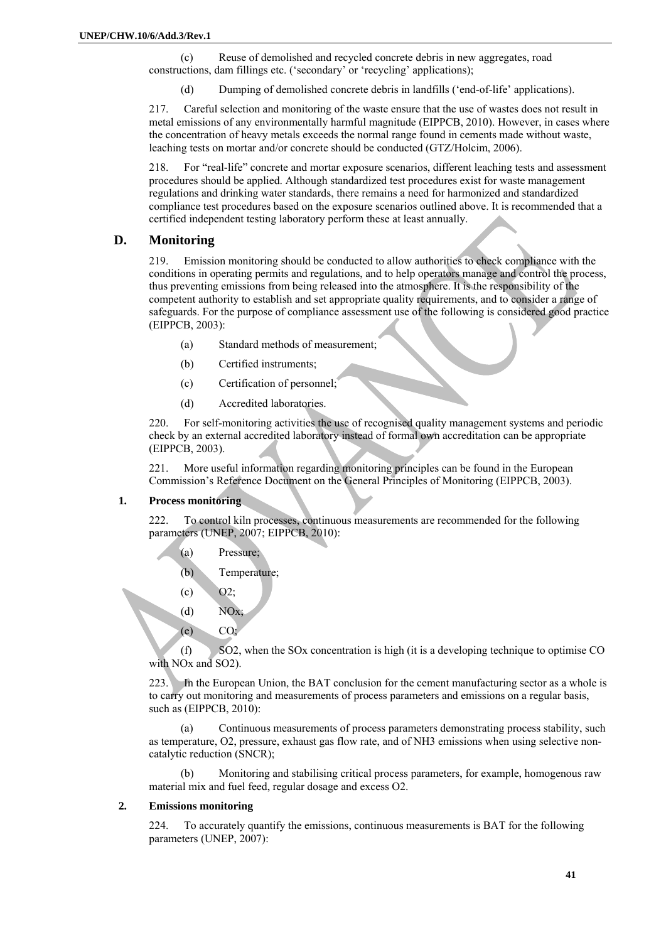(c) Reuse of demolished and recycled concrete debris in new aggregates, road constructions, dam fillings etc. ('secondary' or 'recycling' applications);

(d) Dumping of demolished concrete debris in landfills ('end-of-life' applications).

217. Careful selection and monitoring of the waste ensure that the use of wastes does not result in metal emissions of any environmentally harmful magnitude (EIPPCB, 2010). However, in cases where the concentration of heavy metals exceeds the normal range found in cements made without waste, leaching tests on mortar and/or concrete should be conducted (GTZ/Holcim, 2006).

218. For "real-life" concrete and mortar exposure scenarios, different leaching tests and assessment procedures should be applied. Although standardized test procedures exist for waste management regulations and drinking water standards, there remains a need for harmonized and standardized compliance test procedures based on the exposure scenarios outlined above. It is recommended that a certified independent testing laboratory perform these at least annually.

## **D. Monitoring**

219. Emission monitoring should be conducted to allow authorities to check compliance with the conditions in operating permits and regulations, and to help operators manage and control the process, thus preventing emissions from being released into the atmosphere. It is the responsibility of the competent authority to establish and set appropriate quality requirements, and to consider a range of safeguards. For the purpose of compliance assessment use of the following is considered good practice (EIPPCB, 2003):

- (a) Standard methods of measurement;
- (b) Certified instruments;
- (c) Certification of personnel;
- (d) Accredited laboratories.

220. For self-monitoring activities the use of recognised quality management systems and periodic check by an external accredited laboratory instead of formal own accreditation can be appropriate (EIPPCB, 2003).

221. More useful information regarding monitoring principles can be found in the European Commission's Reference Document on the General Principles of Monitoring (EIPPCB, 2003).

#### **1. Process monitoring**

222. To control kiln processes, continuous measurements are recommended for the following parameters (UNEP, 2007; EIPPCB, 2010):

- (a) Pressure;
	- (b) Temperature;
	- $(c)$  02;
	- $(d)$  NOx;
	- $(e)$  CO;

(f) SO2, when the SOx concentration is high (it is a developing technique to optimise CO with NO<sub>x</sub> and SO<sub>2</sub>).

223. In the European Union, the BAT conclusion for the cement manufacturing sector as a whole is to carry out monitoring and measurements of process parameters and emissions on a regular basis, such as (EIPPCB, 2010):

(a) Continuous measurements of process parameters demonstrating process stability, such as temperature, O2, pressure, exhaust gas flow rate, and of NH3 emissions when using selective noncatalytic reduction (SNCR);

(b) Monitoring and stabilising critical process parameters, for example, homogenous raw material mix and fuel feed, regular dosage and excess O2.

#### **2. Emissions monitoring**

224. To accurately quantify the emissions, continuous measurements is BAT for the following parameters (UNEP, 2007):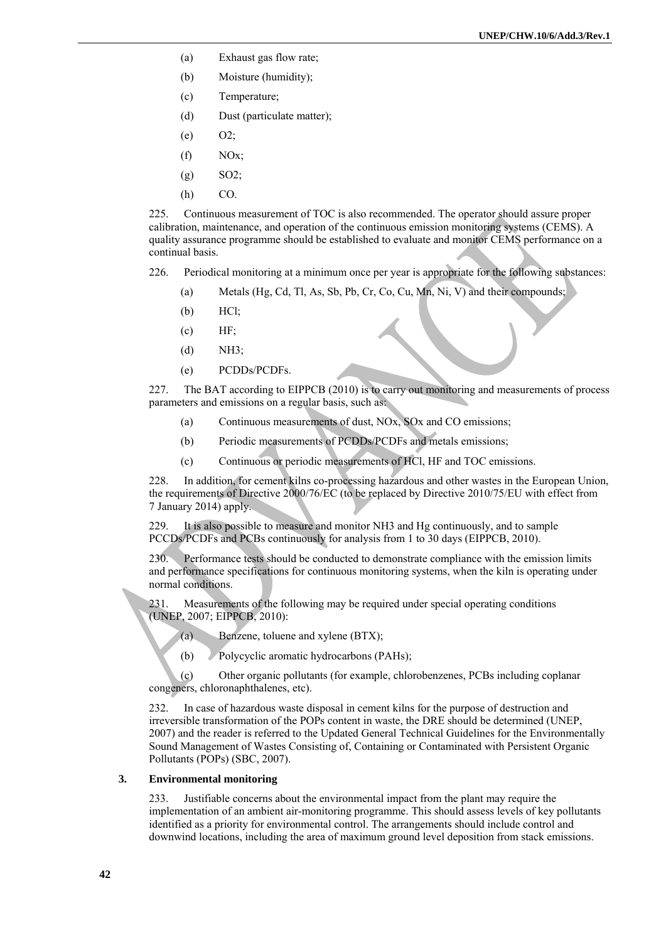- (a) Exhaust gas flow rate;
- (b) Moisture (humidity);
- (c) Temperature;
- (d) Dust (particulate matter);
- (e) O2;
- $(f)$  NOx;
- $(g)$  SO2;
- (h) CO.

225. Continuous measurement of TOC is also recommended. The operator should assure proper calibration, maintenance, and operation of the continuous emission monitoring systems (CEMS). A quality assurance programme should be established to evaluate and monitor CEMS performance on a continual basis.

- 226. Periodical monitoring at a minimum once per year is appropriate for the following substances:
	- (a) Metals (Hg, Cd, Tl, As, Sb, Pb, Cr, Co, Cu, Mn, Ni, V) and their compounds;
	- (b) HCl;
	- $f(c)$  HF;
	- (d) NH3;
	- (e) PCDDs/PCDFs.

227. The BAT according to EIPPCB (2010) is to carry out monitoring and measurements of process parameters and emissions on a regular basis, such as:

- (a) Continuous measurements of dust, NOx, SOx and CO emissions;
- (b) Periodic measurements of PCDDs/PCDFs and metals emissions;
- (c) Continuous or periodic measurements of HCl, HF and TOC emissions.

228. In addition, for cement kilns co-processing hazardous and other wastes in the European Union, the requirements of Directive 2000/76/EC (to be replaced by Directive 2010/75/EU with effect from 7 January 2014) apply.

229. It is also possible to measure and monitor NH3 and Hg continuously, and to sample PCCDs/PCDFs and PCBs continuously for analysis from 1 to 30 days (EIPPCB, 2010).

230. Performance tests should be conducted to demonstrate compliance with the emission limits and performance specifications for continuous monitoring systems, when the kiln is operating under normal conditions.

231. Measurements of the following may be required under special operating conditions (UNEP, 2007; EIPPCB, 2010):

- (a) Benzene, toluene and xylene (BTX);
- (b) Polycyclic aromatic hydrocarbons (PAHs);

(c) Other organic pollutants (for example, chlorobenzenes, PCBs including coplanar congeners, chloronaphthalenes, etc).

232. In case of hazardous waste disposal in cement kilns for the purpose of destruction and irreversible transformation of the POPs content in waste, the DRE should be determined (UNEP, 2007) and the reader is referred to the Updated General Technical Guidelines for the Environmentally Sound Management of Wastes Consisting of, Containing or Contaminated with Persistent Organic Pollutants (POPs) (SBC, 2007).

#### **3. Environmental monitoring**

233. Justifiable concerns about the environmental impact from the plant may require the implementation of an ambient air-monitoring programme. This should assess levels of key pollutants identified as a priority for environmental control. The arrangements should include control and downwind locations, including the area of maximum ground level deposition from stack emissions.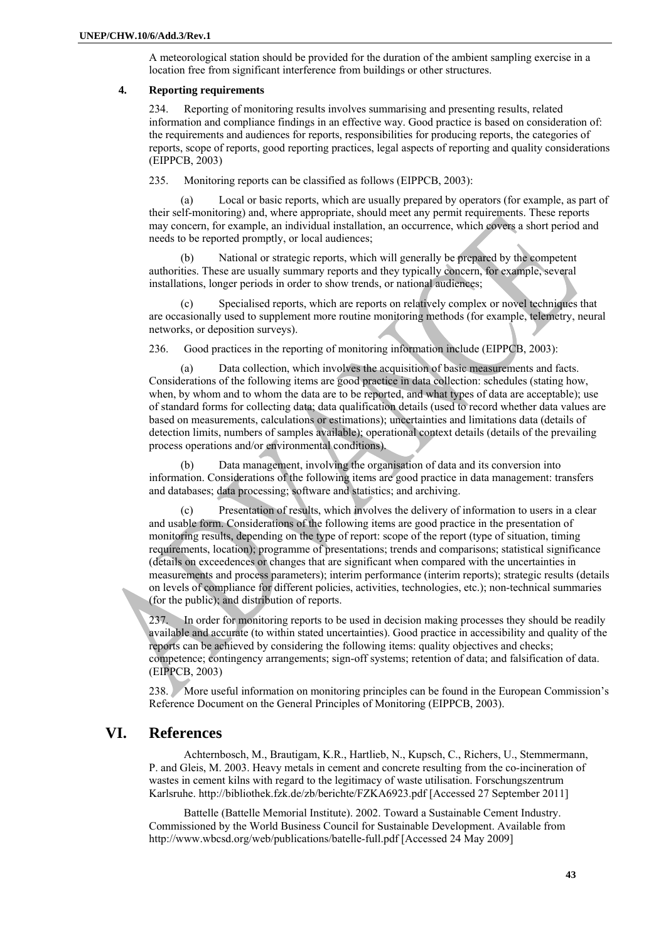A meteorological station should be provided for the duration of the ambient sampling exercise in a location free from significant interference from buildings or other structures.

#### **4. Reporting requirements**

234. Reporting of monitoring results involves summarising and presenting results, related information and compliance findings in an effective way. Good practice is based on consideration of: the requirements and audiences for reports, responsibilities for producing reports, the categories of reports, scope of reports, good reporting practices, legal aspects of reporting and quality considerations (EIPPCB, 2003)

235. Monitoring reports can be classified as follows (EIPPCB, 2003):

(a) Local or basic reports, which are usually prepared by operators (for example, as part of their self-monitoring) and, where appropriate, should meet any permit requirements. These reports may concern, for example, an individual installation, an occurrence, which covers a short period and needs to be reported promptly, or local audiences;

(b) National or strategic reports, which will generally be prepared by the competent authorities. These are usually summary reports and they typically concern, for example, several installations, longer periods in order to show trends, or national audiences;

(c) Specialised reports, which are reports on relatively complex or novel techniques that are occasionally used to supplement more routine monitoring methods (for example, telemetry, neural networks, or deposition surveys).

236. Good practices in the reporting of monitoring information include (EIPPCB, 2003):

(a) Data collection, which involves the acquisition of basic measurements and facts. Considerations of the following items are good practice in data collection: schedules (stating how, when, by whom and to whom the data are to be reported, and what types of data are acceptable); use of standard forms for collecting data; data qualification details (used to record whether data values are based on measurements, calculations or estimations); uncertainties and limitations data (details of detection limits, numbers of samples available); operational context details (details of the prevailing process operations and/or environmental conditions).

(b) Data management, involving the organisation of data and its conversion into information. Considerations of the following items are good practice in data management: transfers and databases; data processing; software and statistics; and archiving.

(c) Presentation of results, which involves the delivery of information to users in a clear and usable form. Considerations of the following items are good practice in the presentation of monitoring results, depending on the type of report: scope of the report (type of situation, timing requirements, location); programme of presentations; trends and comparisons; statistical significance (details on exceedences or changes that are significant when compared with the uncertainties in measurements and process parameters); interim performance (interim reports); strategic results (details on levels of compliance for different policies, activities, technologies, etc.); non-technical summaries (for the public); and distribution of reports.

237. In order for monitoring reports to be used in decision making processes they should be readily available and accurate (to within stated uncertainties). Good practice in accessibility and quality of the reports can be achieved by considering the following items: quality objectives and checks; competence; contingency arrangements; sign-off systems; retention of data; and falsification of data. (EIPPCB, 2003)

238. More useful information on monitoring principles can be found in the European Commission's Reference Document on the General Principles of Monitoring (EIPPCB, 2003).

## **VI. References**

Achternbosch, M., Brautigam, K.R., Hartlieb, N., Kupsch, C., Richers, U., Stemmermann, P. and Gleis, M. 2003. Heavy metals in cement and concrete resulting from the co-incineration of wastes in cement kilns with regard to the legitimacy of waste utilisation. Forschungszentrum Karlsruhe. http://bibliothek.fzk.de/zb/berichte/FZKA6923.pdf [Accessed 27 September 2011]

Battelle (Battelle Memorial Institute). 2002. Toward a Sustainable Cement Industry. Commissioned by the World Business Council for Sustainable Development. Available from http://www.wbcsd.org/web/publications/batelle-full.pdf [Accessed 24 May 2009]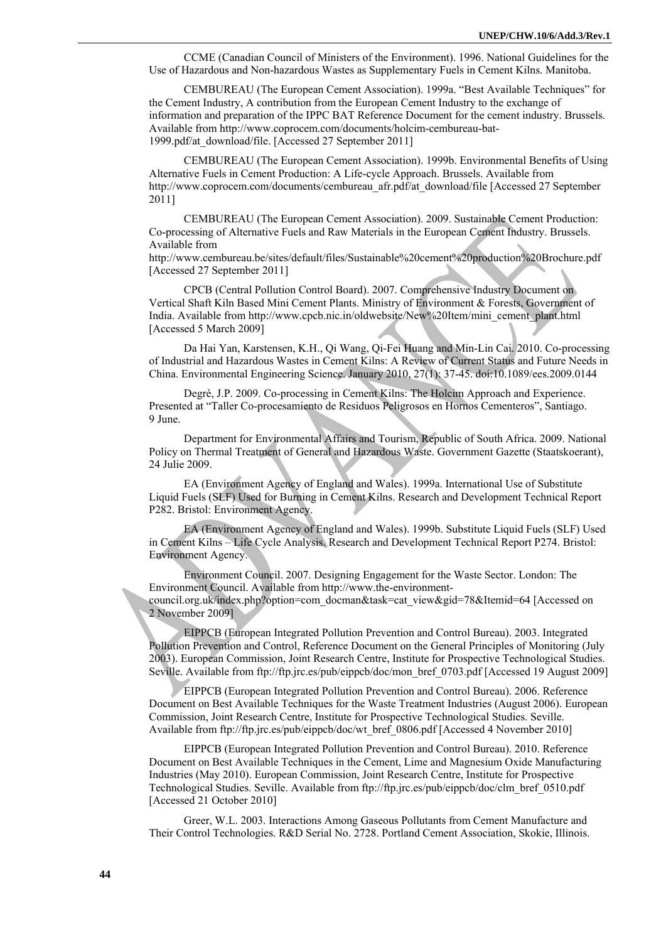CCME (Canadian Council of Ministers of the Environment). 1996. National Guidelines for the Use of Hazardous and Non-hazardous Wastes as Supplementary Fuels in Cement Kilns. Manitoba.

CEMBUREAU (The European Cement Association). 1999a. "Best Available Techniques" for the Cement Industry, A contribution from the European Cement Industry to the exchange of information and preparation of the IPPC BAT Reference Document for the cement industry. Brussels. Available from http://www.coprocem.com/documents/holcim-cembureau-bat-1999.pdf/at\_download/file. [Accessed 27 September 2011]

CEMBUREAU (The European Cement Association). 1999b. Environmental Benefits of Using Alternative Fuels in Cement Production: A Life-cycle Approach. Brussels. Available from http://www.coprocem.com/documents/cembureau\_afr.pdf/at\_download/file [Accessed 27 September 2011]

CEMBUREAU (The European Cement Association). 2009. Sustainable Cement Production: Co-processing of Alternative Fuels and Raw Materials in the European Cement Industry. Brussels. Available from

http://www.cembureau.be/sites/default/files/Sustainable%20cement%20production%20Brochure.pdf [Accessed 27 September 2011]

CPCB (Central Pollution Control Board). 2007. Comprehensive Industry Document on Vertical Shaft Kiln Based Mini Cement Plants. Ministry of Environment & Forests, Government of India. Available from http://www.cpcb.nic.in/oldwebsite/New%20Item/mini\_cement\_plant.html [Accessed 5 March 2009]

Da Hai Yan, Karstensen, K.H., Qi Wang, Qi-Fei Huang and Min-Lin Cai. 2010. Co-processing of Industrial and Hazardous Wastes in Cement Kilns: A Review of Current Status and Future Needs in China. Environmental Engineering Science. January 2010, 27(1): 37-45. doi:10.1089/ees.2009.0144

Degré, J.P. 2009. Co-processing in Cement Kilns: The Holcim Approach and Experience. Presented at "Taller Co-procesamiento de Residuos Peligrosos en Hornos Cementeros", Santiago. 9 June.

Department for Environmental Affairs and Tourism, Republic of South Africa. 2009. National Policy on Thermal Treatment of General and Hazardous Waste. Government Gazette (Staatskoerant), 24 Julie 2009.

EA (Environment Agency of England and Wales). 1999a. International Use of Substitute Liquid Fuels (SLF) Used for Burning in Cement Kilns. Research and Development Technical Report P282. Bristol: Environment Agency.

EA (Environment Agency of England and Wales). 1999b. Substitute Liquid Fuels (SLF) Used in Cement Kilns – Life Cycle Analysis. Research and Development Technical Report P274. Bristol: Environment Agency.

Environment Council. 2007. Designing Engagement for the Waste Sector. London: The Environment Council. Available from http://www.the-environmentcouncil.org.uk/index.php?option=com\_docman&task=cat\_view&gid=78&Itemid=64 [Accessed on 2 November 2009]

EIPPCB (European Integrated Pollution Prevention and Control Bureau). 2003. Integrated Pollution Prevention and Control, Reference Document on the General Principles of Monitoring (July 2003). European Commission, Joint Research Centre, Institute for Prospective Technological Studies. Seville. Available from ftp://ftp.jrc.es/pub/eippcb/doc/mon\_bref\_0703.pdf [Accessed 19 August 2009]

EIPPCB (European Integrated Pollution Prevention and Control Bureau). 2006. Reference Document on Best Available Techniques for the Waste Treatment Industries (August 2006). European Commission, Joint Research Centre, Institute for Prospective Technological Studies. Seville. Available from ftp://ftp.jrc.es/pub/eippcb/doc/wt\_bref\_0806.pdf [Accessed 4 November 2010]

EIPPCB (European Integrated Pollution Prevention and Control Bureau). 2010. Reference Document on Best Available Techniques in the Cement, Lime and Magnesium Oxide Manufacturing Industries (May 2010). European Commission, Joint Research Centre, Institute for Prospective Technological Studies. Seville. Available from ftp://ftp.jrc.es/pub/eippcb/doc/clm\_bref\_0510.pdf [Accessed 21 October 2010]

Greer, W.L. 2003. Interactions Among Gaseous Pollutants from Cement Manufacture and Their Control Technologies. R&D Serial No. 2728. Portland Cement Association, Skokie, Illinois.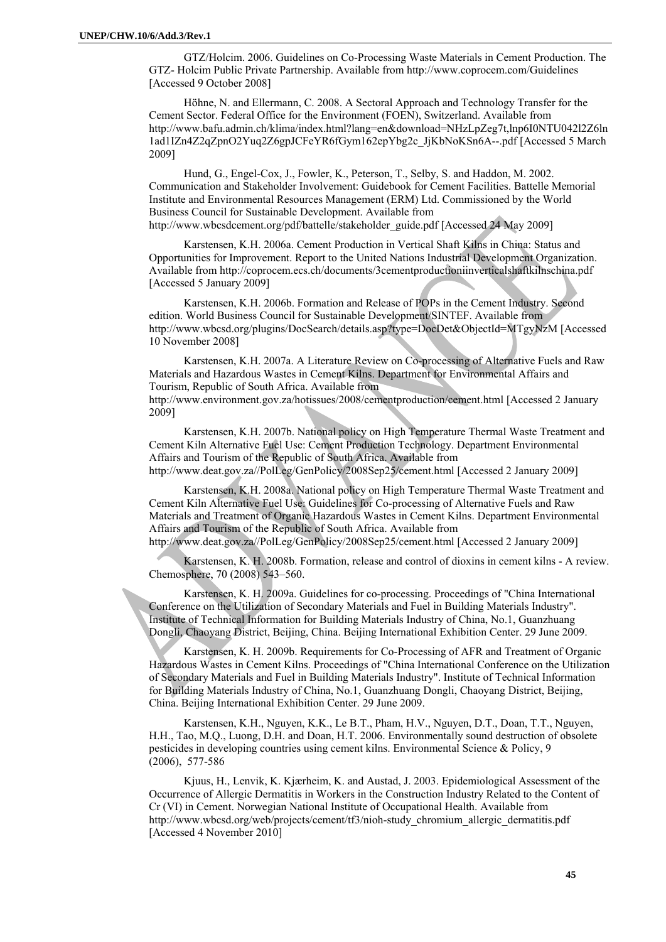GTZ/Holcim. 2006. Guidelines on Co-Processing Waste Materials in Cement Production. The GTZ- Holcim Public Private Partnership. Available from http://www.coprocem.com/Guidelines [Accessed 9 October 2008]

Höhne, N. and Ellermann, C. 2008. A Sectoral Approach and Technology Transfer for the Cement Sector. Federal Office for the Environment (FOEN), Switzerland. Available from http://www.bafu.admin.ch/klima/index.html?lang=en&download=NHzLpZeg7t,lnp6I0NTU042l2Z6ln 1ad1IZn4Z2qZpnO2Yuq2Z6gpJCFeYR6fGym162epYbg2c\_JjKbNoKSn6A--.pdf [Accessed 5 March 2009]

Hund, G., Engel-Cox, J., Fowler, K., Peterson, T., Selby, S. and Haddon, M. 2002. Communication and Stakeholder Involvement: Guidebook for Cement Facilities. Battelle Memorial Institute and Environmental Resources Management (ERM) Ltd. Commissioned by the World Business Council for Sustainable Development. Available from http://www.wbcsdcement.org/pdf/battelle/stakeholder\_guide.pdf [Accessed 24 May 2009]

Karstensen, K.H. 2006a. Cement Production in Vertical Shaft Kilns in China: Status and Opportunities for Improvement. Report to the United Nations Industrial Development Organization. Available from http://coprocem.ecs.ch/documents/3cementproductioniinverticalshaftkilnschina.pdf [Accessed 5 January 2009]

Karstensen, K.H. 2006b. Formation and Release of POPs in the Cement Industry. Second edition. World Business Council for Sustainable Development/SINTEF. Available from http://www.wbcsd.org/plugins/DocSearch/details.asp?type=DocDet&ObjectId=MTgyNzM [Accessed 10 November 2008]

Karstensen, K.H. 2007a. A Literature Review on Co-processing of Alternative Fuels and Raw Materials and Hazardous Wastes in Cement Kilns. Department for Environmental Affairs and Tourism, Republic of South Africa. Available from http://www.environment.gov.za/hotissues/2008/cementproduction/cement.html [Accessed 2 January 2009]

Karstensen, K.H. 2007b. National policy on High Temperature Thermal Waste Treatment and Cement Kiln Alternative Fuel Use: Cement Production Technology. Department Environmental Affairs and Tourism of the Republic of South Africa. Available from http://www.deat.gov.za//PolLeg/GenPolicy/2008Sep25/cement.html [Accessed 2 January 2009]

Karstensen, K.H. 2008a. National policy on High Temperature Thermal Waste Treatment and Cement Kiln Alternative Fuel Use: Guidelines for Co-processing of Alternative Fuels and Raw Materials and Treatment of Organic Hazardous Wastes in Cement Kilns. Department Environmental Affairs and Tourism of the Republic of South Africa. Available from http://www.deat.gov.za//PolLeg/GenPolicy/2008Sep25/cement.html [Accessed 2 January 2009]

Karstensen, K. H. 2008b. Formation, release and control of dioxins in cement kilns - A review. Chemosphere, 70 (2008) 543–560.

Karstensen, K. H. 2009a. Guidelines for co-processing. Proceedings of "China International Conference on the Utilization of Secondary Materials and Fuel in Building Materials Industry". Institute of Technical Information for Building Materials Industry of China, No.1, Guanzhuang Dongli, Chaoyang District, Beijing, China. Beijing International Exhibition Center. 29 June 2009.

Karstensen, K. H. 2009b. Requirements for Co-Processing of AFR and Treatment of Organic Hazardous Wastes in Cement Kilns. Proceedings of "China International Conference on the Utilization of Secondary Materials and Fuel in Building Materials Industry". Institute of Technical Information for Building Materials Industry of China, No.1, Guanzhuang Dongli, Chaoyang District, Beijing, China. Beijing International Exhibition Center. 29 June 2009.

Karstensen, K.H., Nguyen, K.K., Le B.T., Pham, H.V., Nguyen, D.T., Doan, T.T., Nguyen, H.H., Tao, M.Q., Luong, D.H. and Doan, H.T. 2006. Environmentally sound destruction of obsolete pesticides in developing countries using cement kilns. Environmental Science & Policy, 9 (2006), 577-586

Kjuus, H., Lenvik, K. Kjærheim, K. and Austad, J. 2003. Epidemiological Assessment of the Occurrence of Allergic Dermatitis in Workers in the Construction Industry Related to the Content of Cr (VI) in Cement. Norwegian National Institute of Occupational Health. Available from http://www.wbcsd.org/web/projects/cement/tf3/nioh-study\_chromium\_allergic\_dermatitis.pdf [Accessed 4 November 2010]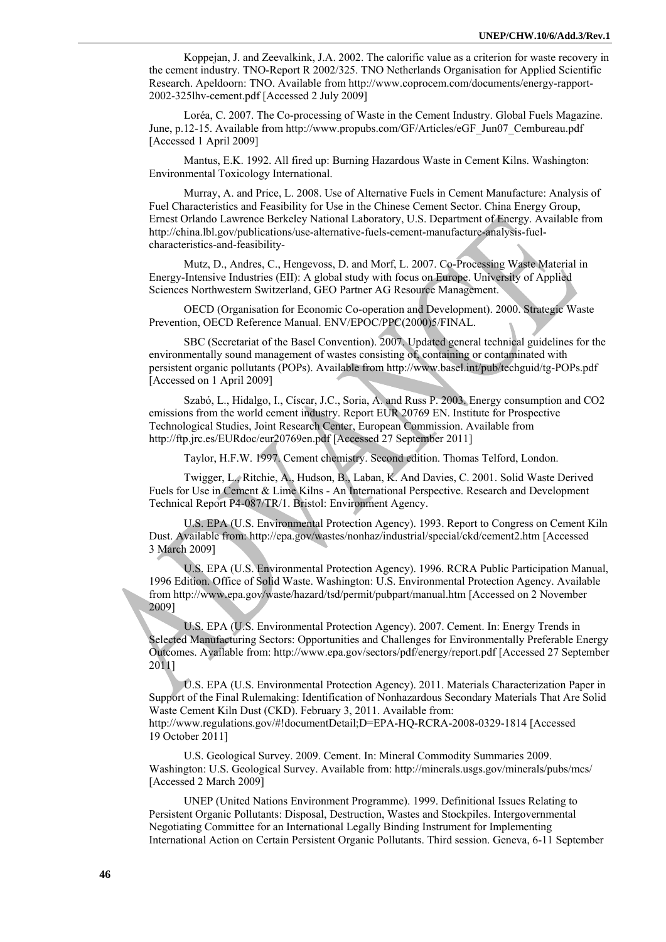Koppejan, J. and Zeevalkink, J.A. 2002. The calorific value as a criterion for waste recovery in the cement industry. TNO-Report R 2002/325. TNO Netherlands Organisation for Applied Scientific Research. Apeldoorn: TNO. Available from http://www.coprocem.com/documents/energy-rapport-2002-325lhv-cement.pdf [Accessed 2 July 2009]

Loréa, C. 2007. The Co-processing of Waste in the Cement Industry. Global Fuels Magazine. June, p.12-15. Available from http://www.propubs.com/GF/Articles/eGF\_Jun07\_Cembureau.pdf [Accessed 1 April 2009]

Mantus, E.K. 1992. All fired up: Burning Hazardous Waste in Cement Kilns. Washington: Environmental Toxicology International.

Murray, A. and Price, L. 2008. Use of Alternative Fuels in Cement Manufacture: Analysis of Fuel Characteristics and Feasibility for Use in the Chinese Cement Sector. China Energy Group, Ernest Orlando Lawrence Berkeley National Laboratory, U.S. Department of Energy. Available from http://china.lbl.gov/publications/use-alternative-fuels-cement-manufacture-analysis-fuelcharacteristics-and-feasibility-

Mutz, D., Andres, C., Hengevoss, D. and Morf, L. 2007. Co-Processing Waste Material in Energy-Intensive Industries (EII): A global study with focus on Europe. University of Applied Sciences Northwestern Switzerland, GEO Partner AG Resource Management.

OECD (Organisation for Economic Co-operation and Development). 2000. Strategic Waste Prevention, OECD Reference Manual. ENV/EPOC/PPC(2000)5/FINAL.

SBC (Secretariat of the Basel Convention). 2007. Updated general technical guidelines for the environmentally sound management of wastes consisting of, containing or contaminated with persistent organic pollutants (POPs). Available from http://www.basel.int/pub/techguid/tg-POPs.pdf [Accessed on 1 April 2009]

Szabó, L., Hidalgo, I., Císcar, J.C., Soria, A. and Russ P. 2003. Energy consumption and CO2 emissions from the world cement industry. Report EUR 20769 EN. Institute for Prospective Technological Studies, Joint Research Center, European Commission. Available from http://ftp.jrc.es/EURdoc/eur20769en.pdf [Accessed 27 September 2011]

Taylor, H.F.W. 1997. Cement chemistry. Second edition. Thomas Telford, London.

Twigger, L., Ritchie, A., Hudson, B., Laban, K. And Davies, C. 2001. Solid Waste Derived Fuels for Use in Cement & Lime Kilns - An International Perspective. Research and Development Technical Report P4-087/TR/1. Bristol: Environment Agency.

U.S. EPA (U.S. Environmental Protection Agency). 1993. Report to Congress on Cement Kiln Dust. Available from: http://epa.gov/wastes/nonhaz/industrial/special/ckd/cement2.htm [Accessed 3 March 2009]

U.S. EPA (U.S. Environmental Protection Agency). 1996. RCRA Public Participation Manual, 1996 Edition. Office of Solid Waste. Washington: U.S. Environmental Protection Agency. Available from http://www.epa.gov/waste/hazard/tsd/permit/pubpart/manual.htm [Accessed on 2 November 2009]

U.S. EPA (U.S. Environmental Protection Agency). 2007. Cement. In: Energy Trends in Selected Manufacturing Sectors: Opportunities and Challenges for Environmentally Preferable Energy Outcomes. Available from: http://www.epa.gov/sectors/pdf/energy/report.pdf [Accessed 27 September 2011]

U.S. EPA (U.S. Environmental Protection Agency). 2011. Materials Characterization Paper in Support of the Final Rulemaking: Identification of Nonhazardous Secondary Materials That Are Solid Waste Cement Kiln Dust (CKD). February 3, 2011. Available from: http://www.regulations.gov/#!documentDetail;D=EPA-HQ-RCRA-2008-0329-1814 [Accessed 19 October 2011]

U.S. Geological Survey. 2009. Cement. In: Mineral Commodity Summaries 2009. Washington: U.S. Geological Survey. Available from: http://minerals.usgs.gov/minerals/pubs/mcs/ [Accessed 2 March 2009]

UNEP (United Nations Environment Programme). 1999. Definitional Issues Relating to Persistent Organic Pollutants: Disposal, Destruction, Wastes and Stockpiles. Intergovernmental Negotiating Committee for an International Legally Binding Instrument for Implementing International Action on Certain Persistent Organic Pollutants. Third session. Geneva, 6-11 September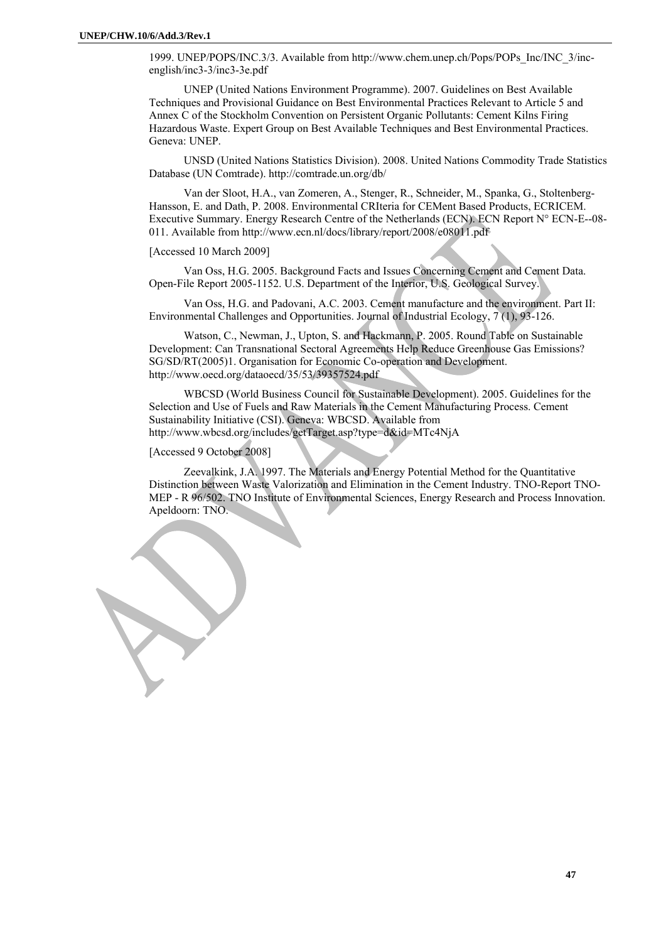1999. UNEP/POPS/INC.3/3. Available from http://www.chem.unep.ch/Pops/POPs\_Inc/INC\_3/incenglish/inc3-3/inc3-3e.pdf

UNEP (United Nations Environment Programme). 2007. Guidelines on Best Available Techniques and Provisional Guidance on Best Environmental Practices Relevant to Article 5 and Annex C of the Stockholm Convention on Persistent Organic Pollutants: Cement Kilns Firing Hazardous Waste. Expert Group on Best Available Techniques and Best Environmental Practices. Geneva: UNEP.

UNSD (United Nations Statistics Division). 2008. United Nations Commodity Trade Statistics Database (UN Comtrade). http://comtrade.un.org/db/

Van der Sloot, H.A., van Zomeren, A., Stenger, R., Schneider, M., Spanka, G., Stoltenberg-Hansson, E. and Dath, P. 2008. Environmental CRIteria for CEMent Based Products, ECRICEM. Executive Summary. Energy Research Centre of the Netherlands (ECN). ECN Report N° ECN-E--08- 011. Available from http://www.ecn.nl/docs/library/report/2008/e08011.pdf

[Accessed 10 March 2009]

Van Oss, H.G. 2005. Background Facts and Issues Concerning Cement and Cement Data. Open-File Report 2005-1152. U.S. Department of the Interior, U.S. Geological Survey.

Van Oss, H.G. and Padovani, A.C. 2003. Cement manufacture and the environment. Part II: Environmental Challenges and Opportunities. Journal of Industrial Ecology, 7 (1), 93-126.

Watson, C., Newman, J., Upton, S. and Hackmann, P. 2005. Round Table on Sustainable Development: Can Transnational Sectoral Agreements Help Reduce Greenhouse Gas Emissions? SG/SD/RT(2005)1. Organisation for Economic Co-operation and Development. http://www.oecd.org/dataoecd/35/53/39357524.pdf

WBCSD (World Business Council for Sustainable Development). 2005. Guidelines for the Selection and Use of Fuels and Raw Materials in the Cement Manufacturing Process. Cement Sustainability Initiative (CSI). Geneva: WBCSD. Available from http://www.wbcsd.org/includes/getTarget.asp?type=d&id=MTc4NjA

#### [Accessed 9 October 2008]

Zeevalkink, J.A. 1997. The Materials and Energy Potential Method for the Quantitative Distinction between Waste Valorization and Elimination in the Cement Industry. TNO-Report TNO-MEP - R 96/502. TNO Institute of Environmental Sciences, Energy Research and Process Innovation. Apeldoorn: TNO.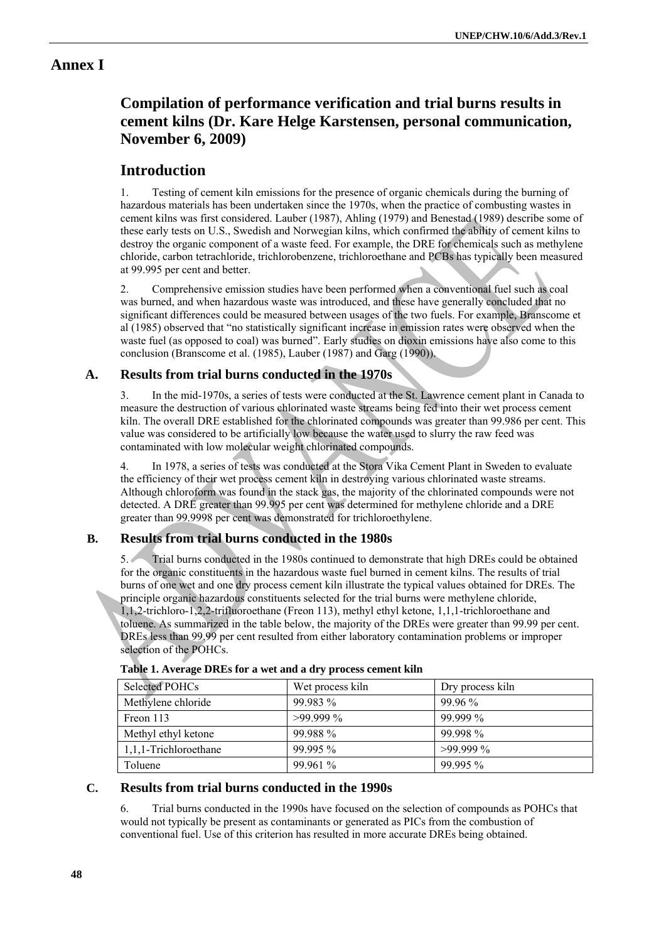## **Annex I**

## **Compilation of performance verification and trial burns results in cement kilns (Dr. Kare Helge Karstensen, personal communication, November 6, 2009)**

## **Introduction**

1. Testing of cement kiln emissions for the presence of organic chemicals during the burning of hazardous materials has been undertaken since the 1970s, when the practice of combusting wastes in cement kilns was first considered. Lauber (1987), Ahling (1979) and Benestad (1989) describe some of these early tests on U.S., Swedish and Norwegian kilns, which confirmed the ability of cement kilns to destroy the organic component of a waste feed. For example, the DRE for chemicals such as methylene chloride, carbon tetrachloride, trichlorobenzene, trichloroethane and PCBs has typically been measured at 99.995 per cent and better.

2. Comprehensive emission studies have been performed when a conventional fuel such as coal was burned, and when hazardous waste was introduced, and these have generally concluded that no significant differences could be measured between usages of the two fuels. For example, Branscome et al (1985) observed that "no statistically significant increase in emission rates were observed when the waste fuel (as opposed to coal) was burned". Early studies on dioxin emissions have also come to this conclusion (Branscome et al. (1985), Lauber (1987) and Garg (1990)).

## **A. Results from trial burns conducted in the 1970s**

3. In the mid-1970s, a series of tests were conducted at the St. Lawrence cement plant in Canada to measure the destruction of various chlorinated waste streams being fed into their wet process cement kiln. The overall DRE established for the chlorinated compounds was greater than 99.986 per cent. This value was considered to be artificially low because the water used to slurry the raw feed was contaminated with low molecular weight chlorinated compounds.

4. In 1978, a series of tests was conducted at the Stora Vika Cement Plant in Sweden to evaluate the efficiency of their wet process cement kiln in destroying various chlorinated waste streams. Although chloroform was found in the stack gas, the majority of the chlorinated compounds were not detected. A DRE greater than 99.995 per cent was determined for methylene chloride and a DRE greater than 99.9998 per cent was demonstrated for trichloroethylene.

## **B. Results from trial burns conducted in the 1980s**

5. Trial burns conducted in the 1980s continued to demonstrate that high DREs could be obtained for the organic constituents in the hazardous waste fuel burned in cement kilns. The results of trial burns of one wet and one dry process cement kiln illustrate the typical values obtained for DREs. The principle organic hazardous constituents selected for the trial burns were methylene chloride, 1,1,2-trichloro-1,2,2-trifluoroethane (Freon 113), methyl ethyl ketone, 1,1,1-trichloroethane and toluene. As summarized in the table below, the majority of the DREs were greater than 99.99 per cent. DREs less than 99.99 per cent resulted from either laboratory contamination problems or improper selection of the POHCs.

| <b>Selected POHCs</b> | Wet process kiln | Dry process kiln |
|-----------------------|------------------|------------------|
| Methylene chloride    | 99983%           | 9996%            |
| Freon 113             | $>9999\%$        | $9999\%$         |
| Methyl ethyl ketone   | 99.988 %         | 99 998 $\%$      |
| 1,1,1-Trichloroethane | $99.995\%$       | $>9999\%$        |
| Toluene               | $99.961\%$       | $99.995\%$       |

| Table 1. Average DREs for a wet and a dry process cement kiln |  |  |  |  |
|---------------------------------------------------------------|--|--|--|--|
|                                                               |  |  |  |  |
|                                                               |  |  |  |  |
|                                                               |  |  |  |  |

## **C. Results from trial burns conducted in the 1990s**

6. Trial burns conducted in the 1990s have focused on the selection of compounds as POHCs that would not typically be present as contaminants or generated as PICs from the combustion of conventional fuel. Use of this criterion has resulted in more accurate DREs being obtained.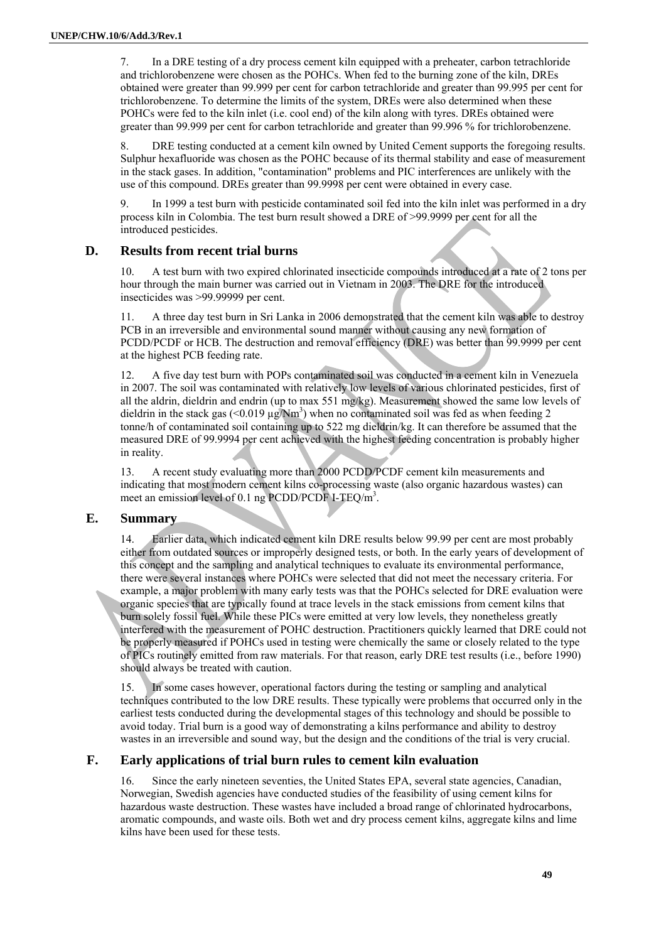7. In a DRE testing of a dry process cement kiln equipped with a preheater, carbon tetrachloride and trichlorobenzene were chosen as the POHCs. When fed to the burning zone of the kiln, DREs obtained were greater than 99.999 per cent for carbon tetrachloride and greater than 99.995 per cent for trichlorobenzene. To determine the limits of the system, DREs were also determined when these POHCs were fed to the kiln inlet (i.e. cool end) of the kiln along with tyres. DREs obtained were greater than 99.999 per cent for carbon tetrachloride and greater than 99.996 % for trichlorobenzene.

8. DRE testing conducted at a cement kiln owned by United Cement supports the foregoing results. Sulphur hexafluoride was chosen as the POHC because of its thermal stability and ease of measurement in the stack gases. In addition, "contamination" problems and PIC interferences are unlikely with the use of this compound. DREs greater than 99.9998 per cent were obtained in every case.

9. In 1999 a test burn with pesticide contaminated soil fed into the kiln inlet was performed in a dry process kiln in Colombia. The test burn result showed a DRE of >99.9999 per cent for all the introduced pesticides.

## **D. Results from recent trial burns**

10. A test burn with two expired chlorinated insecticide compounds introduced at a rate of 2 tons per hour through the main burner was carried out in Vietnam in 2003. The DRE for the introduced insecticides was >99.99999 per cent.

11. A three day test burn in Sri Lanka in 2006 demonstrated that the cement kiln was able to destroy PCB in an irreversible and environmental sound manner without causing any new formation of PCDD/PCDF or HCB. The destruction and removal efficiency (DRE) was better than 99.9999 per cent at the highest PCB feeding rate.

12. A five day test burn with POPs contaminated soil was conducted in a cement kiln in Venezuela in 2007. The soil was contaminated with relatively low levels of various chlorinated pesticides, first of all the aldrin, dieldrin and endrin (up to max 551 mg/kg). Measurement showed the same low levels of dieldrin in the stack gas (<0.019  $\mu$ g/Nm<sup>3</sup>) when no contaminated soil was fed as when feeding 2 tonne/h of contaminated soil containing up to 522 mg dieldrin/kg. It can therefore be assumed that the measured DRE of 99.9994 per cent achieved with the highest feeding concentration is probably higher in reality.

13. A recent study evaluating more than 2000 PCDD/PCDF cement kiln measurements and indicating that most modern cement kilns co-processing waste (also organic hazardous wastes) can meet an emission level of 0.1 ng PCDD/PCDF I-TEQ/m<sup>3</sup>.

## **E. Summary**

14. Earlier data, which indicated cement kiln DRE results below 99.99 per cent are most probably either from outdated sources or improperly designed tests, or both. In the early years of development of this concept and the sampling and analytical techniques to evaluate its environmental performance, there were several instances where POHCs were selected that did not meet the necessary criteria. For example, a major problem with many early tests was that the POHCs selected for DRE evaluation were organic species that are typically found at trace levels in the stack emissions from cement kilns that burn solely fossil fuel. While these PICs were emitted at very low levels, they nonetheless greatly interfered with the measurement of POHC destruction. Practitioners quickly learned that DRE could not be properly measured if POHCs used in testing were chemically the same or closely related to the type of PICs routinely emitted from raw materials. For that reason, early DRE test results (i.e., before 1990) should always be treated with caution.

15. In some cases however, operational factors during the testing or sampling and analytical techniques contributed to the low DRE results. These typically were problems that occurred only in the earliest tests conducted during the developmental stages of this technology and should be possible to avoid today. Trial burn is a good way of demonstrating a kilns performance and ability to destroy wastes in an irreversible and sound way, but the design and the conditions of the trial is very crucial.

## **F. Early applications of trial burn rules to cement kiln evaluation**

16. Since the early nineteen seventies, the United States EPA, several state agencies, Canadian, Norwegian, Swedish agencies have conducted studies of the feasibility of using cement kilns for hazardous waste destruction. These wastes have included a broad range of chlorinated hydrocarbons, aromatic compounds, and waste oils. Both wet and dry process cement kilns, aggregate kilns and lime kilns have been used for these tests.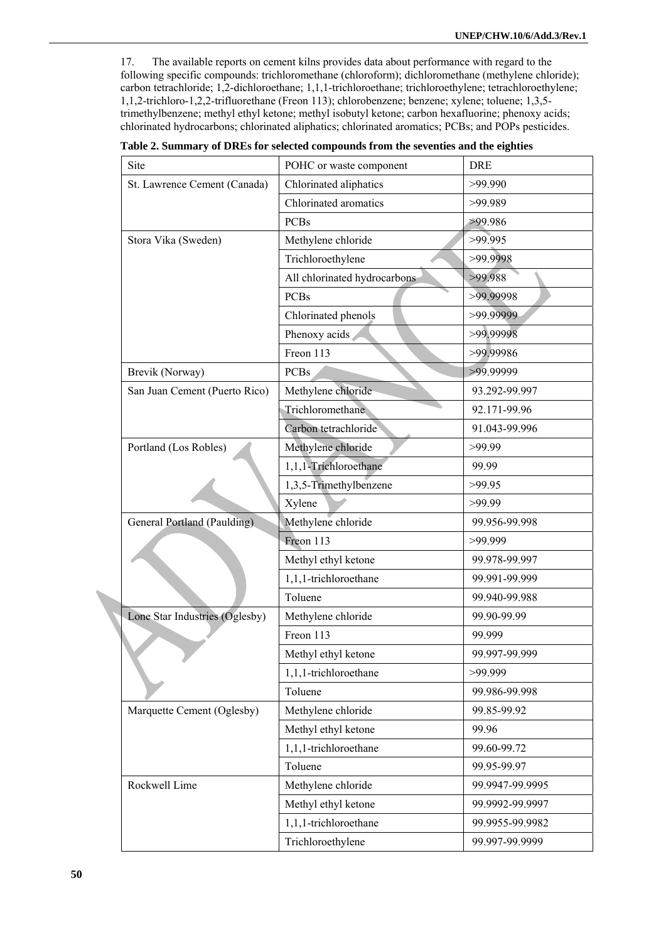17. The available reports on cement kilns provides data about performance with regard to the following specific compounds: trichloromethane (chloroform); dichloromethane (methylene chloride); carbon tetrachloride; 1,2-dichloroethane; 1,1,1-trichloroethane; trichloroethylene; tetrachloroethylene; 1,1,2-trichloro-1,2,2-trifluorethane (Freon 113); chlorobenzene; benzene; xylene; toluene; 1,3,5 trimethylbenzene; methyl ethyl ketone; methyl isobutyl ketone; carbon hexafluorine; phenoxy acids; chlorinated hydrocarbons; chlorinated aliphatics; chlorinated aromatics; PCBs; and POPs pesticides.

| Site                           | POHC or waste component      | <b>DRE</b>      |
|--------------------------------|------------------------------|-----------------|
| St. Lawrence Cement (Canada)   | Chlorinated aliphatics       | >99.990         |
|                                | Chlorinated aromatics        | >99.989         |
|                                | <b>PCBs</b>                  | >99.986         |
| Stora Vika (Sweden)            | Methylene chloride           | >99.995         |
|                                | Trichloroethylene            | >99.9998        |
|                                | All chlorinated hydrocarbons | >99.988         |
|                                | <b>PCBs</b>                  | >99.99998       |
|                                | Chlorinated phenols          | >99.99999       |
|                                | Phenoxy acids                | >99.99998       |
|                                | Freon 113                    | >99.99986       |
| Brevik (Norway)                | <b>PCBs</b>                  | >99.99999       |
| San Juan Cement (Puerto Rico)  | Methylene chloride           | 93.292-99.997   |
|                                | Trichloromethane             | 92.171-99.96    |
|                                | Carbon tetrachloride         | 91.043-99.996   |
| Portland (Los Robles)          | Methylene chloride           | >99.99          |
|                                | 1,1,1-Trichloroethane        | 99.99           |
|                                | 1,3,5-Trimethylbenzene       | >99.95          |
|                                | Xylene                       | >99.99          |
| General Portland (Paulding)    | Methylene chloride           | 99.956-99.998   |
|                                | Freon 113                    | >99.999         |
|                                | Methyl ethyl ketone          | 99.978-99.997   |
|                                | 1,1,1-trichloroethane        | 99.991-99.999   |
|                                | Toluene                      | 99.940-99.988   |
| Lone Star Industries (Oglesby) | Methylene chloride           | 99.90-99.99     |
|                                | Freon 113                    | 99.999          |
|                                | Methyl ethyl ketone          | 99.997-99.999   |
|                                | 1,1,1-trichloroethane        | >99.999         |
|                                | Toluene                      | 99.986-99.998   |
| Marquette Cement (Oglesby)     | Methylene chloride           | 99.85-99.92     |
|                                | Methyl ethyl ketone          | 99.96           |
|                                | 1,1,1-trichloroethane        | 99.60-99.72     |
|                                | Toluene                      | 99.95-99.97     |
| Rockwell Lime                  | Methylene chloride           | 99.9947-99.9995 |
|                                | Methyl ethyl ketone          | 99.9992-99.9997 |
|                                | 1,1,1-trichloroethane        | 99.9955-99.9982 |
|                                | Trichloroethylene            | 99.997-99.9999  |

**Table 2. Summary of DREs for selected compounds from the seventies and the eighties**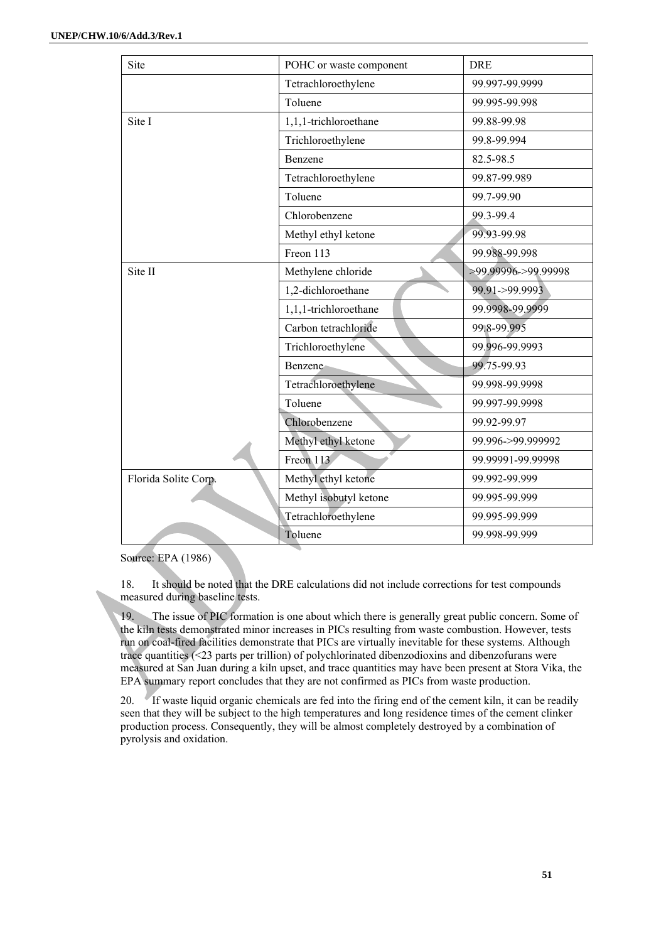| Site                 | POHC or waste component | <b>DRE</b>          |
|----------------------|-------------------------|---------------------|
|                      | Tetrachloroethylene     | 99.997-99.9999      |
|                      | Toluene                 | 99.995-99.998       |
| Site I               | 1,1,1-trichloroethane   | 99.88-99.98         |
|                      | Trichloroethylene       | 99.8-99.994         |
|                      | Benzene                 | 82.5-98.5           |
|                      | Tetrachloroethylene     | 99.87-99.989        |
|                      | Toluene                 | 99.7-99.90          |
|                      | Chlorobenzene           | 99.3-99.4           |
|                      | Methyl ethyl ketone     | 99.93-99.98         |
|                      | Freon 113               | 99.988-99.998       |
| Site II              | Methylene chloride      | >99.99996->99.99998 |
|                      | 1,2-dichloroethane      | 99.91->99.9993      |
|                      | 1,1,1-trichloroethane   | 99.9998-99.9999     |
|                      | Carbon tetrachloride    | 99.8-99.995         |
|                      | Trichloroethylene       | 99.996-99.9993      |
|                      | Benzene                 | 99.75-99.93         |
|                      | Tetrachloroethylene     | 99.998-99.9998      |
|                      | Toluene                 | 99.997-99.9998      |
|                      | Chlorobenzene           | 99.92-99.97         |
|                      | Methyl ethyl ketone     | 99.996->99.999992   |
|                      | Freon 113               | 99.99991-99.99998   |
| Florida Solite Corp. | Methyl ethyl ketone     | 99.992-99.999       |
|                      | Methyl isobutyl ketone  | 99.995-99.999       |
|                      | Tetrachloroethylene     | 99.995-99.999       |
|                      | Toluene                 | 99.998-99.999       |

Source: EPA (1986)

18. It should be noted that the DRE calculations did not include corrections for test compounds measured during baseline tests.

19. The issue of PIC formation is one about which there is generally great public concern. Some of the kiln tests demonstrated minor increases in PICs resulting from waste combustion. However, tests run on coal-fired facilities demonstrate that PICs are virtually inevitable for these systems. Although trace quantities (<23 parts per trillion) of polychlorinated dibenzodioxins and dibenzofurans were measured at San Juan during a kiln upset, and trace quantities may have been present at Stora Vika, the EPA summary report concludes that they are not confirmed as PICs from waste production.

20. If waste liquid organic chemicals are fed into the firing end of the cement kiln, it can be readily seen that they will be subject to the high temperatures and long residence times of the cement clinker production process. Consequently, they will be almost completely destroyed by a combination of pyrolysis and oxidation.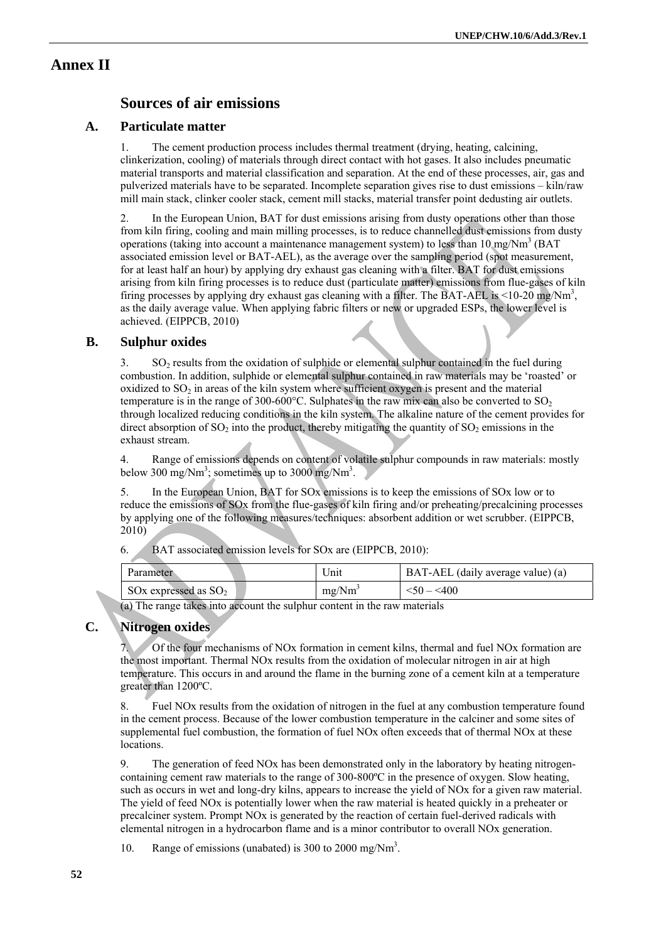## **Annex II**

## **Sources of air emissions**

## **A. Particulate matter**

1. The cement production process includes thermal treatment (drying, heating, calcining, clinkerization, cooling) of materials through direct contact with hot gases. It also includes pneumatic material transports and material classification and separation. At the end of these processes, air, gas and pulverized materials have to be separated. Incomplete separation gives rise to dust emissions – kiln/raw mill main stack, clinker cooler stack, cement mill stacks, material transfer point dedusting air outlets.

2. In the European Union, BAT for dust emissions arising from dusty operations other than those from kiln firing, cooling and main milling processes, is to reduce channelled dust emissions from dusty operations (taking into account a maintenance management system) to less than 10 mg/Nm<sup>3</sup> (BAT associated emission level or BAT-AEL), as the average over the sampling period (spot measurement, for at least half an hour) by applying dry exhaust gas cleaning with a filter. BAT for dust emissions arising from kiln firing processes is to reduce dust (particulate matter) emissions from flue-gases of kiln firing processes by applying dry exhaust gas cleaning with a filter. The BAT-AEL is <10-20 mg/Nm<sup>3</sup>, as the daily average value. When applying fabric filters or new or upgraded ESPs, the lower level is achieved. (EIPPCB, 2010)

## **B. Sulphur oxides**

3. SO<sub>2</sub> results from the oxidation of sulphide or elemental sulphur contained in the fuel during combustion. In addition, sulphide or elemental sulphur contained in raw materials may be 'roasted' or oxidized to  $SO<sub>2</sub>$  in areas of the kiln system where sufficient oxygen is present and the material temperature is in the range of 300-600 $\degree$ C. Sulphates in the raw mix can also be converted to SO<sub>2</sub> through localized reducing conditions in the kiln system. The alkaline nature of the cement provides for direct absorption of  $SO<sub>2</sub>$  into the product, thereby mitigating the quantity of  $SO<sub>2</sub>$  emissions in the exhaust stream.

4. Range of emissions depends on content of volatile sulphur compounds in raw materials: mostly below 300 mg/Nm<sup>3</sup>; sometimes up to 3000 mg/Nm<sup>3</sup>.

5. In the European Union, BAT for SOx emissions is to keep the emissions of SOx low or to reduce the emissions of SOx from the flue-gases of kiln firing and/or preheating/precalcining processes by applying one of the following measures/techniques: absorbent addition or wet scrubber. (EIPPCB, 2010)

|  |  | BAT associated emission levels for SOx are (EIPPCB, 2010): |  |
|--|--|------------------------------------------------------------|--|
|  |  |                                                            |  |

| Parameter              | Unit               | BAT-AEL (daily average value) (a) |
|------------------------|--------------------|-----------------------------------|
| SOx expressed as $SO2$ | mg/Nm <sup>3</sup> | $\leq 50 - \leq 400$              |

(a) The range takes into account the sulphur content in the raw materials

## **C. Nitrogen oxides**

7. Of the four mechanisms of NOx formation in cement kilns, thermal and fuel NOx formation are the most important. Thermal NOx results from the oxidation of molecular nitrogen in air at high temperature. This occurs in and around the flame in the burning zone of a cement kiln at a temperature greater than 1200ºC.

8. Fuel NOx results from the oxidation of nitrogen in the fuel at any combustion temperature found in the cement process. Because of the lower combustion temperature in the calciner and some sites of supplemental fuel combustion, the formation of fuel NOx often exceeds that of thermal NOx at these locations.

9. The generation of feed NOx has been demonstrated only in the laboratory by heating nitrogencontaining cement raw materials to the range of 300-800ºC in the presence of oxygen. Slow heating, such as occurs in wet and long-dry kilns, appears to increase the yield of NOx for a given raw material. The yield of feed NOx is potentially lower when the raw material is heated quickly in a preheater or precalciner system. Prompt NOx is generated by the reaction of certain fuel-derived radicals with elemental nitrogen in a hydrocarbon flame and is a minor contributor to overall NOx generation.

10. Range of emissions (unabated) is 300 to 2000 mg/Nm<sup>3</sup>.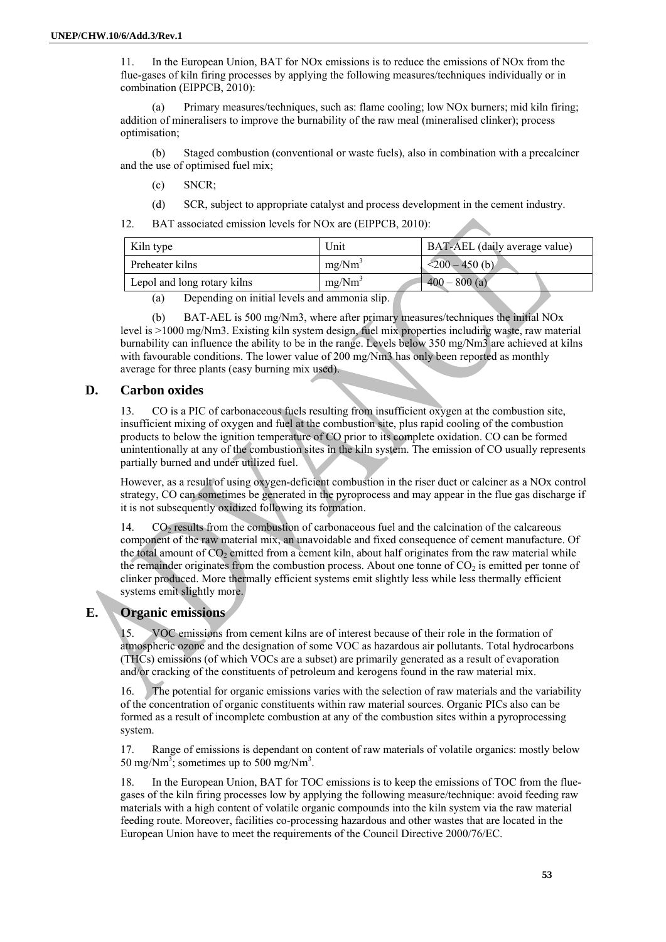11. In the European Union, BAT for NOx emissions is to reduce the emissions of NOx from the flue-gases of kiln firing processes by applying the following measures/techniques individually or in combination (EIPPCB, 2010):

(a) Primary measures/techniques, such as: flame cooling; low NOx burners; mid kiln firing; addition of mineralisers to improve the burnability of the raw meal (mineralised clinker); process optimisation;

(b) Staged combustion (conventional or waste fuels), also in combination with a precalciner and the use of optimised fuel mix;

- (c) SNCR;
- (d) SCR, subject to appropriate catalyst and process development in the cement industry.

12. BAT associated emission levels for NOx are (EIPPCB, 2010):

| Kiln type                   | Unit               | BAT-AEL (daily average value)      |
|-----------------------------|--------------------|------------------------------------|
| Preheater kilns             | $mg/Nm^3$          | $\langle 200 - 450 \, (b) \rangle$ |
| Lepol and long rotary kilns | mg/Nm <sup>3</sup> | $-400 - 800$ (a)                   |

(a) Depending on initial levels and ammonia slip.

(b) BAT-AEL is 500 mg/Nm3, where after primary measures/techniques the initial NOx level is >1000 mg/Nm3. Existing kiln system design, fuel mix properties including waste, raw material burnability can influence the ability to be in the range. Levels below 350 mg/Nm3 are achieved at kilns with favourable conditions. The lower value of 200 mg/Nm3 has only been reported as monthly average for three plants (easy burning mix used).

### **D. Carbon oxides**

13. CO is a PIC of carbonaceous fuels resulting from insufficient oxygen at the combustion site, insufficient mixing of oxygen and fuel at the combustion site, plus rapid cooling of the combustion products to below the ignition temperature of CO prior to its complete oxidation. CO can be formed unintentionally at any of the combustion sites in the kiln system. The emission of CO usually represents partially burned and under utilized fuel.

However, as a result of using oxygen-deficient combustion in the riser duct or calciner as a NOx control strategy, CO can sometimes be generated in the pyroprocess and may appear in the flue gas discharge if it is not subsequently oxidized following its formation.

14. CO<sub>2</sub> results from the combustion of carbonaceous fuel and the calcination of the calcareous component of the raw material mix, an unavoidable and fixed consequence of cement manufacture. Of the total amount of  $CO<sub>2</sub>$  emitted from a cement kiln, about half originates from the raw material while the remainder originates from the combustion process. About one tonne of  $CO<sub>2</sub>$  is emitted per tonne of clinker produced. More thermally efficient systems emit slightly less while less thermally efficient systems emit slightly more.

## **E. Organic emissions**

15. VOC emissions from cement kilns are of interest because of their role in the formation of atmospheric ozone and the designation of some VOC as hazardous air pollutants. Total hydrocarbons (THCs) emissions (of which VOCs are a subset) are primarily generated as a result of evaporation and/or cracking of the constituents of petroleum and kerogens found in the raw material mix.

16. The potential for organic emissions varies with the selection of raw materials and the variability of the concentration of organic constituents within raw material sources. Organic PICs also can be formed as a result of incomplete combustion at any of the combustion sites within a pyroprocessing system.

17. Range of emissions is dependant on content of raw materials of volatile organics: mostly below 50 mg/Nm<sup>3</sup>; sometimes up to 500 mg/Nm<sup>3</sup>.

18. In the European Union, BAT for TOC emissions is to keep the emissions of TOC from the fluegases of the kiln firing processes low by applying the following measure/technique: avoid feeding raw materials with a high content of volatile organic compounds into the kiln system via the raw material feeding route. Moreover, facilities co-processing hazardous and other wastes that are located in the European Union have to meet the requirements of the Council Directive 2000/76/EC.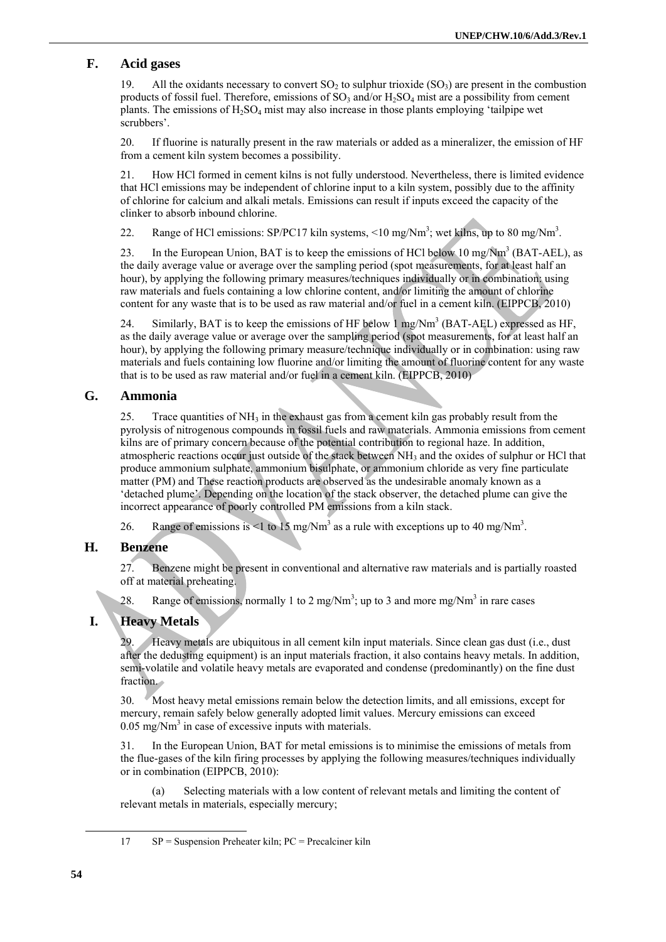## **F. Acid gases**

19. All the oxidants necessary to convert  $SO_2$  to sulphur trioxide  $(SO_3)$  are present in the combustion products of fossil fuel. Therefore, emissions of  $SO_3$  and/or  $H_2SO_4$  mist are a possibility from cement plants. The emissions of  $H_2SO_4$  mist may also increase in those plants employing 'tailpipe wet scrubbers'.

20. If fluorine is naturally present in the raw materials or added as a mineralizer, the emission of HF from a cement kiln system becomes a possibility.

21. How HCl formed in cement kilns is not fully understood. Nevertheless, there is limited evidence that HCl emissions may be independent of chlorine input to a kiln system, possibly due to the affinity of chlorine for calcium and alkali metals. Emissions can result if inputs exceed the capacity of the clinker to absorb inbound chlorine.

22. Range of HCl emissions: SP/PC17 kiln systems, <10 mg/Nm<sup>3</sup>; wet kilns, up to 80 mg/Nm<sup>3</sup>.

23. In the European Union, BAT is to keep the emissions of HCl below 10 mg/ $Nm<sup>3</sup>$  (BAT-AEL), as the daily average value or average over the sampling period (spot measurements, for at least half an hour), by applying the following primary measures/techniques individually or in combination: using raw materials and fuels containing a low chlorine content, and/or limiting the amount of chlorine content for any waste that is to be used as raw material and/or fuel in a cement kiln. (EIPPCB, 2010)

24. Similarly, BAT is to keep the emissions of HF below  $1 \text{ mg}/\text{Nm}^3$  (BAT-AEL) expressed as HF, as the daily average value or average over the sampling period (spot measurements, for at least half an hour), by applying the following primary measure/technique individually or in combination: using raw materials and fuels containing low fluorine and/or limiting the amount of fluorine content for any waste that is to be used as raw material and/or fuel in a cement kiln. (EIPPCB, 2010)

## **G. Ammonia**

25. Trace quantities of  $NH_3$  in the exhaust gas from a cement kiln gas probably result from the pyrolysis of nitrogenous compounds in fossil fuels and raw materials. Ammonia emissions from cement kilns are of primary concern because of the potential contribution to regional haze. In addition, atmospheric reactions occur just outside of the stack between  $NH<sub>3</sub>$  and the oxides of sulphur or HCl that produce ammonium sulphate, ammonium bisulphate, or ammonium chloride as very fine particulate matter (PM) and These reaction products are observed as the undesirable anomaly known as a 'detached plume'. Depending on the location of the stack observer, the detached plume can give the incorrect appearance of poorly controlled PM emissions from a kiln stack.

26. Range of emissions is <1 to 15 mg/Nm<sup>3</sup> as a rule with exceptions up to 40 mg/Nm<sup>3</sup>.

## **H. Benzene**

27. Benzene might be present in conventional and alternative raw materials and is partially roasted off at material preheating.

28. Range of emissions, normally 1 to 2 mg/Nm<sup>3</sup>; up to 3 and more mg/Nm<sup>3</sup> in rare cases

## **I. Heavy Metals**

29. Heavy metals are ubiquitous in all cement kiln input materials. Since clean gas dust (i.e., dust after the dedusting equipment) is an input materials fraction, it also contains heavy metals. In addition, semi-volatile and volatile heavy metals are evaporated and condense (predominantly) on the fine dust fraction.

30. Most heavy metal emissions remain below the detection limits, and all emissions, except for mercury, remain safely below generally adopted limit values. Mercury emissions can exceed 0.05 mg/Nm<sup>3</sup> in case of excessive inputs with materials.

In the European Union, BAT for metal emissions is to minimise the emissions of metals from the flue-gases of the kiln firing processes by applying the following measures/techniques individually or in combination (EIPPCB, 2010):

(a) Selecting materials with a low content of relevant metals and limiting the content of relevant metals in materials, especially mercury;

-

 $17$  SP = Suspension Preheater kiln; PC = Precalciner kiln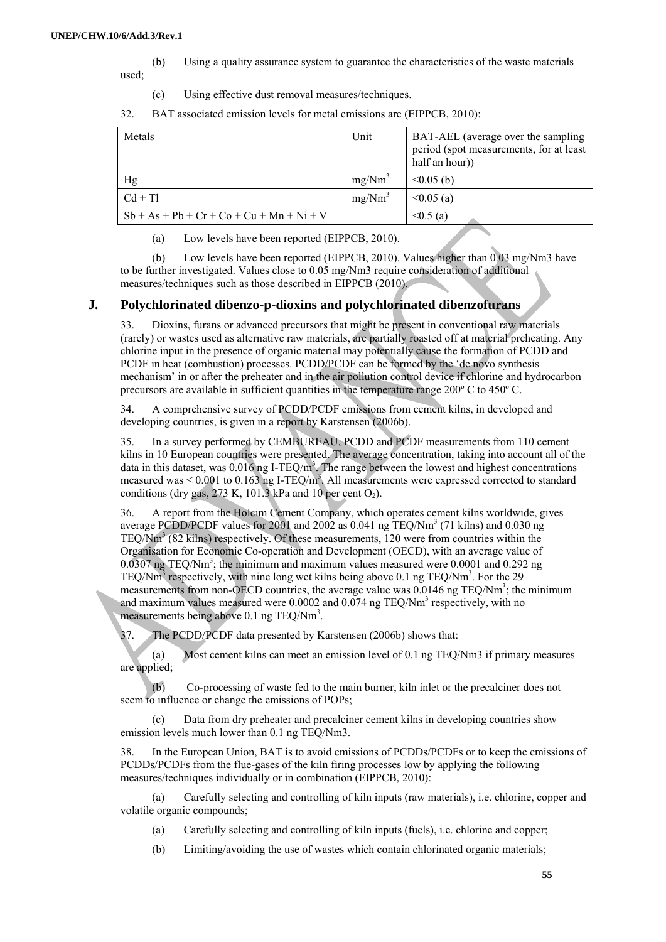used;

(b) Using a quality assurance system to guarantee the characteristics of the waste materials

(c) Using effective dust removal measures/techniques.

32. BAT associated emission levels for metal emissions are (EIPPCB, 2010):

| Metals                                      | Unit               | BAT-AEL (average over the sampling<br>period (spot measurements, for at least<br>half an hour) |
|---------------------------------------------|--------------------|------------------------------------------------------------------------------------------------|
| Hg                                          | mg/Nm <sup>3</sup> | $\leq 0.05$ (b)                                                                                |
| $Cd + T1$                                   | mg/Nm <sup>3</sup> | $\leq 0.05$ (a)                                                                                |
| $Sb + As + Pb + Cr + Co + Cu + Mn + Ni + V$ |                    | $\leq 0.5$ (a)                                                                                 |

(a) Low levels have been reported (EIPPCB, 2010).

(b) Low levels have been reported (EIPPCB, 2010). Values higher than 0.03 mg/Nm3 have to be further investigated. Values close to 0.05 mg/Nm3 require consideration of additional measures/techniques such as those described in EIPPCB (2010).

## **J. Polychlorinated dibenzo-p-dioxins and polychlorinated dibenzofurans**

33. Dioxins, furans or advanced precursors that might be present in conventional raw materials (rarely) or wastes used as alternative raw materials, are partially roasted off at material preheating. Any chlorine input in the presence of organic material may potentially cause the formation of PCDD and PCDF in heat (combustion) processes. PCDD/PCDF can be formed by the 'de novo synthesis mechanism' in or after the preheater and in the air pollution control device if chlorine and hydrocarbon precursors are available in sufficient quantities in the temperature range 200º C to 450º C.

34. A comprehensive survey of PCDD/PCDF emissions from cement kilns, in developed and developing countries, is given in a report by Karstensen (2006b).

35. In a survey performed by CEMBUREAU, PCDD and PCDF measurements from 110 cement kilns in 10 European countries were presented. The average concentration, taking into account all of the data in this dataset, was  $0.016$  ng I-TEQ/m<sup>3</sup>. The range between the lowest and highest concentrations measured was  $\leq 0.001$  to 0.163 ng I-TEQ/m<sup>3</sup>. All measurements were expressed corrected to standard conditions (dry gas, 273 K, 101.3 kPa and 10 per cent  $O_2$ ).

36. A report from the Holcim Cement Company, which operates cement kilns worldwide, gives average PCDD/PCDF values for 2001 and 2002 as  $0.041$  ng TEQ/Nm<sup>3</sup> (71 kilns) and  $0.030$  ng TEQ/Nm<sup>3</sup> (82 kilns) respectively. Of these measurements, 120 were from countries within the Organisation for Economic Co-operation and Development (OECD), with an average value of  $0.0307$  ng TEQ/Nm<sup>3</sup>; the minimum and maximum values measured were  $0.0001$  and  $0.292$  ng TEQ/Nm<sup>3</sup> respectively, with nine long wet kilns being above 0.1 ng TEQ/Nm<sup>3</sup>. For the 29 measurements from non-OECD countries, the average value was 0.0146 ng TEQ/Nm<sup>3</sup>; the minimum and maximum values measured were  $0.0002$  and  $0.074$  ng TEQ/Nm<sup>3</sup> respectively, with no measurements being above 0.1 ng TEQ/Nm<sup>3</sup>.

37. The PCDD/PCDF data presented by Karstensen (2006b) shows that:

(a) Most cement kilns can meet an emission level of 0.1 ng TEQ/Nm3 if primary measures are applied;

(b) Co-processing of waste fed to the main burner, kiln inlet or the precalciner does not seem to influence or change the emissions of POPs;

(c) Data from dry preheater and precalciner cement kilns in developing countries show emission levels much lower than 0.1 ng TEQ/Nm3.

In the European Union, BAT is to avoid emissions of PCDDs/PCDFs or to keep the emissions of PCDDs/PCDFs from the flue-gases of the kiln firing processes low by applying the following measures/techniques individually or in combination (EIPPCB, 2010):

(a) Carefully selecting and controlling of kiln inputs (raw materials), i.e. chlorine, copper and volatile organic compounds;

(a) Carefully selecting and controlling of kiln inputs (fuels), i.e. chlorine and copper;

(b) Limiting/avoiding the use of wastes which contain chlorinated organic materials;